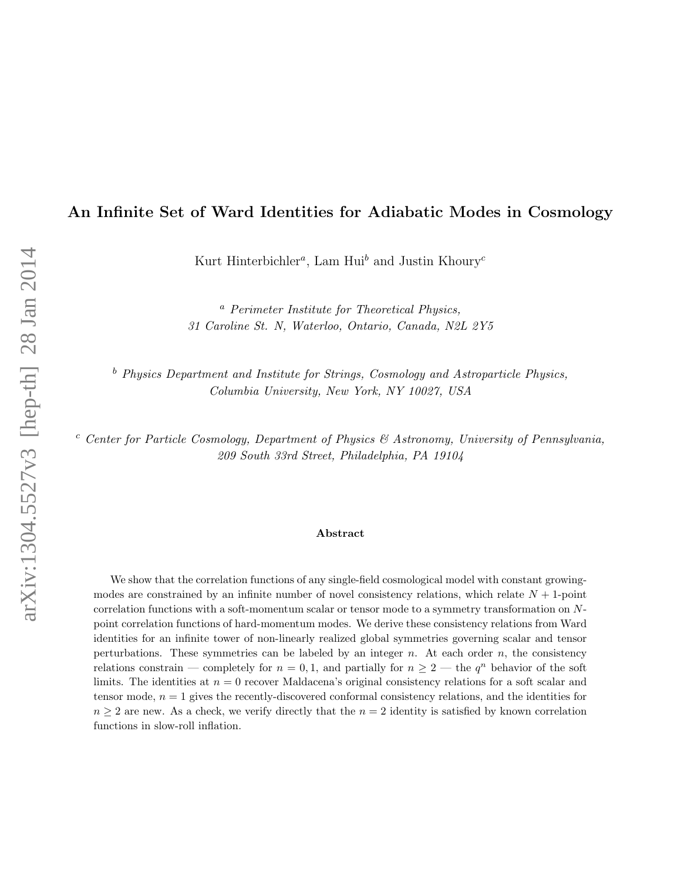# An Infinite Set of Ward Identities for Adiabatic Modes in Cosmology

Kurt Hinterbichler<sup>*a*</sup>, Lam Hui<sup>b</sup> and Justin Khoury<sup>c</sup>

<sup>a</sup> Perimeter Institute for Theoretical Physics, 31 Caroline St. N, Waterloo, Ontario, Canada, N2L 2Y5

 $<sup>b</sup>$  Physics Department and Institute for Strings, Cosmology and Astroparticle Physics,</sup> Columbia University, New York, NY 10027, USA

 $c$  Center for Particle Cosmology, Department of Physics  $\mathcal C$  Astronomy, University of Pennsylvania, 209 South 33rd Street, Philadelphia, PA 19104

#### Abstract

We show that the correlation functions of any single-field cosmological model with constant growingmodes are constrained by an infinite number of novel consistency relations, which relate  $N + 1$ -point correlation functions with a soft-momentum scalar or tensor mode to a symmetry transformation on Npoint correlation functions of hard-momentum modes. We derive these consistency relations from Ward identities for an infinite tower of non-linearly realized global symmetries governing scalar and tensor perturbations. These symmetries can be labeled by an integer  $n$ . At each order  $n$ , the consistency relations constrain — completely for  $n = 0, 1$ , and partially for  $n \ge 2$  — the  $q^n$  behavior of the soft limits. The identities at  $n = 0$  recover Maldacena's original consistency relations for a soft scalar and tensor mode,  $n = 1$  gives the recently-discovered conformal consistency relations, and the identities for  $n \geq 2$  are new. As a check, we verify directly that the  $n = 2$  identity is satisfied by known correlation functions in slow-roll inflation.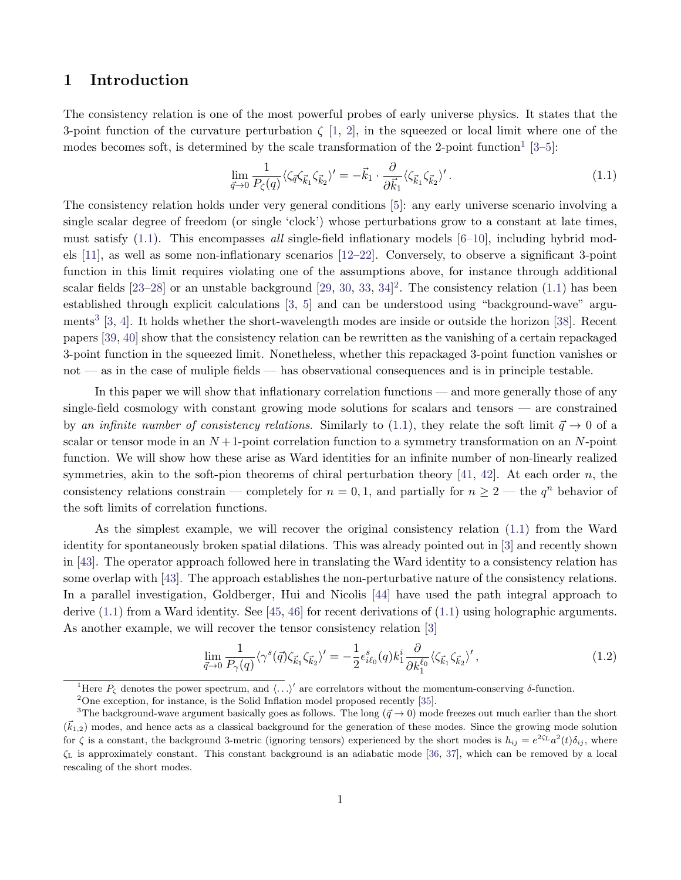## 1 Introduction

The consistency relation is one of the most powerful probes of early universe physics. It states that the 3-point function of the curvature perturbation  $\zeta$  [\[1,](#page-41-0) [2\]](#page-41-1), in the squeezed or local limit where one of the modes becomes soft, is determined by the scale transformation of the 2-point function<sup>[1](#page-1-0)</sup> [\[3–](#page-41-2)[5\]](#page-41-3):

<span id="page-1-1"></span>
$$
\lim_{\vec{q}\to 0} \frac{1}{P_{\zeta}(q)} \langle \zeta_{\vec{q}} \zeta_{\vec{k}_1} \zeta_{\vec{k}_2} \rangle' = -\vec{k}_1 \cdot \frac{\partial}{\partial \vec{k}_1} \langle \zeta_{\vec{k}_1} \zeta_{\vec{k}_2} \rangle'.
$$
\n(1.1)

The consistency relation holds under very general conditions [\[5\]](#page-41-3): any early universe scenario involving a single scalar degree of freedom (or single 'clock') whose perturbations grow to a constant at late times, must satisfy  $(1.1)$ . This encompasses all single-field inflationary models  $[6-10]$  $[6-10]$ , including hybrid models [\[11\]](#page-42-0), as well as some non-inflationary scenarios [\[12–](#page-42-1)[22\]](#page-42-2). Conversely, to observe a significant 3-point function in this limit requires violating one of the assumptions above, for instance through additional scalar fields  $[23-28]$  $[23-28]$  $[23-28]$  or an unstable background  $[29, 30, 33, 34]$  $[29, 30, 33, 34]$  $[29, 30, 33, 34]$  $[29, 30, 33, 34]$  $[29, 30, 33, 34]$  $[29, 30, 33, 34]$ <sup>2</sup>. The consistency relation  $(1.1)$  has been established through explicit calculations [\[3,](#page-41-2) [5\]](#page-41-3) and can be understood using "background-wave" argu-ments<sup>[3](#page-1-3)</sup> [\[3,](#page-41-2) [4\]](#page-41-6). It holds whether the short-wavelength modes are inside or outside the horizon [\[38\]](#page-43-5). Recent papers [\[39,](#page-43-6) [40\]](#page-43-7) show that the consistency relation can be rewritten as the vanishing of a certain repackaged 3-point function in the squeezed limit. Nonetheless, whether this repackaged 3-point function vanishes or not — as in the case of muliple fields — has observational consequences and is in principle testable.

In this paper we will show that inflationary correlation functions — and more generally those of any single-field cosmology with constant growing mode solutions for scalars and tensors — are constrained by an infinite number of consistency relations. Similarly to [\(1.1\)](#page-1-1), they relate the soft limit  $\vec{q} \to 0$  of a scalar or tensor mode in an  $N+1$ -point correlation function to a symmetry transformation on an N-point function. We will show how these arise as Ward identities for an infinite number of non-linearly realized symmetries, akin to the soft-pion theorems of chiral perturbation theory [\[41,](#page-43-8) [42\]](#page-43-9). At each order n, the consistency relations constrain — completely for  $n = 0, 1$ , and partially for  $n \ge 2$  — the  $q^n$  behavior of the soft limits of correlation functions.

As the simplest example, we will recover the original consistency relation [\(1.1\)](#page-1-1) from the Ward identity for spontaneously broken spatial dilations. This was already pointed out in [\[3\]](#page-41-2) and recently shown in [\[43\]](#page-43-10). The operator approach followed here in translating the Ward identity to a consistency relation has some overlap with [\[43\]](#page-43-10). The approach establishes the non-perturbative nature of the consistency relations. In a parallel investigation, Goldberger, Hui and Nicolis [\[44\]](#page-43-11) have used the path integral approach to derive  $(1.1)$  from a Ward identity. See [\[45,](#page-43-12) [46\]](#page-44-0) for recent derivations of  $(1.1)$  using holographic arguments. As another example, we will recover the tensor consistency relation [\[3\]](#page-41-2)

<span id="page-1-4"></span>
$$
\lim_{\vec{q}\to 0} \frac{1}{P_{\gamma}(q)} \langle \gamma^s(\vec{q}) \zeta_{\vec{k}_1} \zeta_{\vec{k}_2} \rangle' = -\frac{1}{2} \epsilon_{i\ell_0}^s(q) k_1^i \frac{\partial}{\partial k_1^{\ell_0}} \langle \zeta_{\vec{k}_1} \zeta_{\vec{k}_2} \rangle', \tag{1.2}
$$

<span id="page-1-2"></span><span id="page-1-0"></span><sup>1</sup>Here  $P_{\zeta}$  denotes the power spectrum, and  $\langle \ldots \rangle'$  are correlators without the momentum-conserving δ-function.

<span id="page-1-3"></span> $2^2$ One exception, for instance, is the Solid Inflation model proposed recently [\[35\]](#page-43-13).

<sup>&</sup>lt;sup>3</sup>The background-wave argument basically goes as follows. The long ( $\vec{q} \to 0$ ) mode freezes out much earlier than the short  $(\vec{k}_{1,2})$  modes, and hence acts as a classical background for the generation of these modes. Since the growing mode solution for  $\zeta$  is a constant, the background 3-metric (ignoring tensors) experienced by the short modes is  $h_{ij} = e^{2\zeta_L} a^2(t) \delta_{ij}$ , where  $\zeta_L$  is approximately constant. This constant background is an adiabatic mode [\[36,](#page-43-14) [37\]](#page-43-15), which can be removed by a local rescaling of the short modes.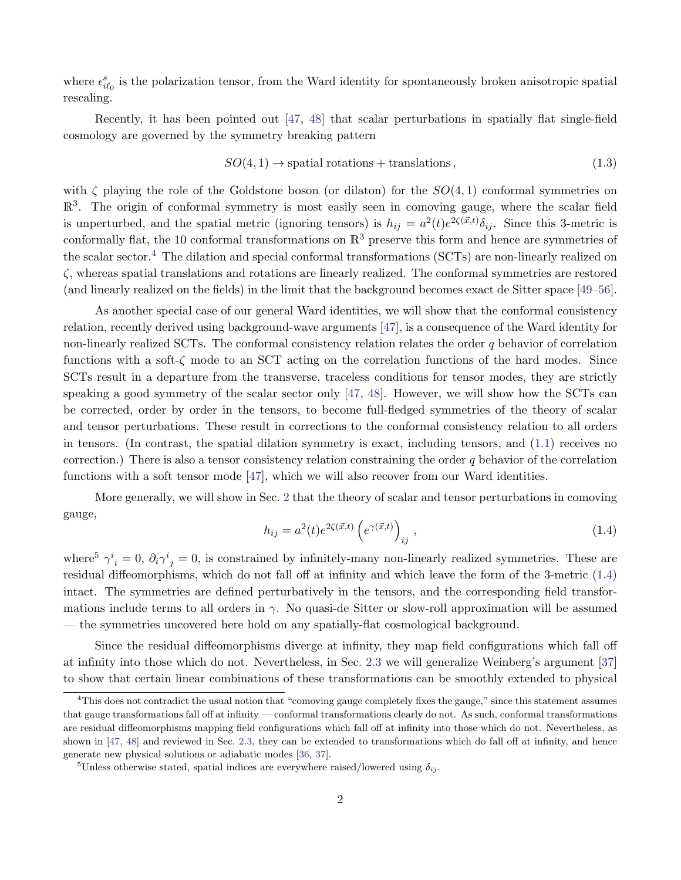where  $\epsilon_{i\ell_0}^s$  is the polarization tensor, from the Ward identity for spontaneously broken anisotropic spatial rescaling.

Recently, it has been pointed out [\[47,](#page-44-1) [48\]](#page-44-2) that scalar perturbations in spatially flat single-field cosmology are governed by the symmetry breaking pattern

<span id="page-2-3"></span>
$$
SO(4,1) \to spatial rotations + translations, \tag{1.3}
$$

with  $\zeta$  playing the role of the Goldstone boson (or dilaton) for the  $SO(4,1)$  conformal symmetries on  $\mathbb{R}^{3}$ . The origin of conformal symmetry is most easily seen in comoving gauge, where the scalar field is unperturbed, and the spatial metric (ignoring tensors) is  $h_{ij} = a^2(t)e^{2\zeta(\vec{x},t)}\delta_{ij}$ . Since this 3-metric is conformally flat, the 10 conformal transformations on  $\mathbb{R}^3$  preserve this form and hence are symmetries of the scalar sector.<sup>[4](#page-2-0)</sup> The dilation and special conformal transformations (SCTs) are non-linearly realized on ζ, whereas spatial translations and rotations are linearly realized. The conformal symmetries are restored (and linearly realized on the fields) in the limit that the background becomes exact de Sitter space [\[49–](#page-44-3)[56\]](#page-44-4).

As another special case of our general Ward identities, we will show that the conformal consistency relation, recently derived using background-wave arguments [\[47\]](#page-44-1), is a consequence of the Ward identity for non-linearly realized SCTs. The conformal consistency relation relates the order  $q$  behavior of correlation functions with a soft- $\zeta$  mode to an SCT acting on the correlation functions of the hard modes. Since SCTs result in a departure from the transverse, traceless conditions for tensor modes, they are strictly speaking a good symmetry of the scalar sector only [\[47,](#page-44-1) [48\]](#page-44-2). However, we will show how the SCTs can be corrected, order by order in the tensors, to become full-fledged symmetries of the theory of scalar and tensor perturbations. These result in corrections to the conformal consistency relation to all orders in tensors. (In contrast, the spatial dilation symmetry is exact, including tensors, and [\(1.1\)](#page-1-1) receives no correction.) There is also a tensor consistency relation constraining the order q behavior of the correlation functions with a soft tensor mode [\[47\]](#page-44-1), which we will also recover from our Ward identities.

More generally, we will show in Sec. [2](#page-4-0) that the theory of scalar and tensor perturbations in comoving gauge,

<span id="page-2-2"></span>
$$
h_{ij} = a^2(t)e^{2\zeta(\vec{x},t)}\left(e^{\gamma(\vec{x},t)}\right)_{ij},\qquad(1.4)
$$

where<sup>[5](#page-2-1)</sup>  $\gamma^i{}_i = 0$ ,  $\partial_i \gamma^i{}_j = 0$ , is constrained by infinitely-many non-linearly realized symmetries. These are residual diffeomorphisms, which do not fall off at infinity and which leave the form of the 3-metric [\(1.4\)](#page-2-2) intact. The symmetries are defined perturbatively in the tensors, and the corresponding field transformations include terms to all orders in  $\gamma$ . No quasi-de Sitter or slow-roll approximation will be assumed — the symmetries uncovered here hold on any spatially-flat cosmological background.

Since the residual diffeomorphisms diverge at infinity, they map field configurations which fall off at infinity into those which do not. Nevertheless, in Sec. [2.3](#page-7-0) we will generalize Weinberg's argument [\[37\]](#page-43-15) to show that certain linear combinations of these transformations can be smoothly extended to physical

<span id="page-2-0"></span><sup>&</sup>lt;sup>4</sup>This does not contradict the usual notion that "comoving gauge completely fixes the gauge," since this statement assumes that gauge transformations fall off at infinity — conformal transformations clearly do not. As such, conformal transformations are residual diffeomorphisms mapping field configurations which fall off at infinity into those which do not. Nevertheless, as shown in [\[47,](#page-44-1) [48\]](#page-44-2) and reviewed in Sec. [2.3,](#page-7-0) they can be extended to transformations which do fall off at infinity, and hence generate new physical solutions or adiabatic modes [\[36,](#page-43-14) [37\]](#page-43-15).

<span id="page-2-1"></span><sup>&</sup>lt;sup>5</sup>Unless otherwise stated, spatial indices are everywhere raised/lowered using  $\delta_{ij}$ .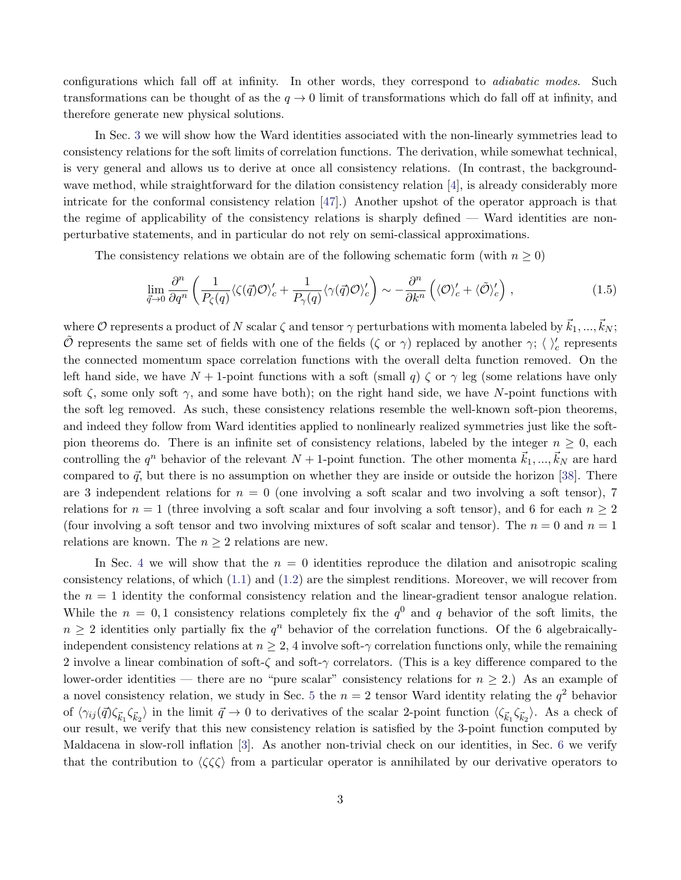configurations which fall off at infinity. In other words, they correspond to *adiabatic modes*. Such transformations can be thought of as the  $q \to 0$  limit of transformations which do fall off at infinity, and therefore generate new physical solutions.

In Sec. [3](#page-14-0) we will show how the Ward identities associated with the non-linearly symmetries lead to consistency relations for the soft limits of correlation functions. The derivation, while somewhat technical, is very general and allows us to derive at once all consistency relations. (In contrast, the backgroundwave method, while straightforward for the dilation consistency relation [\[4\]](#page-41-6), is already considerably more intricate for the conformal consistency relation [\[47\]](#page-44-1).) Another upshot of the operator approach is that the regime of applicability of the consistency relations is sharply defined — Ward identities are nonperturbative statements, and in particular do not rely on semi-classical approximations.

The consistency relations we obtain are of the following schematic form (with  $n \geq 0$ )

$$
\lim_{\vec{q}\to 0} \frac{\partial^n}{\partial q^n} \left( \frac{1}{P_\zeta(q)} \langle \zeta(\vec{q}) \mathcal{O} \rangle_c' + \frac{1}{P_\gamma(q)} \langle \gamma(\vec{q}) \mathcal{O} \rangle_c' \right) \sim -\frac{\partial^n}{\partial k^n} \left( \langle \mathcal{O} \rangle_c' + \langle \tilde{\mathcal{O}} \rangle_c' \right) ,\tag{1.5}
$$

where  $\mathcal O$  represents a product of N scalar  $\zeta$  and tensor  $\gamma$  perturbations with momenta labeled by  $\vec{k}_1, ..., \vec{k}_N$ ;  $\tilde{\mathcal{O}}$  represents the same set of fields with one of the fields  $(\zeta \text{ or } \gamma)$  replaced by another  $\gamma$ ;  $\langle \ \rangle_c'$  represents the connected momentum space correlation functions with the overall delta function removed. On the left hand side, we have  $N+1$ -point functions with a soft (small q)  $\zeta$  or  $\gamma$  leg (some relations have only soft  $\zeta$ , some only soft  $\gamma$ , and some have both); on the right hand side, we have N-point functions with the soft leg removed. As such, these consistency relations resemble the well-known soft-pion theorems, and indeed they follow from Ward identities applied to nonlinearly realized symmetries just like the softpion theorems do. There is an infinite set of consistency relations, labeled by the integer  $n \geq 0$ , each controlling the  $q^n$  behavior of the relevant  $N + 1$ -point function. The other momenta  $\vec{k}_1, ..., \vec{k}_N$  are hard compared to  $\vec{q}$ , but there is no assumption on whether they are inside or outside the horizon [\[38\]](#page-43-5). There are 3 independent relations for  $n = 0$  (one involving a soft scalar and two involving a soft tensor), 7 relations for  $n = 1$  (three involving a soft scalar and four involving a soft tensor), and 6 for each  $n \geq 2$ (four involving a soft tensor and two involving mixtures of soft scalar and tensor). The  $n = 0$  and  $n = 1$ relations are known. The  $n \geq 2$  relations are new.

In Sec. [4](#page-21-0) we will show that the  $n = 0$  identities reproduce the dilation and anisotropic scaling consistency relations, of which  $(1.1)$  and  $(1.2)$  are the simplest renditions. Moreover, we will recover from the  $n = 1$  identity the conformal consistency relation and the linear-gradient tensor analogue relation. While the  $n = 0, 1$  consistency relations completely fix the  $q<sup>0</sup>$  and q behavior of the soft limits, the  $n \geq 2$  identities only partially fix the  $q^n$  behavior of the correlation functions. Of the 6 algebraicallyindependent consistency relations at  $n \geq 2$ , 4 involve soft- $\gamma$  correlation functions only, while the remaining 2 involve a linear combination of soft- $\zeta$  and soft- $\gamma$  correlators. (This is a key difference compared to the lower-order identities — there are no "pure scalar" consistency relations for  $n \geq 2$ .) As an example of a novel consistency relation, we study in Sec. [5](#page-24-0) the  $n = 2$  tensor Ward identity relating the  $q^2$  behavior of  $\langle \gamma_{ij}(\vec{q})\zeta_{\vec{k}_1}\zeta_{\vec{k}_2}\rangle$  in the limit  $\vec{q}\to 0$  to derivatives of the scalar 2-point function  $\langle \zeta_{\vec{k}_1}\zeta_{\vec{k}_2}\rangle$ . As a check of our result, we verify that this new consistency relation is satisfied by the 3-point function computed by Maldacena in slow-roll inflation [\[3\]](#page-41-2). As another non-trivial check on our identities, in Sec. [6](#page-27-0) we verify that the contribution to  $\langle \zeta \zeta \zeta \rangle$  from a particular operator is annihilated by our derivative operators to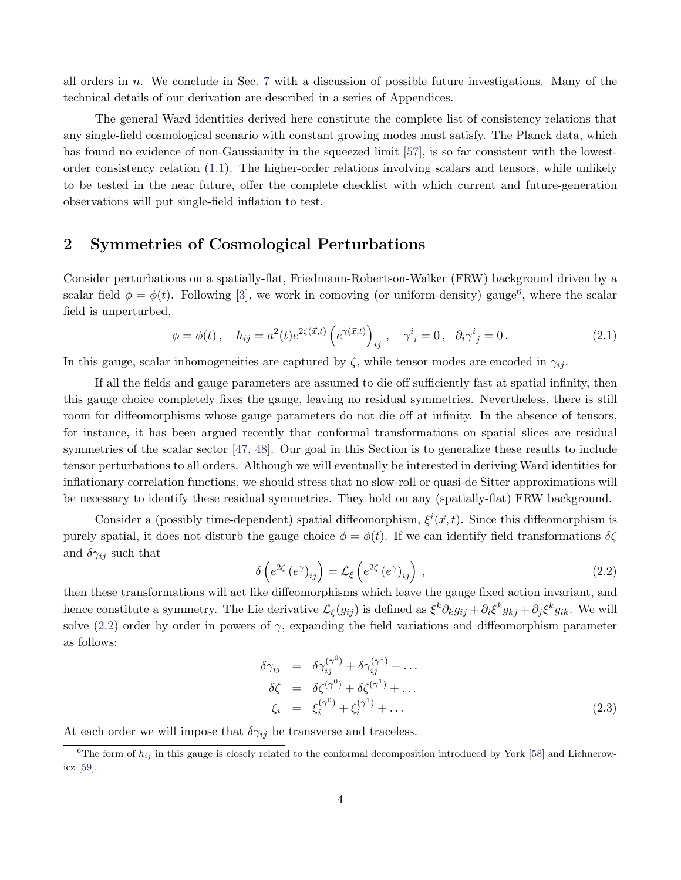all orders in n. We conclude in Sec. [7](#page-28-0) with a discussion of possible future investigations. Many of the technical details of our derivation are described in a series of Appendices.

The general Ward identities derived here constitute the complete list of consistency relations that any single-field cosmological scenario with constant growing modes must satisfy. The Planck data, which has found no evidence of non-Gaussianity in the squeezed limit [\[57\]](#page-44-5), is so far consistent with the lowestorder consistency relation [\(1.1\)](#page-1-1). The higher-order relations involving scalars and tensors, while unlikely to be tested in the near future, offer the complete checklist with which current and future-generation observations will put single-field inflation to test.

## <span id="page-4-0"></span>2 Symmetries of Cosmological Perturbations

Consider perturbations on a spatially-flat, Friedmann-Robertson-Walker (FRW) background driven by a scalar field  $\phi = \phi(t)$ . Following [\[3\]](#page-41-2), we work in comoving (or uniform-density) gauge<sup>[6](#page-4-1)</sup>, where the scalar field is unperturbed,

$$
\phi = \phi(t), \quad h_{ij} = a^2(t)e^{2\zeta(\vec{x},t)} \left(e^{\gamma(\vec{x},t)}\right)_{ij}, \quad \gamma^i_{\ i} = 0, \quad \partial_i \gamma^i_{\ j} = 0. \tag{2.1}
$$

In this gauge, scalar inhomogeneities are captured by  $\zeta$ , while tensor modes are encoded in  $\gamma_{ij}$ .

If all the fields and gauge parameters are assumed to die off sufficiently fast at spatial infinity, then this gauge choice completely fixes the gauge, leaving no residual symmetries. Nevertheless, there is still room for diffeomorphisms whose gauge parameters do not die off at infinity. In the absence of tensors, for instance, it has been argued recently that conformal transformations on spatial slices are residual symmetries of the scalar sector [\[47,](#page-44-1) [48\]](#page-44-2). Our goal in this Section is to generalize these results to include tensor perturbations to all orders. Although we will eventually be interested in deriving Ward identities for inflationary correlation functions, we should stress that no slow-roll or quasi-de Sitter approximations will be necessary to identify these residual symmetries. They hold on any (spatially-flat) FRW background.

Consider a (possibly time-dependent) spatial diffeomorphism,  $\xi^{i}(\vec{x},t)$ . Since this diffeomorphism is purely spatial, it does not disturb the gauge choice  $\phi = \phi(t)$ . If we can identify field transformations  $\delta \zeta$ and  $\delta \gamma_{ij}$  such that

<span id="page-4-2"></span>
$$
\delta\left(e^{2\zeta}\left(e^{\gamma}\right)_{ij}\right) = \mathcal{L}_{\xi}\left(e^{2\zeta}\left(e^{\gamma}\right)_{ij}\right),\tag{2.2}
$$

then these transformations will act like diffeomorphisms which leave the gauge fixed action invariant, and hence constitute a symmetry. The Lie derivative  $\mathcal{L}_{\xi}(g_{ij})$  is defined as  $\xi^k \partial_k g_{ij} + \partial_i \xi^k g_{kj} + \partial_j \xi^k g_{ik}$ . We will solve [\(2.2\)](#page-4-2) order by order in powers of  $\gamma$ , expanding the field variations and diffeomorphism parameter as follows:

$$
\delta \gamma_{ij} = \delta \gamma_{ij}^{(\gamma^0)} + \delta \gamma_{ij}^{(\gamma^1)} + \dots
$$
  
\n
$$
\delta \zeta = \delta \zeta^{(\gamma^0)} + \delta \zeta^{(\gamma^1)} + \dots
$$
  
\n
$$
\xi_i = \xi_i^{(\gamma^0)} + \xi_i^{(\gamma^1)} + \dots
$$
\n(2.3)

At each order we will impose that  $\delta\gamma_{ij}$  be transverse and traceless.

<span id="page-4-1"></span><sup>&</sup>lt;sup>6</sup>The form of  $h_{ij}$  in this gauge is closely related to the conformal decomposition introduced by York [\[58\]](#page-44-6) and Lichnerowicz [\[59\]](#page-44-7).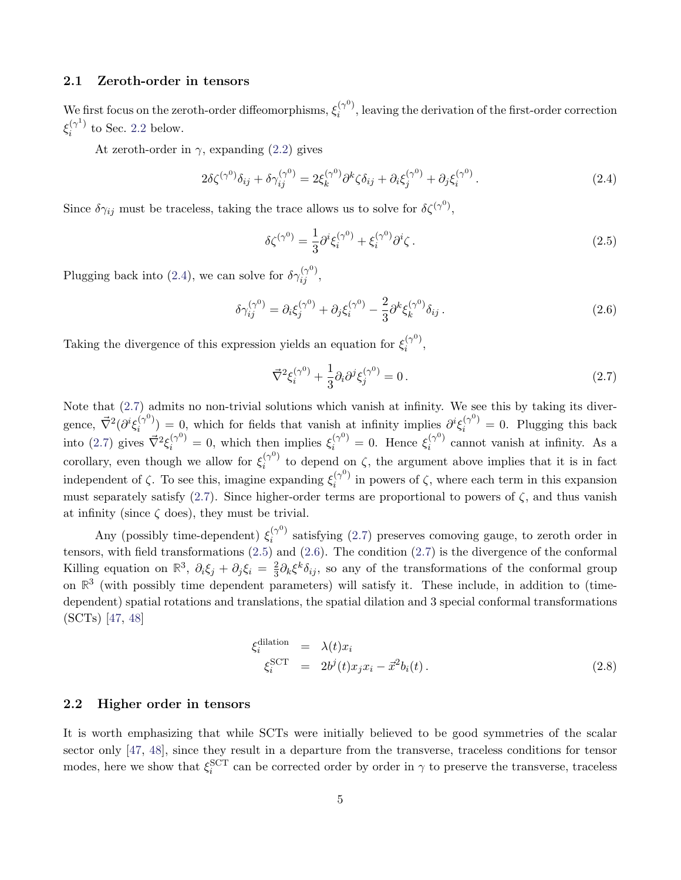### 2.1 Zeroth-order in tensors

We first focus on the zeroth-order diffeomorphisms,  $\xi_i^{(\gamma^0)}$  $i^{(\gamma^*)}$ , leaving the derivation of the first-order correction  $\xi_i^{(\gamma^1)}$  $i^{(\gamma)}$  to Sec. [2.2](#page-5-0) below.

At zeroth-order in  $\gamma$ , expanding [\(2.2\)](#page-4-2) gives

<span id="page-5-1"></span>
$$
2\delta\zeta^{(\gamma^0)}\delta_{ij} + \delta\gamma_{ij}^{(\gamma^0)} = 2\xi_k^{(\gamma^0)}\partial^k\zeta\delta_{ij} + \partial_i\xi_j^{(\gamma^0)} + \partial_j\xi_i^{(\gamma^0)}.
$$
\n(2.4)

Since  $\delta \gamma_{ij}$  must be traceless, taking the trace allows us to solve for  $\delta \zeta^{(\gamma^0)}$ ,

<span id="page-5-3"></span>
$$
\delta \zeta^{(\gamma^0)} = \frac{1}{3} \partial^i \xi_i^{(\gamma^0)} + \xi_i^{(\gamma^0)} \partial^i \zeta \,. \tag{2.5}
$$

Plugging back into [\(2.4\)](#page-5-1), we can solve for  $\delta\gamma_{ij}^{(\gamma^0)}$ ,

<span id="page-5-4"></span>
$$
\delta \gamma_{ij}^{(\gamma^0)} = \partial_i \xi_j^{(\gamma^0)} + \partial_j \xi_i^{(\gamma^0)} - \frac{2}{3} \partial^k \xi_k^{(\gamma^0)} \delta_{ij} \,. \tag{2.6}
$$

Taking the divergence of this expression yields an equation for  $\xi_i^{(\gamma^0)}$  $\binom{(\gamma)}{i}$ 

<span id="page-5-2"></span>
$$
\vec{\nabla}^2 \xi_i^{(\gamma^0)} + \frac{1}{3} \partial_i \partial^j \xi_j^{(\gamma^0)} = 0. \tag{2.7}
$$

Note that [\(2.7\)](#page-5-2) admits no non-trivial solutions which vanish at infinity. We see this by taking its divergence,  $\vec{\nabla}^2(\partial^i \xi_i^{(\gamma^0)})$  $i^{(\gamma^0)}$  = 0, which for fields that vanish at infinity implies  $\partial^i \xi_i^{(\gamma^0)} = 0$ . Plugging this back into [\(2.7\)](#page-5-2) gives  $\vec{\nabla}^2 \xi_i^{(\gamma^0)} = 0$ , which then implies  $\xi_i^{(\gamma^0)} = 0$ . Hence  $\xi_i^{(\gamma^0)}$  $i^{(\gamma^*)}$  cannot vanish at infinity. As a corollary, even though we allow for  $\xi_i^{(\gamma^0)}$  $i^{(\gamma)}$  to depend on  $\zeta$ , the argument above implies that it is in fact independent of  $\zeta$ . To see this, imagine expanding  $\xi_i^{(\gamma^0)}$  $i^{(\gamma^*)}$  in powers of  $\zeta$ , where each term in this expansion must separately satisfy [\(2.7\)](#page-5-2). Since higher-order terms are proportional to powers of  $\zeta$ , and thus vanish at infinity (since  $\zeta$  does), they must be trivial.

Any (possibly time-dependent)  $\xi_i^{(\gamma^0)}$  $i^{(\gamma^*)}$  satisfying [\(2.7\)](#page-5-2) preserves comoving gauge, to zeroth order in tensors, with field transformations  $(2.5)$  and  $(2.6)$ . The condition  $(2.7)$  is the divergence of the conformal Killing equation on  $\mathbb{R}^3$ ,  $\partial_i \xi_j + \partial_j \xi_i = \frac{2}{3}$  $\frac{2}{3}\partial_k \xi^k \delta_{ij}$ , so any of the transformations of the conformal group on  $\mathbb{R}^3$  (with possibly time dependent parameters) will satisfy it. These include, in addition to (timedependent) spatial rotations and translations, the spatial dilation and 3 special conformal transformations (SCTs) [\[47,](#page-44-1) [48\]](#page-44-2)

<span id="page-5-5"></span>
$$
\xi_i^{\text{dilation}} = \lambda(t)x_i
$$
  
\n
$$
\xi_i^{\text{SCT}} = 2b^j(t)x_jx_i - \vec{x}^2b_i(t).
$$
\n(2.8)

#### <span id="page-5-0"></span>2.2 Higher order in tensors

It is worth emphasizing that while SCTs were initially believed to be good symmetries of the scalar sector only [\[47,](#page-44-1) [48\]](#page-44-2), since they result in a departure from the transverse, traceless conditions for tensor modes, here we show that  $\xi_i^{\rm SCT}$  can be corrected order by order in  $\gamma$  to preserve the transverse, traceless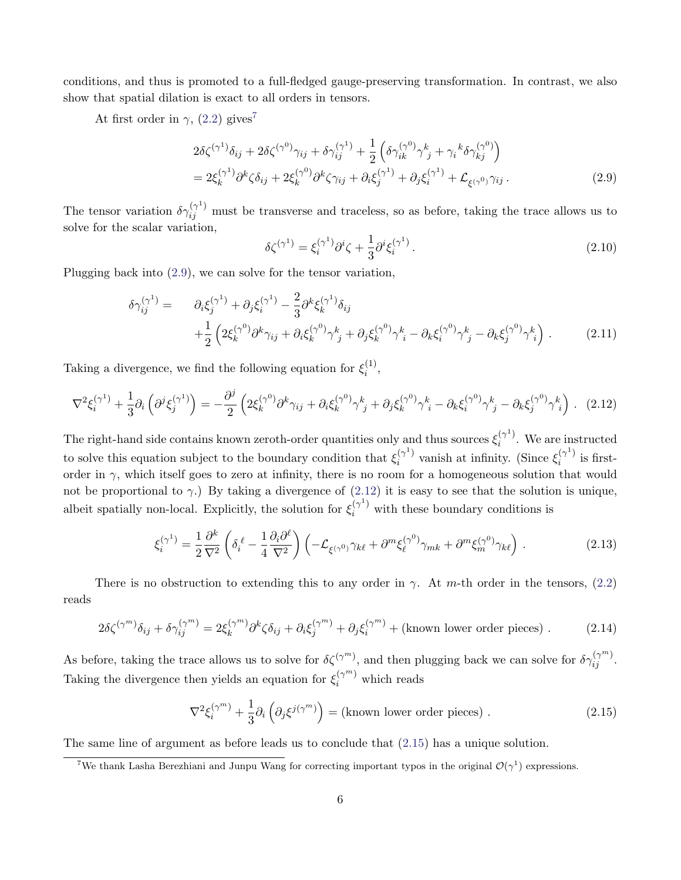conditions, and thus is promoted to a full-fledged gauge-preserving transformation. In contrast, we also show that spatial dilation is exact to all orders in tensors.

At first order in  $\gamma$ , [\(2.2\)](#page-4-2) gives<sup>[7](#page-6-0)</sup>

<span id="page-6-1"></span>
$$
2\delta\zeta^{(\gamma^1)}\delta_{ij} + 2\delta\zeta^{(\gamma^0)}\gamma_{ij} + \delta\gamma_{ij}^{(\gamma^1)} + \frac{1}{2}\left(\delta\gamma_{ik}^{(\gamma^0)}\gamma_{j}^{k} + \gamma_{i}{}^{k}\delta\gamma_{kj}^{(\gamma^0)}\right)
$$
  
= 
$$
2\xi_{k}^{(\gamma^1)}\partial^k\zeta\delta_{ij} + 2\xi_{k}^{(\gamma^0)}\partial^k\zeta\gamma_{ij} + \partial_i\xi_{j}^{(\gamma^1)} + \partial_j\xi_{i}^{(\gamma^1)} + \mathcal{L}_{\xi^{(\gamma^0)}}\gamma_{ij}.
$$
 (2.9)

The tensor variation  $\delta \gamma_{ij}^{(\gamma^1)}$  must be transverse and traceless, so as before, taking the trace allows us to solve for the scalar variation,

$$
\delta \zeta^{(\gamma^1)} = \xi_i^{(\gamma^1)} \partial^i \zeta + \frac{1}{3} \partial^i \xi_i^{(\gamma^1)}.
$$
\n(2.10)

Plugging back into [\(2.9\)](#page-6-1), we can solve for the tensor variation,

$$
\delta \gamma_{ij}^{(\gamma^1)} = \partial_i \xi_j^{(\gamma^1)} + \partial_j \xi_i^{(\gamma^1)} - \frac{2}{3} \partial^k \xi_k^{(\gamma^1)} \delta_{ij} + \frac{1}{2} \left( 2 \xi_k^{(\gamma^0)} \partial^k \gamma_{ij} + \partial_i \xi_k^{(\gamma^0)} \gamma_{j}^k + \partial_j \xi_k^{(\gamma^0)} \gamma_{i}^k - \partial_k \xi_i^{(\gamma^0)} \gamma_{j}^k - \partial_k \xi_j^{(\gamma^0)} \gamma_{i}^k \right).
$$
(2.11)

Taking a divergence, we find the following equation for  $\xi_i^{(1)}$  $\binom{1}{i}$ 

<span id="page-6-2"></span>
$$
\nabla^2 \xi_i^{(\gamma^1)} + \frac{1}{3} \partial_i \left( \partial^j \xi_j^{(\gamma^1)} \right) = -\frac{\partial^j}{2} \left( 2 \xi_k^{(\gamma^0)} \partial^k \gamma_{ij} + \partial_i \xi_k^{(\gamma^0)} \gamma_j^k + \partial_j \xi_k^{(\gamma^0)} \gamma_i^k - \partial_k \xi_i^{(\gamma^0)} \gamma_j^k - \partial_k \xi_j^{(\gamma^0)} \gamma_i^k \right). \tag{2.12}
$$

The right-hand side contains known zeroth-order quantities only and thus sources  $\xi_i^{(\gamma^1)}$  $i^{\gamma}$ . We are instructed to solve this equation subject to the boundary condition that  $\xi_i^{(\gamma^1)}$  $i^{(\gamma^1)}$  vanish at infinity. (Since  $\xi_i^{(\gamma^1)}$  $i^{\gamma}$  is firstorder in  $\gamma$ , which itself goes to zero at infinity, there is no room for a homogeneous solution that would not be proportional to  $\gamma$ .) By taking a divergence of [\(2.12\)](#page-6-2) it is easy to see that the solution is unique, albeit spatially non-local. Explicitly, the solution for  $\xi_i^{(\gamma)}$  with these boundary conditions is

<span id="page-6-4"></span>
$$
\xi_i^{(\gamma^1)} = \frac{1}{2} \frac{\partial^k}{\nabla^2} \left( \delta_i^\ell - \frac{1}{4} \frac{\partial_i \partial^\ell}{\nabla^2} \right) \left( -\mathcal{L}_{\xi(\gamma^0)} \gamma_{k\ell} + \partial^m \xi_\ell^{(\gamma^0)} \gamma_{mk} + \partial^m \xi_m^{(\gamma^0)} \gamma_{k\ell} \right) \,. \tag{2.13}
$$

There is no obstruction to extending this to any order in  $\gamma$ . At m-th order in the tensors, [\(2.2\)](#page-4-2) reads

$$
2\delta\zeta^{(\gamma^m)}\delta_{ij} + \delta\gamma_{ij}^{(\gamma^m)} = 2\xi_k^{(\gamma^m)}\partial^k\zeta\delta_{ij} + \partial_i\xi_j^{(\gamma^m)} + \partial_j\xi_i^{(\gamma^m)} + \text{(known lower order pieces)}.
$$
 (2.14)

As before, taking the trace allows us to solve for  $\delta \zeta^{(\gamma^m)}$ , and then plugging back we can solve for  $\delta \gamma_{ij}^{(\gamma^m)}$ . Taking the divergence then yields an equation for  $\xi_i^{(\gamma^m)}$  which reads

<span id="page-6-3"></span>
$$
\nabla^2 \xi_i^{(\gamma^m)} + \frac{1}{3} \partial_i \left( \partial_j \xi^{j(\gamma^m)} \right) = \text{(known lower order pieces)} . \tag{2.15}
$$

The same line of argument as before leads us to conclude that [\(2.15\)](#page-6-3) has a unique solution.

<span id="page-6-0"></span><sup>&</sup>lt;sup>7</sup>We thank Lasha Berezhiani and Junpu Wang for correcting important typos in the original  $\mathcal{O}(\gamma^1)$  expressions.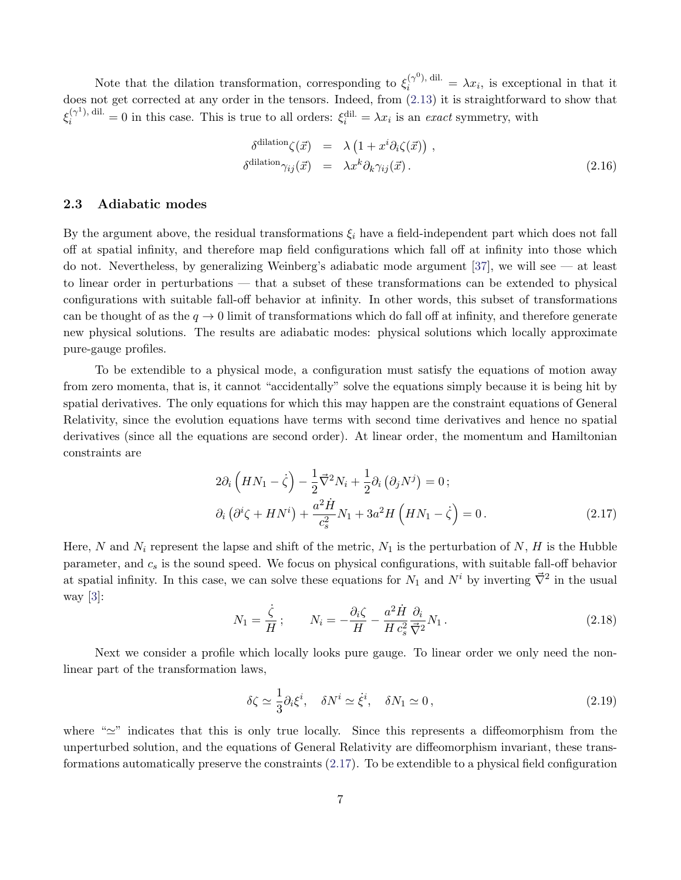Note that the dilation transformation, corresponding to  $\xi_i^{(\gamma^0), \text{ dil.}} = \lambda x_i$ , is exceptional in that it does not get corrected at any order in the tensors. Indeed, from [\(2.13\)](#page-6-4) it is straightforward to show that  $\xi_i^{(\gamma^1),\text{ dil.}} = 0$  in this case. This is true to all orders:  $\xi_i^{\text{dil.}} = \lambda x_i$  is an exact symmetry, with

<span id="page-7-4"></span>
$$
\delta^{\text{dilation}}(\vec{x}) = \lambda \left( 1 + x^i \partial_i \zeta(\vec{x}) \right),
$$
  
\n
$$
\delta^{\text{dilation}}(\vec{x}) = \lambda x^k \partial_k \gamma_{ij}(\vec{x}).
$$
\n(2.16)

### <span id="page-7-0"></span>2.3 Adiabatic modes

By the argument above, the residual transformations  $\xi_i$  have a field-independent part which does not fall off at spatial infinity, and therefore map field configurations which fall off at infinity into those which do not. Nevertheless, by generalizing Weinberg's adiabatic mode argument [\[37\]](#page-43-15), we will see — at least to linear order in perturbations — that a subset of these transformations can be extended to physical configurations with suitable fall-off behavior at infinity. In other words, this subset of transformations can be thought of as the  $q \to 0$  limit of transformations which do fall off at infinity, and therefore generate new physical solutions. The results are adiabatic modes: physical solutions which locally approximate pure-gauge profiles.

To be extendible to a physical mode, a configuration must satisfy the equations of motion away from zero momenta, that is, it cannot "accidentally" solve the equations simply because it is being hit by spatial derivatives. The only equations for which this may happen are the constraint equations of General Relativity, since the evolution equations have terms with second time derivatives and hence no spatial derivatives (since all the equations are second order). At linear order, the momentum and Hamiltonian constraints are

<span id="page-7-1"></span>
$$
2\partial_i \left( H N_1 - \dot{\zeta} \right) - \frac{1}{2} \vec{\nabla}^2 N_i + \frac{1}{2} \partial_i \left( \partial_j N^j \right) = 0; \n\partial_i \left( \partial^i \zeta + H N^i \right) + \frac{a^2 \dot{H}}{c_s^2} N_1 + 3a^2 H \left( H N_1 - \dot{\zeta} \right) = 0.
$$
\n(2.17)

Here, N and  $N_i$  represent the lapse and shift of the metric,  $N_1$  is the perturbation of N, H is the Hubble parameter, and  $c_s$  is the sound speed. We focus on physical configurations, with suitable fall-off behavior at spatial infinity. In this case, we can solve these equations for  $N_1$  and  $N^i$  by inverting  $\vec{\nabla}^2$  in the usual way [\[3\]](#page-41-2):

<span id="page-7-2"></span>
$$
N_1 = \frac{\dot{\zeta}}{H}; \qquad N_i = -\frac{\partial_i \zeta}{H} - \frac{a^2 \dot{H}}{H c_s^2} \frac{\partial_i}{\vec{\nabla}^2} N_1.
$$
\n(2.18)

Next we consider a profile which locally looks pure gauge. To linear order we only need the nonlinear part of the transformation laws,

<span id="page-7-3"></span>
$$
\delta\zeta \simeq \frac{1}{3}\partial_i\xi^i, \quad \delta N^i \simeq \dot{\xi}^i, \quad \delta N_1 \simeq 0, \tag{2.19}
$$

where " $\simeq$ " indicates that this is only true locally. Since this represents a diffeomorphism from the unperturbed solution, and the equations of General Relativity are diffeomorphism invariant, these transformations automatically preserve the constraints [\(2.17\)](#page-7-1). To be extendible to a physical field configuration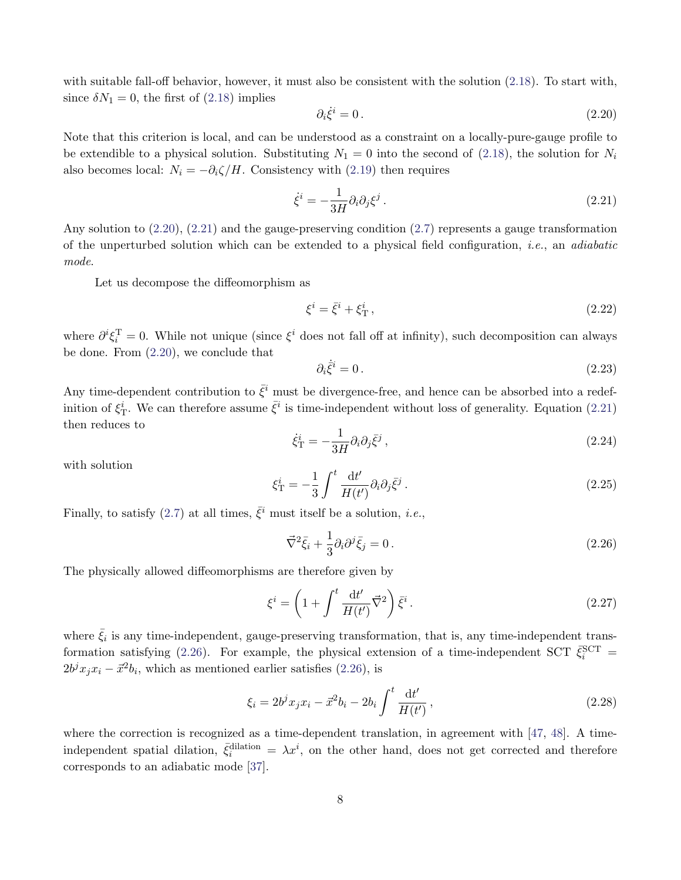with suitable fall-off behavior, however, it must also be consistent with the solution [\(2.18\)](#page-7-2). To start with, since  $\delta N_1 = 0$ , the first of [\(2.18\)](#page-7-2) implies

<span id="page-8-0"></span>
$$
\partial_i \dot{\xi}^i = 0. \tag{2.20}
$$

Note that this criterion is local, and can be understood as a constraint on a locally-pure-gauge profile to be extendible to a physical solution. Substituting  $N_1 = 0$  into the second of [\(2.18\)](#page-7-2), the solution for  $N_i$ also becomes local:  $N_i = -\partial_i \zeta / H$ . Consistency with [\(2.19\)](#page-7-3) then requires

<span id="page-8-1"></span>
$$
\dot{\xi}^i = -\frac{1}{3H} \partial_i \partial_j \xi^j \,. \tag{2.21}
$$

Any solution to [\(2.20\)](#page-8-0), [\(2.21\)](#page-8-1) and the gauge-preserving condition [\(2.7\)](#page-5-2) represents a gauge transformation of the unperturbed solution which can be extended to a physical field configuration, i.e., an adiabatic mode.

Let us decompose the diffeomorphism as

$$
\xi^i = \bar{\xi}^i + \xi^i_{\rm T} \,,\tag{2.22}
$$

where  $\partial^i \xi_i^T = 0$ . While not unique (since  $\xi^i$  does not fall off at infinity), such decomposition can always be done. From [\(2.20\)](#page-8-0), we conclude that

$$
\partial_i \dot{\xi}^i = 0. \tag{2.23}
$$

Any time-dependent contribution to  $\bar{\xi}^i$  must be divergence-free, and hence can be absorbed into a redefinition of  $\xi_{\rm T}^i$ . We can therefore assume  $\bar{\xi}^i$  is time-independent without loss of generality. Equation [\(2.21\)](#page-8-1) then reduces to

$$
\dot{\xi}_{\rm T}^i = -\frac{1}{3H} \partial_i \partial_j \bar{\xi}^j \,, \tag{2.24}
$$

with solution

$$
\xi_{\rm T}^i = -\frac{1}{3} \int^t \frac{\mathrm{d}t'}{H(t')} \partial_i \partial_j \bar{\xi}^j \,. \tag{2.25}
$$

Finally, to satisfy [\(2.7\)](#page-5-2) at all times,  $\bar{\xi}^i$  must itself be a solution, *i.e.*,

<span id="page-8-2"></span>
$$
\vec{\nabla}^2 \bar{\xi}_i + \frac{1}{3} \partial_i \partial^j \bar{\xi}_j = 0. \qquad (2.26)
$$

The physically allowed diffeomorphisms are therefore given by

<span id="page-8-3"></span>
$$
\xi^{i} = \left(1 + \int^{t} \frac{\mathrm{d}t'}{H(t')} \vec{\nabla}^{2}\right) \bar{\xi}^{i}.
$$
 (2.27)

where  $\bar{\xi}_i$  is any time-independent, gauge-preserving transformation, that is, any time-independent trans-formation satisfying [\(2.26\)](#page-8-2). For example, the physical extension of a time-independent SCT  $\bar{\xi}_i^{\text{SCT}}$  =  $2b^j x_j x_i - \vec{x}^2 b_i$ , which as mentioned earlier satisfies [\(2.26\)](#page-8-2), is

$$
\xi_i = 2b^j x_j x_i - \vec{x}^2 b_i - 2b_i \int^t \frac{\mathrm{d}t'}{H(t')},\tag{2.28}
$$

where the correction is recognized as a time-dependent translation, in agreement with [\[47,](#page-44-1) [48\]](#page-44-2). A timeindependent spatial dilation,  $\bar{\xi}_i^{\text{dilation}} = \lambda x^i$ , on the other hand, does not get corrected and therefore corresponds to an adiabatic mode [\[37\]](#page-43-15).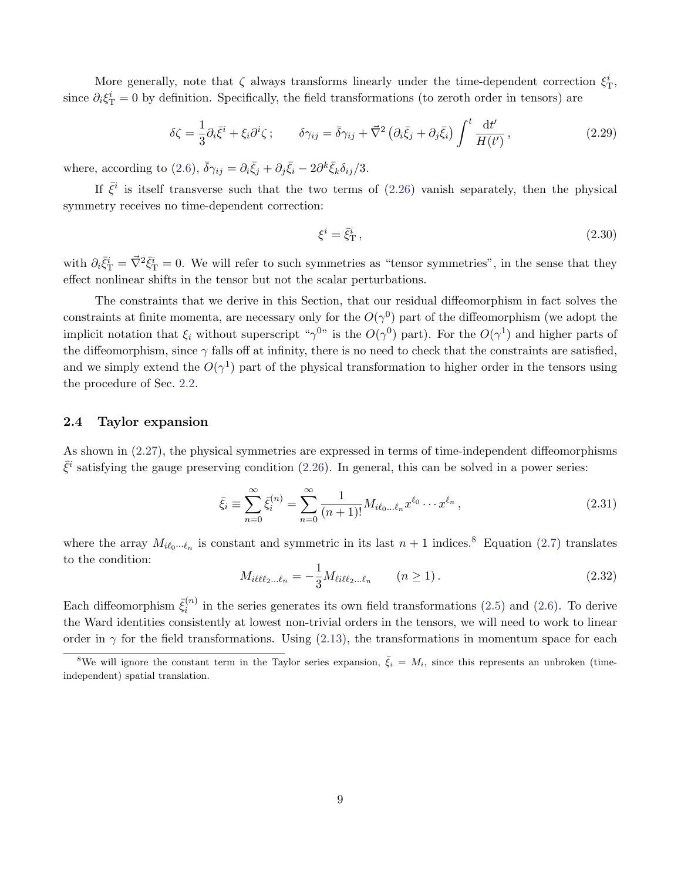More generally, note that  $\zeta$  always transforms linearly under the time-dependent correction  $\xi_T^i$ , since  $\partial_i \xi^i_T = 0$  by definition. Specifically, the field transformations (to zeroth order in tensors) are

$$
\delta \zeta = \frac{1}{3} \partial_i \bar{\xi}^i + \xi_i \partial^i \zeta ; \qquad \delta \gamma_{ij} = \bar{\delta} \gamma_{ij} + \vec{\nabla}^2 \left( \partial_i \bar{\xi}_j + \partial_j \bar{\xi}_i \right) \int^t \frac{\mathrm{d}t'}{H(t')} , \qquad (2.29)
$$

where, according to [\(2.6\)](#page-5-4),  $\bar{\delta}\gamma_{ij} = \partial_i \bar{\xi}_j + \partial_j \bar{\xi}_i - 2\partial^k \bar{\xi}_k \delta_{ij}/3$ .

If  $\bar{\xi}^i$  is itself transverse such that the two terms of [\(2.26\)](#page-8-2) vanish separately, then the physical symmetry receives no time-dependent correction:

$$
\xi^i = \bar{\xi}^i_{\rm T} \,,\tag{2.30}
$$

with  $\partial_i \bar{\xi}^i_{\rm T} = \vec{\nabla}^2 \bar{\xi}^i_{\rm T} = 0$ . We will refer to such symmetries as "tensor symmetries", in the sense that they effect nonlinear shifts in the tensor but not the scalar perturbations.

The constraints that we derive in this Section, that our residual diffeomorphism in fact solves the constraints at finite momenta, are necessary only for the  $O(\gamma^0)$  part of the diffeomorphism (we adopt the implicit notation that  $\xi_i$  without superscript " $\gamma^{0}$ " is the  $O(\gamma^0)$  part). For the  $O(\gamma^1)$  and higher parts of the diffeomorphism, since  $\gamma$  falls off at infinity, there is no need to check that the constraints are satisfied, and we simply extend the  $O(\gamma^1)$  part of the physical transformation to higher order in the tensors using the procedure of Sec. [2.2.](#page-5-0)

### <span id="page-9-3"></span>2.4 Taylor expansion

As shown in [\(2.27\)](#page-8-3), the physical symmetries are expressed in terms of time-independent diffeomorphisms  $\bar{\xi}^i$  satisfying the gauge preserving condition [\(2.26\)](#page-8-2). In general, this can be solved in a power series:

<span id="page-9-2"></span>
$$
\bar{\xi}_i \equiv \sum_{n=0}^{\infty} \bar{\xi}_i^{(n)} = \sum_{n=0}^{\infty} \frac{1}{(n+1)!} M_{i\ell_0 \dots \ell_n} x^{\ell_0} \dots x^{\ell_n},
$$
\n(2.31)

where the array  $M_{i\ell_0\cdots\ell_n}$  is constant and symmetric in its last  $n+1$  indices.<sup>[8](#page-9-0)</sup> Equation [\(2.7\)](#page-5-2) translates to the condition:

<span id="page-9-1"></span>
$$
M_{i\ell\ell\ell_2\ldots\ell_n} = -\frac{1}{3} M_{\ell i\ell\ell_2\ldots\ell_n} \qquad (n \ge 1).
$$
 (2.32)

Each diffeomorphism  $\bar{\xi}_i^{(n)}$  $i^{(n)}$  in the series generates its own field transformations [\(2.5\)](#page-5-3) and [\(2.6\)](#page-5-4). To derive the Ward identities consistently at lowest non-trivial orders in the tensors, we will need to work to linear order in  $\gamma$  for the field transformations. Using [\(2.13\)](#page-6-4), the transformations in momentum space for each

<span id="page-9-0"></span><sup>&</sup>lt;sup>8</sup>We will ignore the constant term in the Taylor series expansion,  $\bar{\xi}_i = M_i$ , since this represents an unbroken (timeindependent) spatial translation.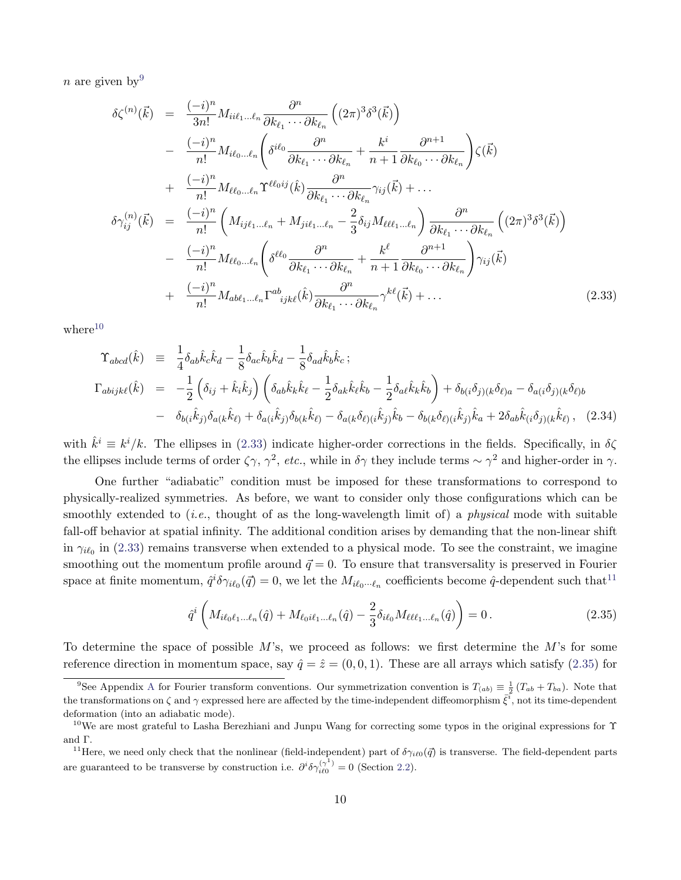n are given by  $9$ 

<span id="page-10-2"></span>
$$
\delta\zeta^{(n)}(\vec{k}) = \frac{(-i)^n}{3n!} M_{ii\ell_1...\ell_n} \frac{\partial^n}{\partial k_{\ell_1} \cdots \partial k_{\ell_n}} \left( (2\pi)^3 \delta^3(\vec{k}) \right)
$$
  
\n
$$
- \frac{(-i)^n}{n!} M_{i\ell_0...\ell_n} \left( \delta^{i\ell_0} \frac{\partial^n}{\partial k_{\ell_1} \cdots \partial k_{\ell_n}} + \frac{k^i}{n+1} \frac{\partial^{n+1}}{\partial k_{\ell_0} \cdots \partial k_{\ell_n}} \right) \zeta(\vec{k})
$$
  
\n
$$
+ \frac{(-i)^n}{n!} M_{\ell\ell_0...\ell_n} \Upsilon^{\ell\ell_0 ij}(\hat{k}) \frac{\partial^n}{\partial k_{\ell_1} \cdots \partial k_{\ell_n}} \gamma_{ij}(\vec{k}) + \cdots
$$
  
\n
$$
\delta\gamma_{ij}^{(n)}(\vec{k}) = \frac{(-i)^n}{n!} \left( M_{ij\ell_1...\ell_n} + M_{ji\ell_1...\ell_n} - \frac{2}{3} \delta_{ij} M_{\ell\ell\ell_1...\ell_n} \right) \frac{\partial^n}{\partial k_{\ell_1} \cdots \partial k_{\ell_n}} \left( (2\pi)^3 \delta^3(\vec{k}) \right)
$$
  
\n
$$
- \frac{(-i)^n}{n!} M_{\ell\ell_0...\ell_n} \left( \delta^{\ell\ell_0} \frac{\partial^n}{\partial k_{\ell_1} \cdots \partial k_{\ell_n}} + \frac{k^{\ell}}{n+1} \frac{\partial^{n+1}}{\partial k_{\ell_0} \cdots \partial k_{\ell_n}} \right) \gamma_{ij}(\vec{k})
$$
  
\n
$$
+ \frac{(-i)^n}{n!} M_{ab\ell_1...\ell_n} \Gamma^{ab}_{ijk\ell}(\hat{k}) \frac{\partial^n}{\partial k_{\ell_1} \cdots \partial k_{\ell_n}} \gamma^{k\ell}(\vec{k}) + \cdots
$$
  
\n(2.33)

 $where<sup>10</sup>$  $where<sup>10</sup>$  $where<sup>10</sup>$ 

$$
\begin{split}\n\Upsilon_{abcd}(\hat{k}) &= \frac{1}{4} \delta_{ab} \hat{k}_c \hat{k}_d - \frac{1}{8} \delta_{ac} \hat{k}_b \hat{k}_d - \frac{1}{8} \delta_{ad} \hat{k}_b \hat{k}_c ; \\
\Gamma_{abijk\ell}(\hat{k}) &= -\frac{1}{2} \left( \delta_{ij} + \hat{k}_i \hat{k}_j \right) \left( \delta_{ab} \hat{k}_k \hat{k}_\ell - \frac{1}{2} \delta_{ak} \hat{k}_\ell \hat{k}_b - \frac{1}{2} \delta_{ae} \hat{k}_k \hat{k}_b \right) + \delta_{b(i} \delta_{j)(k} \delta_{\ell)a} - \delta_{a(i} \delta_{j)(k} \delta_{\ell)b} \\
&- \delta_{b(i} \hat{k}_j) \delta_{a(k} \hat{k}_\ell) + \delta_{a(i} \hat{k}_j) \delta_{b(k} \hat{k}_\ell) - \delta_{a(k} \delta_{\ell)(i} \hat{k}_j) \hat{k}_b - \delta_{b(k} \delta_{\ell)(i} \hat{k}_j) \hat{k}_a + 2 \delta_{ab} \hat{k}_{(i} \delta_{j)(k} \hat{k}_\ell) ,\n\end{split}
$$
(2.34)

with  $\hat{k}^i \equiv k^i/k$ . The ellipses in [\(2.33\)](#page-10-2) indicate higher-order corrections in the fields. Specifically, in  $\delta\zeta$ the ellipses include terms of order  $\zeta \gamma$ ,  $\gamma^2$ , etc., while in  $\delta \gamma$  they include terms ~  $\gamma^2$  and higher-order in  $\gamma$ .

One further "adiabatic" condition must be imposed for these transformations to correspond to physically-realized symmetries. As before, we want to consider only those configurations which can be smoothly extended to (*i.e.*, thought of as the long-wavelength limit of) a *physical* mode with suitable fall-off behavior at spatial infinity. The additional condition arises by demanding that the non-linear shift in  $\gamma_{i\ell_0}$  in [\(2.33\)](#page-10-2) remains transverse when extended to a physical mode. To see the constraint, we imagine smoothing out the momentum profile around  $\vec{q} = 0$ . To ensure that transversality is preserved in Fourier space at finite momentum,  $\hat{q}^i \delta \gamma_{i\ell_0}(\vec{q}) = 0$ , we let the  $M_{i\ell_0\cdots\ell_n}$  coefficients become  $\hat{q}$ -dependent such that<sup>[11](#page-10-3)</sup>

<span id="page-10-4"></span>
$$
\hat{q}^{i}\left(M_{i\ell_{0}\ell_{1}...\ell_{n}}(\hat{q})+M_{\ell_{0}i\ell_{1}...\ell_{n}}(\hat{q})-\frac{2}{3}\delta_{i\ell_{0}}M_{\ell\ell\ell_{1}...\ell_{n}}(\hat{q})\right)=0.
$$
\n(2.35)

To determine the space of possible  $M$ 's, we proceed as follows: we first determine the  $M$ 's for some reference direction in momentum space, say  $\hat{q} = \hat{z} = (0, 0, 1)$ . These are all arrays which satisfy [\(2.35\)](#page-10-4) for

<span id="page-10-0"></span><sup>&</sup>lt;sup>9</sup>See [A](#page-29-0)ppendix A for Fourier transform conventions. Our symmetrization convention is  $T_{(ab)} \equiv \frac{1}{2} (T_{ab} + T_{ba})$ . Note that the transformations on  $\zeta$  and  $\gamma$  expressed here are affected by the time-independent diffeomorphism  $\bar{\zeta}^i$ , not its time-dependent deformation (into an adiabatic mode).

<span id="page-10-1"></span><sup>&</sup>lt;sup>10</sup>We are most grateful to Lasha Berezhiani and Junpu Wang for correcting some typos in the original expressions for  $\Upsilon$ and Γ.

<span id="page-10-3"></span><sup>&</sup>lt;sup>11</sup>Here, we need only check that the nonlinear (field-independent) part of  $\delta\gamma_{i\ell0}(\vec{q})$  is transverse. The field-dependent parts are guaranteed to be transverse by construction i.e.  $\partial^i \delta \gamma_{i\ell 0}^{(\gamma^1)} = 0$  (Section [2.2\)](#page-5-0).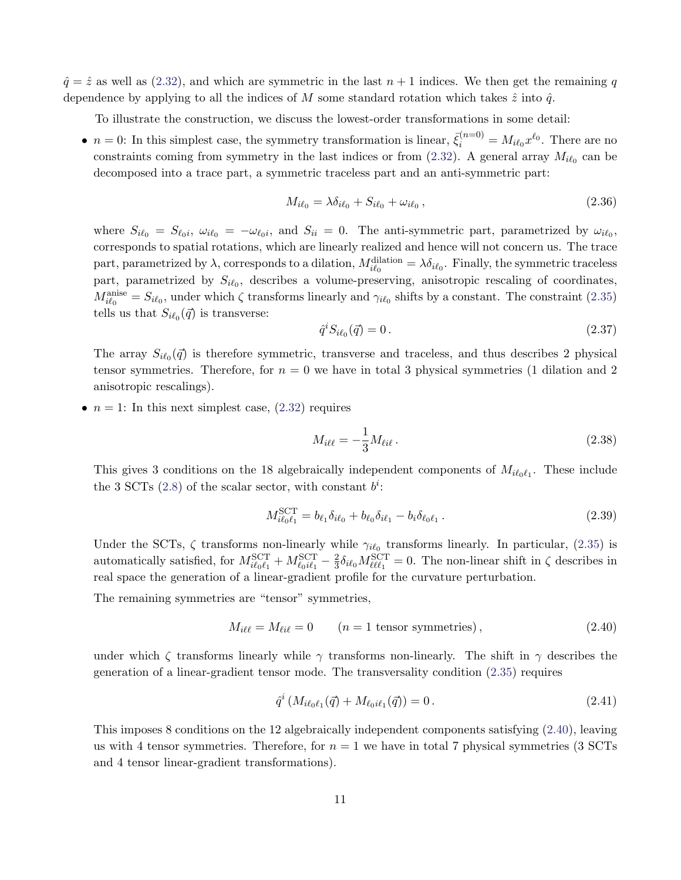$\hat{q} = \hat{z}$  as well as [\(2.32\)](#page-9-1), and which are symmetric in the last  $n + 1$  indices. We then get the remaining q dependence by applying to all the indices of M some standard rotation which takes  $\hat{z}$  into  $\hat{q}$ .

To illustrate the construction, we discuss the lowest-order transformations in some detail:

•  $n = 0$ : In this simplest case, the symmetry transformation is linear,  $\bar{\xi}_i^{(n=0)} = M_{i\ell_0} x^{\ell_0}$ . There are no constraints coming from symmetry in the last indices or from  $(2.32)$ . A general array  $M_{i\ell_0}$  can be decomposed into a trace part, a symmetric traceless part and an anti-symmetric part:

$$
M_{i\ell_0} = \lambda \delta_{i\ell_0} + S_{i\ell_0} + \omega_{i\ell_0},\tag{2.36}
$$

where  $S_{i\ell_0} = S_{\ell_0 i}$ ,  $\omega_{i\ell_0} = -\omega_{\ell_0 i}$ , and  $S_{ii} = 0$ . The anti-symmetric part, parametrized by  $\omega_{i\ell_0}$ , corresponds to spatial rotations, which are linearly realized and hence will not concern us. The trace part, parametrized by  $\lambda$ , corresponds to a dilation,  $M_{i\ell_0}^{\text{dilation}} = \lambda \delta_{i\ell_0}$ . Finally, the symmetric traceless part, parametrized by  $S_{i\ell_0}$ , describes a volume-preserving, anisotropic rescaling of coordinates,  $M_{i\ell_0}^{\text{anise}} = S_{i\ell_0}$ , under which  $\zeta$  transforms linearly and  $\gamma_{i\ell_0}$  shifts by a constant. The constraint [\(2.35\)](#page-10-4) tells us that  $S_{i\ell_0}(\vec{q})$  is transverse:

$$
\hat{q}^i S_{i\ell_0}(\vec{q}) = 0.
$$
\n(2.37)

The array  $S_{i\ell_0}(\vec{q})$  is therefore symmetric, transverse and traceless, and thus describes 2 physical tensor symmetries. Therefore, for  $n = 0$  we have in total 3 physical symmetries (1 dilation and 2 anisotropic rescalings).

•  $n = 1$ : In this next simplest case,  $(2.32)$  requires

$$
M_{i\ell\ell} = -\frac{1}{3} M_{\ell i\ell} \,. \tag{2.38}
$$

This gives 3 conditions on the 18 algebraically independent components of  $M_{i\ell_0\ell_1}$ . These include the 3 SCTs [\(2.8\)](#page-5-5) of the scalar sector, with constant  $b^i$ :

$$
M_{i\ell_0\ell_1}^{\text{SCT}} = b_{\ell_1} \delta_{i\ell_0} + b_{\ell_0} \delta_{i\ell_1} - b_i \delta_{\ell_0\ell_1}.
$$
\n(2.39)

Under the SCTs,  $\zeta$  transforms non-linearly while  $\gamma_{i\ell_0}$  transforms linearly. In particular, [\(2.35\)](#page-10-4) is automatically satisfied, for  $M_{i\ell_0\ell_1}^{\rm SCT} + M_{\ell_0i\ell_1}^{\rm SCT} - \frac{2}{3}$  $\frac{2}{3}\delta_{i\ell_0}M_{\ell\ell\ell_1}^{\text{SCT}}=0$ . The non-linear shift in  $\zeta$  describes in real space the generation of a linear-gradient profile for the curvature perturbation.

The remaining symmetries are "tensor" symmetries,

<span id="page-11-0"></span>
$$
M_{i\ell\ell} = M_{\ell i\ell} = 0 \qquad (n = 1 \text{ tensor symmetries}), \qquad (2.40)
$$

under which  $\zeta$  transforms linearly while  $\gamma$  transforms non-linearly. The shift in  $\gamma$  describes the generation of a linear-gradient tensor mode. The transversality condition [\(2.35\)](#page-10-4) requires

$$
\hat{q}^{i} \left( M_{i\ell_{0}\ell_{1}}(\vec{q}) + M_{\ell_{0}i\ell_{1}}(\vec{q}) \right) = 0. \qquad (2.41)
$$

This imposes 8 conditions on the 12 algebraically independent components satisfying [\(2.40\)](#page-11-0), leaving us with 4 tensor symmetries. Therefore, for  $n = 1$  we have in total 7 physical symmetries (3 SCTs and 4 tensor linear-gradient transformations).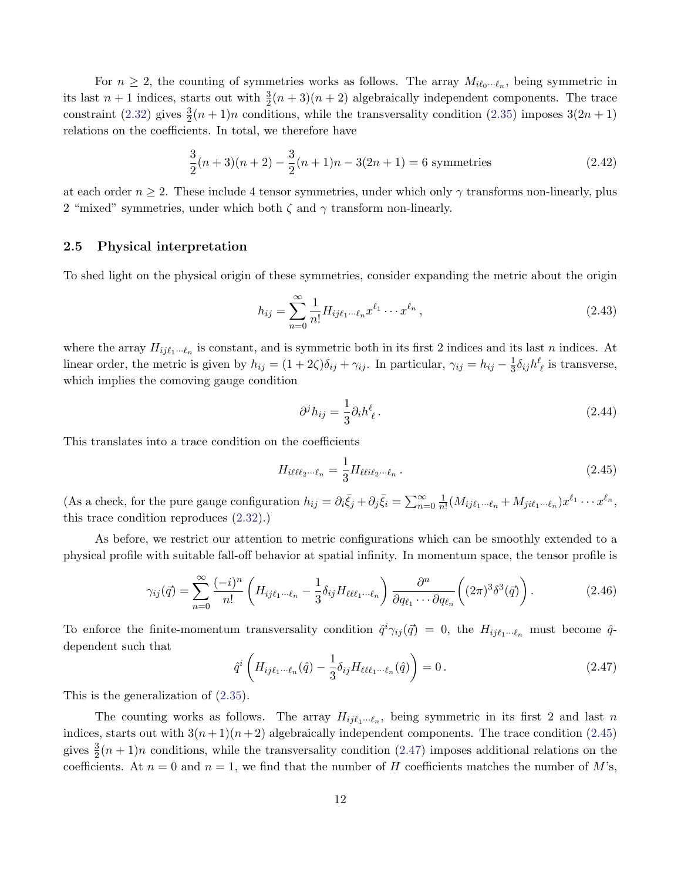For  $n \geq 2$ , the counting of symmetries works as follows. The array  $M_{i\ell_0\cdots\ell_n}$ , being symmetric in its last  $n+1$  indices, starts out with  $\frac{3}{2}(n+3)(n+2)$  algebraically independent components. The trace constraint [\(2.32\)](#page-9-1) gives  $\frac{3}{2}(n+1)n$  conditions, while the transversality condition [\(2.35\)](#page-10-4) imposes  $3(2n+1)$ relations on the coefficients. In total, we therefore have

$$
\frac{3}{2}(n+3)(n+2) - \frac{3}{2}(n+1)n - 3(2n+1) = 6
$$
 symmetries (2.42)

at each order  $n \geq 2$ . These include 4 tensor symmetries, under which only  $\gamma$  transforms non-linearly, plus 2 "mixed" symmetries, under which both  $\zeta$  and  $\gamma$  transform non-linearly.

### 2.5 Physical interpretation

To shed light on the physical origin of these symmetries, consider expanding the metric about the origin

$$
h_{ij} = \sum_{n=0}^{\infty} \frac{1}{n!} H_{ij\ell_1 \cdots \ell_n} x^{\ell_1} \cdots x^{\ell_n},
$$
\n(2.43)

where the array  $H_{ij\ell_1\cdots\ell_n}$  is constant, and is symmetric both in its first 2 indices and its last n indices. At linear order, the metric is given by  $h_{ij} = (1 + 2\zeta)\delta_{ij} + \gamma_{ij}$ . In particular,  $\gamma_{ij} = h_{ij} - \frac{1}{3}$  $\frac{1}{3}\delta_{ij}h^{\ell}_{\ \ell}$  is transverse, which implies the comoving gauge condition

$$
\partial^j h_{ij} = \frac{1}{3} \partial_i h^\ell_{\ \ell} \,. \tag{2.44}
$$

This translates into a trace condition on the coefficients

<span id="page-12-0"></span>
$$
H_{i\ell\ell\ell_2\cdots\ell_n} = \frac{1}{3} H_{\ell\ell i\ell_2\cdots\ell_n} \,. \tag{2.45}
$$

(As a check, for the pure gauge configuration  $h_{ij} = \partial_i \bar{\xi}_j + \partial_j \bar{\xi}_i = \sum_{n=0}^{\infty} \frac{1}{n}$  $\frac{1}{n!} (M_{ij\ell_1\cdots\ell_n} + M_{ji\ell_1\cdots\ell_n}) x^{\ell_1} \cdots x^{\ell_n},$ this trace condition reproduces [\(2.32\)](#page-9-1).)

As before, we restrict our attention to metric configurations which can be smoothly extended to a physical profile with suitable fall-off behavior at spatial infinity. In momentum space, the tensor profile is

$$
\gamma_{ij}(\vec{q}) = \sum_{n=0}^{\infty} \frac{(-i)^n}{n!} \left( H_{ij\ell_1\cdots\ell_n} - \frac{1}{3} \delta_{ij} H_{\ell\ell\ell_1\cdots\ell_n} \right) \frac{\partial^n}{\partial q_{\ell_1} \cdots \partial q_{\ell_n}} \left( (2\pi)^3 \delta^3(\vec{q}) \right). \tag{2.46}
$$

To enforce the finite-momentum transversality condition  $\hat{q}^i\gamma_{ij}(\vec{q}) = 0$ , the  $H_{ij\ell_1\cdots\ell_n}$  must become  $\hat{q}$ dependent such that

<span id="page-12-1"></span>
$$
\hat{q}^i \left( H_{ij\ell_1 \cdots \ell_n}(\hat{q}) - \frac{1}{3} \delta_{ij} H_{\ell \ell \ell_1 \cdots \ell_n}(\hat{q}) \right) = 0.
$$
\n(2.47)

This is the generalization of [\(2.35\)](#page-10-4).

The counting works as follows. The array  $H_{ij\ell_1\cdots\ell_n}$ , being symmetric in its first 2 and last n indices, starts out with  $3(n+1)(n+2)$  algebraically independent components. The trace condition [\(2.45\)](#page-12-0) gives  $\frac{3}{2}(n+1)n$  conditions, while the transversality condition [\(2.47\)](#page-12-1) imposes additional relations on the coefficients. At  $n = 0$  and  $n = 1$ , we find that the number of H coefficients matches the number of M's,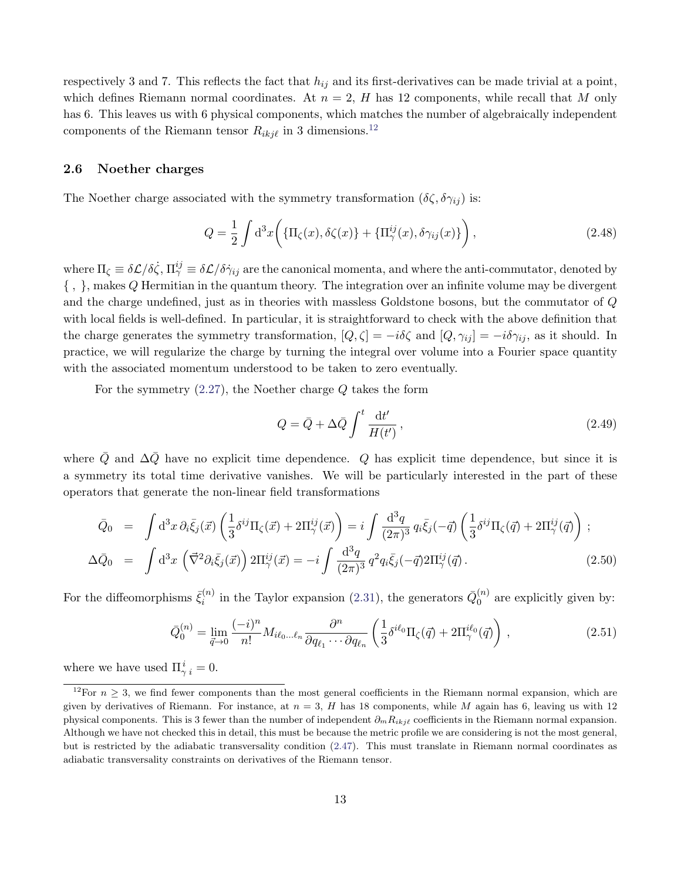respectively 3 and 7. This reflects the fact that  $h_{ij}$  and its first-derivatives can be made trivial at a point, which defines Riemann normal coordinates. At  $n = 2$ , H has 12 components, while recall that M only has 6. This leaves us with 6 physical components, which matches the number of algebraically independent components of the Riemann tensor  $R_{ikj\ell}$  in 3 dimensions.<sup>[12](#page-13-0)</sup>

#### <span id="page-13-3"></span>2.6 Noether charges

The Noether charge associated with the symmetry transformation  $(\delta \zeta, \delta \gamma_{ij})$  is:

$$
Q = \frac{1}{2} \int d^3x \left( \{ \Pi_{\zeta}(x), \delta\zeta(x) \} + \{ \Pi_{\gamma}^{ij}(x), \delta\gamma_{ij}(x) \} \right), \tag{2.48}
$$

where  $\Pi_\zeta \equiv \delta \mathcal{L}/\delta \dot{\zeta}$ ,  $\Pi_\gamma^{ij} \equiv \delta \mathcal{L}/\delta \dot{\gamma}_{ij}$  are the canonical momenta, and where the anti-commutator, denoted by { , }, makes Q Hermitian in the quantum theory. The integration over an infinite volume may be divergent and the charge undefined, just as in theories with massless Goldstone bosons, but the commutator of Q with local fields is well-defined. In particular, it is straightforward to check with the above definition that the charge generates the symmetry transformation,  $[Q,\zeta] = -i\delta\zeta$  and  $[Q,\gamma_{ij}] = -i\delta\gamma_{ij}$ , as it should. In practice, we will regularize the charge by turning the integral over volume into a Fourier space quantity with the associated momentum understood to be taken to zero eventually.

For the symmetry  $(2.27)$ , the Noether charge  $Q$  takes the form

<span id="page-13-1"></span>
$$
Q = \bar{Q} + \Delta \bar{Q} \int^t \frac{\mathrm{d}t'}{H(t')},\tag{2.49}
$$

where  $\overline{Q}$  and  $\Delta \overline{Q}$  have no explicit time dependence. Q has explicit time dependence, but since it is a symmetry its total time derivative vanishes. We will be particularly interested in the part of these operators that generate the non-linear field transformations

<span id="page-13-2"></span>
$$
\bar{Q}_0 = \int d^3x \,\partial_i \bar{\xi}_j(\vec{x}) \left( \frac{1}{3} \delta^{ij} \Pi_{\zeta}(\vec{x}) + 2\Pi_{\gamma}^{ij}(\vec{x}) \right) = i \int \frac{d^3q}{(2\pi)^3} \, q_i \bar{\xi}_j(-\vec{q}) \left( \frac{1}{3} \delta^{ij} \Pi_{\zeta}(\vec{q}) + 2\Pi_{\gamma}^{ij}(\vec{q}) \right) ;
$$
\n
$$
\Delta \bar{Q}_0 = \int d^3x \left( \vec{\nabla}^2 \partial_i \bar{\xi}_j(\vec{x}) \right) 2\Pi_{\gamma}^{ij}(\vec{x}) = -i \int \frac{d^3q}{(2\pi)^3} \, q^2 q_i \bar{\xi}_j(-\vec{q}) 2\Pi_{\gamma}^{ij}(\vec{q}) . \tag{2.50}
$$

For the diffeomorphisms  $\bar{\xi}_i^{(n)}$  $\bar{q}_i^{(n)}$  in the Taylor expansion [\(2.31\)](#page-9-2), the generators  $\bar{Q}_0^{(n)}$  $\binom{n}{0}$  are explicitly given by:

$$
\bar{Q}_0^{(n)} = \lim_{\vec{q}\to 0} \frac{(-i)^n}{n!} M_{i\ell_0\ldots\ell_n} \frac{\partial^n}{\partial q_{\ell_1}\cdots\partial q_{\ell_n}} \left(\frac{1}{3} \delta^{i\ell_0} \Pi_\zeta(\vec{q}) + 2\Pi_\gamma^{i\ell_0}(\vec{q})\right) ,\qquad (2.51)
$$

where we have used  $\Pi_{\gamma i}^{i} = 0$ .

<span id="page-13-0"></span><sup>&</sup>lt;sup>12</sup>For  $n \geq 3$ , we find fewer components than the most general coefficients in the Riemann normal expansion, which are given by derivatives of Riemann. For instance, at  $n = 3$ , H has 18 components, while M again has 6, leaving us with 12 physical components. This is 3 fewer than the number of independent  $\partial_m R_{ikjl}$  coefficients in the Riemann normal expansion. Although we have not checked this in detail, this must be because the metric profile we are considering is not the most general, but is restricted by the adiabatic transversality condition [\(2.47\)](#page-12-1). This must translate in Riemann normal coordinates as adiabatic transversality constraints on derivatives of the Riemann tensor.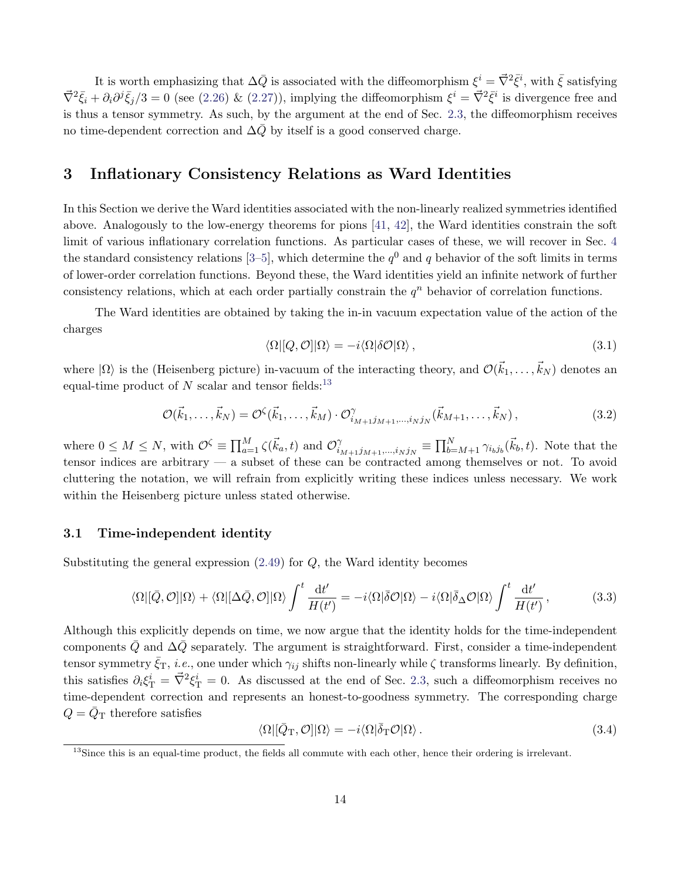It is worth emphasizing that  $\Delta \bar{Q}$  is associated with the diffeomorphism  $\xi^i = \vec{\nabla}^2 \bar{\xi}^i$ , with  $\bar{\xi}$  satisfying  $\vec{\nabla}^2 \bar{\xi}_i + \partial_i \partial^j \bar{\xi}_j / 3 = 0$  (see [\(2.26\)](#page-8-2) & [\(2.27\)](#page-8-3)), implying the diffeomorphism  $\xi^i = \vec{\nabla}^2 \bar{\xi}^i$  is divergence free and is thus a tensor symmetry. As such, by the argument at the end of Sec. [2.3,](#page-7-0) the diffeomorphism receives no time-dependent correction and  $\Delta Q$  by itself is a good conserved charge.

## <span id="page-14-0"></span>3 Inflationary Consistency Relations as Ward Identities

In this Section we derive the Ward identities associated with the non-linearly realized symmetries identified above. Analogously to the low-energy theorems for pions [\[41,](#page-43-8) [42\]](#page-43-9), the Ward identities constrain the soft limit of various inflationary correlation functions. As particular cases of these, we will recover in Sec. [4](#page-21-0) the standard consistency relations [\[3](#page-41-2)[–5\]](#page-41-3), which determine the  $q<sup>0</sup>$  and q behavior of the soft limits in terms of lower-order correlation functions. Beyond these, the Ward identities yield an infinite network of further consistency relations, which at each order partially constrain the  $q<sup>n</sup>$  behavior of correlation functions.

The Ward identities are obtained by taking the in-in vacuum expectation value of the action of the charges

$$
\langle \Omega | [Q, \mathcal{O}] | \Omega \rangle = -i \langle \Omega | \delta \mathcal{O} | \Omega \rangle, \qquad (3.1)
$$

where  $|\Omega\rangle$  is the (Heisenberg picture) in-vacuum of the interacting theory, and  $\mathcal{O}(\vec{k}_1,\ldots,\vec{k}_N)$  denotes an equal-time product of  $N$  scalar and tensor fields:<sup>[13](#page-14-1)</sup>

$$
\mathcal{O}(\vec{k}_1,\ldots,\vec{k}_N) = \mathcal{O}^{\zeta}(\vec{k}_1,\ldots,\vec{k}_M) \cdot \mathcal{O}^{\gamma}_{i_{M+1}j_{M+1},\ldots,i_Nj_N}(\vec{k}_{M+1},\ldots,\vec{k}_N),\tag{3.2}
$$

where  $0 \leq M \leq N$ , with  $\mathcal{O}^{\zeta} \equiv \prod_{a=1}^{M} \zeta(\vec{k}_a, t)$  and  $\mathcal{O}^{\gamma}_{i}$  $\hat{N}_{i_{M+1}j_{M+1},...,i_Nj_N} \equiv \prod_{b=M+1}^N \gamma_{i_b j_b}(\vec{k}_b, t)$ . Note that the tensor indices are arbitrary — a subset of these can be contracted among themselves or not. To avoid cluttering the notation, we will refrain from explicitly writing these indices unless necessary. We work within the Heisenberg picture unless stated otherwise.

### 3.1 Time-independent identity

Substituting the general expression  $(2.49)$  for  $Q$ , the Ward identity becomes

<span id="page-14-2"></span>
$$
\langle \Omega | [\bar{Q}, \mathcal{O}] | \Omega \rangle + \langle \Omega | [\Delta \bar{Q}, \mathcal{O}] | \Omega \rangle \int^t \frac{\mathrm{d}t'}{H(t')} = -i \langle \Omega | \bar{\delta} \mathcal{O} | \Omega \rangle - i \langle \Omega | \bar{\delta}_{\Delta} \mathcal{O} | \Omega \rangle \int^t \frac{\mathrm{d}t'}{H(t')} , \tag{3.3}
$$

Although this explicitly depends on time, we now argue that the identity holds for the time-independent components  $\overline{Q}$  and  $\Delta \overline{Q}$  separately. The argument is straightforward. First, consider a time-independent tensor symmetry  $\bar{\zeta}_{T}$ , *i.e.*, one under which  $\gamma_{ij}$  shifts non-linearly while  $\zeta$  transforms linearly. By definition, this satisfies  $\partial_i \xi^i$  =  $\vec{\nabla}^2 \xi^i$  = 0. As discussed at the end of Sec. [2.3,](#page-7-0) such a diffeomorphism receives no time-dependent correction and represents an honest-to-goodness symmetry. The corresponding charge  $Q = Q<sub>T</sub>$  therefore satisfies

$$
\langle \Omega | [\bar{Q}_{\rm T}, \mathcal{O}] | \Omega \rangle = -i \langle \Omega | \bar{\delta}_{\rm T} \mathcal{O} | \Omega \rangle. \tag{3.4}
$$

<span id="page-14-1"></span><sup>&</sup>lt;sup>13</sup>Since this is an equal-time product, the fields all commute with each other, hence their ordering is irrelevant.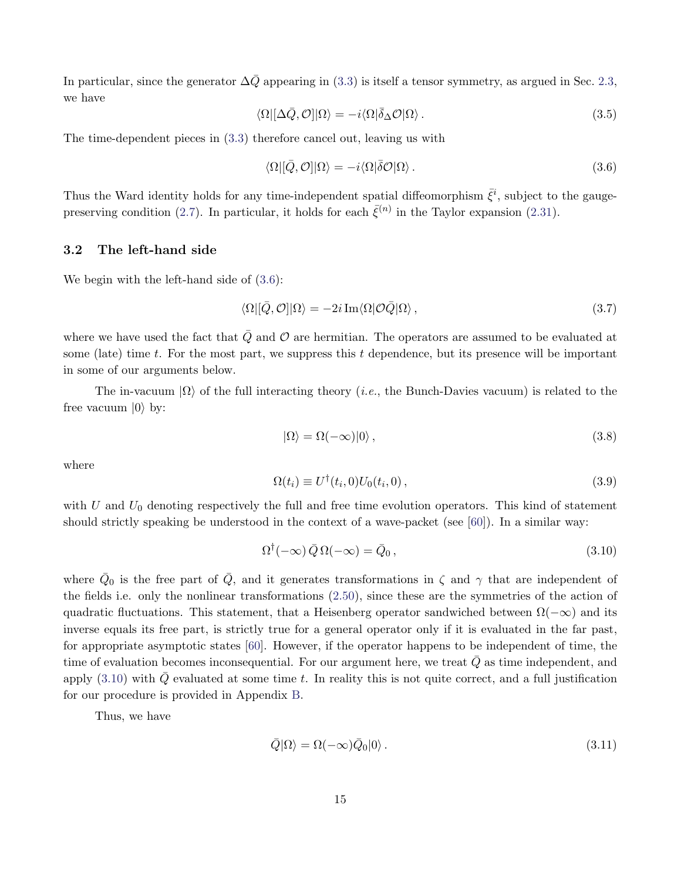In particular, since the generator  $\Delta\bar{Q}$  appearing in [\(3.3\)](#page-14-2) is itself a tensor symmetry, as argued in Sec. [2.3,](#page-7-0) we have

$$
\langle \Omega | [\Delta \bar{Q}, \mathcal{O}] | \Omega \rangle = -i \langle \Omega | \bar{\delta}_{\Delta} \mathcal{O} | \Omega \rangle. \tag{3.5}
$$

The time-dependent pieces in [\(3.3\)](#page-14-2) therefore cancel out, leaving us with

<span id="page-15-0"></span>
$$
\langle \Omega | [\bar{Q}, \mathcal{O}] | \Omega \rangle = -i \langle \Omega | \bar{\delta} \mathcal{O} | \Omega \rangle. \tag{3.6}
$$

Thus the Ward identity holds for any time-independent spatial diffeomorphism  $\bar{\xi}^i$ , subject to the gauge-preserving condition [\(2.7\)](#page-5-2). In particular, it holds for each  $\bar{\xi}^{(n)}$  in the Taylor expansion [\(2.31\)](#page-9-2).

### <span id="page-15-4"></span>3.2 The left-hand side

We begin with the left-hand side of  $(3.6)$ :

<span id="page-15-3"></span>
$$
\langle \Omega | [\bar{Q}, \mathcal{O}] | \Omega \rangle = -2i \operatorname{Im} \langle \Omega | \mathcal{O}\bar{Q} | \Omega \rangle, \qquad (3.7)
$$

where we have used the fact that  $\overline{Q}$  and  $\overline{O}$  are hermitian. The operators are assumed to be evaluated at some (late) time t. For the most part, we suppress this t dependence, but its presence will be important in some of our arguments below.

The in-vacuum  $|\Omega\rangle$  of the full interacting theory (*i.e.*, the Bunch-Davies vacuum) is related to the free vacuum  $|0\rangle$  by:

$$
|\Omega\rangle = \Omega(-\infty)|0\rangle\,,\tag{3.8}
$$

where

$$
\Omega(t_i) \equiv U^\dagger(t_i, 0) U_0(t_i, 0) \,, \tag{3.9}
$$

with  $U$  and  $U_0$  denoting respectively the full and free time evolution operators. This kind of statement should strictly speaking be understood in the context of a wave-packet (see [\[60\]](#page-44-8)). In a similar way:

<span id="page-15-1"></span>
$$
\Omega^{\dagger}(-\infty)\,\bar{Q}\,\Omega(-\infty) = \bar{Q}_0\,,\tag{3.10}
$$

where  $\bar{Q}_0$  is the free part of  $\bar{Q}$ , and it generates transformations in  $\zeta$  and  $\gamma$  that are independent of the fields i.e. only the nonlinear transformations [\(2.50\)](#page-13-2), since these are the symmetries of the action of quadratic fluctuations. This statement, that a Heisenberg operator sandwiched between  $\Omega(-\infty)$  and its inverse equals its free part, is strictly true for a general operator only if it is evaluated in the far past, for appropriate asymptotic states [\[60\]](#page-44-8). However, if the operator happens to be independent of time, the time of evaluation becomes inconsequential. For our argument here, we treat  $\overline{Q}$  as time independent, and apply  $(3.10)$  with  $\overline{Q}$  evaluated at some time t. In reality this is not quite correct, and a full justification for our procedure is provided in Appendix [B.](#page-31-0)

Thus, we have

<span id="page-15-2"></span>
$$
\bar{Q}|\Omega\rangle = \Omega(-\infty)\bar{Q}_0|0\rangle. \tag{3.11}
$$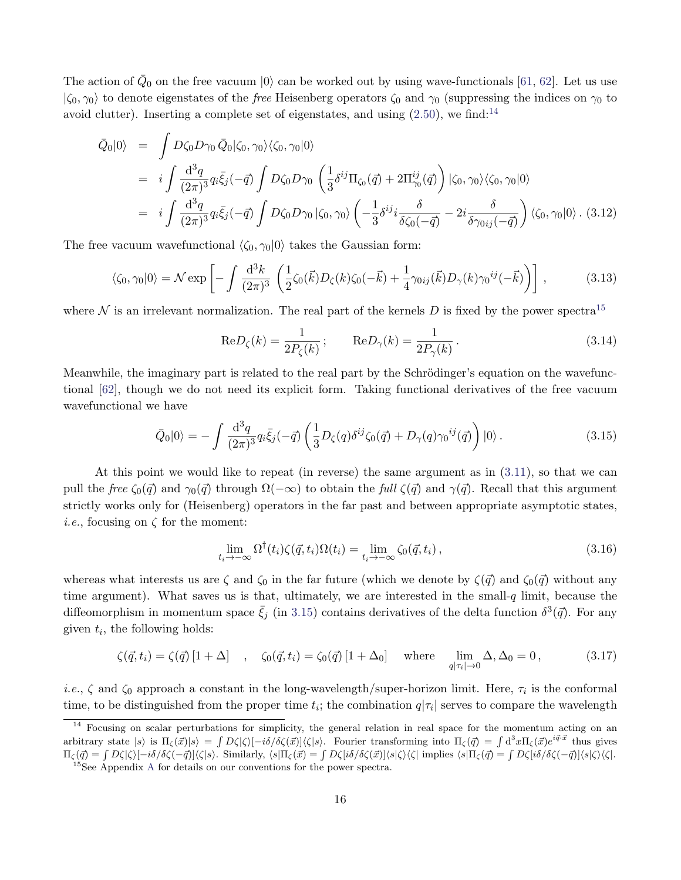The action of  $\bar{Q}_0$  on the free vacuum  $|0\rangle$  can be worked out by using wave-functionals [\[61,](#page-44-9) [62\]](#page-44-10). Let us use  $|\zeta_0, \gamma_0\rangle$  to denote eigenstates of the *free* Heisenberg operators  $\zeta_0$  and  $\gamma_0$  (suppressing the indices on  $\gamma_0$  to avoid clutter). Inserting a complete set of eigenstates, and using  $(2.50)$ , we find:<sup>[14](#page-16-0)</sup>

$$
\begin{split}\n\bar{Q}_{0}|0\rangle &= \int D\zeta_{0}D\gamma_{0}\,\bar{Q}_{0}|\zeta_{0},\gamma_{0}\rangle\langle\zeta_{0},\gamma_{0}|0\rangle \\
&= i \int \frac{\mathrm{d}^{3}q}{(2\pi)^{3}} q_{i}\bar{\xi}_{j}(-\vec{q}) \int D\zeta_{0}D\gamma_{0} \left(\frac{1}{3}\delta^{ij}\Pi_{\zeta_{0}}(\vec{q}) + 2\Pi_{\gamma_{0}}^{ij}(\vec{q})\right)|\zeta_{0},\gamma_{0}\rangle\langle\zeta_{0},\gamma_{0}|0\rangle \\
&= i \int \frac{\mathrm{d}^{3}q}{(2\pi)^{3}} q_{i}\bar{\xi}_{j}(-\vec{q}) \int D\zeta_{0}D\gamma_{0}| \zeta_{0},\gamma_{0}\rangle \left(-\frac{1}{3}\delta^{ij}i\frac{\delta}{\delta\zeta_{0}(-\vec{q})} - 2i\frac{\delta}{\delta\gamma_{0ij}(-\vec{q})}\right)\langle\zeta_{0},\gamma_{0}|0\rangle. \tag{3.12}\n\end{split}
$$

The free vacuum wavefunctional  $\langle \zeta_0, \gamma_0 | 0 \rangle$  takes the Gaussian form:

<span id="page-16-5"></span>
$$
\langle \zeta_0, \gamma_0 | 0 \rangle = \mathcal{N} \exp \left[ - \int \frac{\mathrm{d}^3 k}{(2\pi)^3} \left( \frac{1}{2} \zeta_0(\vec{k}) D_\zeta(k) \zeta_0(-\vec{k}) + \frac{1}{4} \gamma_{0ij}(\vec{k}) D_\gamma(k) \gamma_0^{ij}(-\vec{k}) \right) \right],\tag{3.13}
$$

where  $\mathcal N$  is an irrelevant normalization. The real part of the kernels D is fixed by the power spectra<sup>[15](#page-16-1)</sup>

$$
\text{Re}D_{\zeta}(k) = \frac{1}{2P_{\zeta}(k)}; \qquad \text{Re}D_{\gamma}(k) = \frac{1}{2P_{\gamma}(k)}.
$$
\n(3.14)

Meanwhile, the imaginary part is related to the real part by the Schrödinger's equation on the wavefunctional [\[62\]](#page-44-10), though we do not need its explicit form. Taking functional derivatives of the free vacuum wavefunctional we have

<span id="page-16-2"></span>
$$
\bar{Q}_0|0\rangle = -\int \frac{\mathrm{d}^3q}{(2\pi)^3} q_i \bar{\xi}_j(-\vec{q}) \left( \frac{1}{3} D_\zeta(q) \delta^{ij} \zeta_0(\vec{q}) + D_\gamma(q) \gamma_0^{ij}(\vec{q}) \right) |0\rangle. \tag{3.15}
$$

At this point we would like to repeat (in reverse) the same argument as in [\(3.11\)](#page-15-2), so that we can pull the free  $\zeta_0(\vec{q})$  and  $\gamma_0(\vec{q})$  through  $\Omega(-\infty)$  to obtain the full  $\zeta(\vec{q})$  and  $\gamma(\vec{q})$ . Recall that this argument strictly works only for (Heisenberg) operators in the far past and between appropriate asymptotic states, *i.e.*, focusing on  $\zeta$  for the moment:

<span id="page-16-4"></span>
$$
\lim_{t_i \to -\infty} \Omega^{\dagger}(t_i) \zeta(\vec{q}, t_i) \Omega(t_i) = \lim_{t_i \to -\infty} \zeta_0(\vec{q}, t_i), \qquad (3.16)
$$

whereas what interests us are  $\zeta$  and  $\zeta_0$  in the far future (which we denote by  $\zeta(\vec{q})$  and  $\zeta_0(\vec{q})$  without any time argument). What saves us is that, ultimately, we are interested in the small- $q$  limit, because the diffeomorphism in momentum space  $\bar{\xi}_j$  (in [3.15\)](#page-16-2) contains derivatives of the delta function  $\delta^3(\vec{q})$ . For any given  $t_i$ , the following holds:

<span id="page-16-3"></span>
$$
\zeta(\vec{q}, t_i) = \zeta(\vec{q}) \left[1 + \Delta\right] \quad , \quad \zeta_0(\vec{q}, t_i) = \zeta_0(\vec{q}) \left[1 + \Delta_0\right] \quad \text{where} \quad \lim_{q|\tau_i| \to 0} \Delta, \Delta_0 = 0 \,, \tag{3.17}
$$

*i.e.*,  $\zeta$  and  $\zeta_0$  approach a constant in the long-wavelength/super-horizon limit. Here,  $\tau_i$  is the conformal time, to be distinguished from the proper time  $t_i$ ; the combination  $q|\tau_i|$  serves to compare the wavelength

<span id="page-16-0"></span><sup>&</sup>lt;sup>14</sup> Focusing on scalar perturbations for simplicity, the general relation in real space for the momentum acting on an arbitrary state  $|s\rangle$  is  $\Pi_{\zeta}(\vec{x})|s\rangle = \int D\zeta |\zeta\rangle [-i\delta/\delta\zeta(\vec{x})]\langle\zeta|s\rangle$ . Fourier transforming into  $\Pi_{\zeta}(\vec{q}) = \int d^3x \Pi_{\zeta}(\vec{x})e^{i\vec{q}\cdot\vec{x}}$  thus gives  $\Pi_{\zeta}(\vec{q}) = \int D\zeta |\zeta\rangle [-i\delta/\delta\zeta(-\vec{q})] \langle\zeta|s\rangle$ . Similarly,  $\langle s|\Pi_{\zeta}(\vec{x}) = \int D\zeta[i\delta/\delta\zeta(\vec{x})] \langle s|\zeta\rangle \langle\zeta|$  implies  $\langle s|\Pi_{\zeta}(\vec{q}) = \int D\zeta[i\delta/\delta\zeta(-\vec{q})] \langle s|\zeta\rangle \langle\zeta|$ .

<span id="page-16-1"></span><sup>15</sup>See Appendix [A](#page-29-0) for details on our conventions for the power spectra.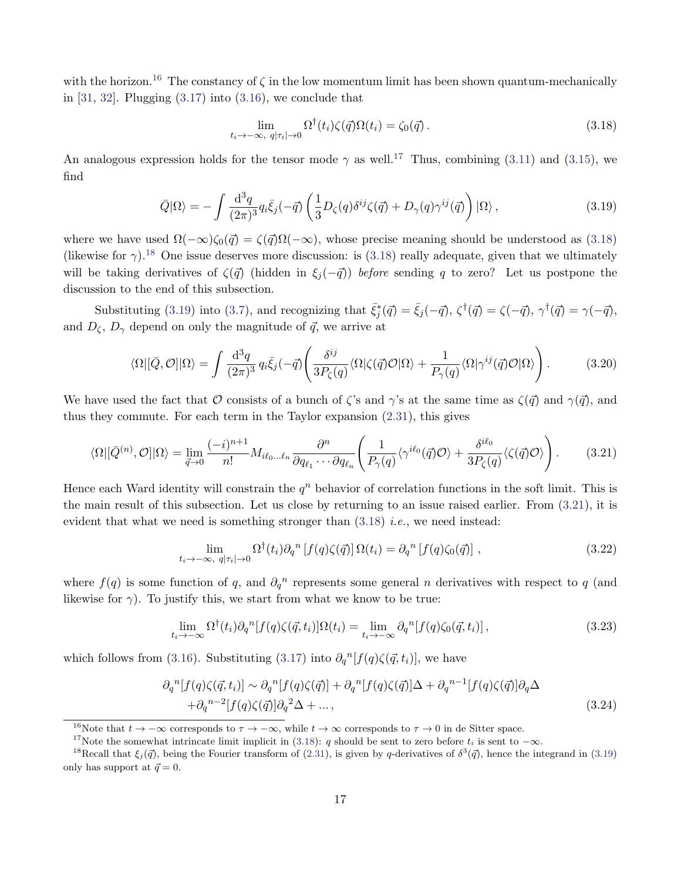with the horizon.<sup>[16](#page-17-0)</sup> The constancy of  $\zeta$  in the low momentum limit has been shown quantum-mechanically in  $[31, 32]$  $[31, 32]$ . Plugging  $(3.17)$  into  $(3.16)$ , we conclude that

<span id="page-17-2"></span>
$$
\lim_{t_i \to -\infty, \ q|\tau_i| \to 0} \Omega^{\dagger}(t_i) \zeta(\vec{q}) \Omega(t_i) = \zeta_0(\vec{q}) \,. \tag{3.18}
$$

An analogous expression holds for the tensor mode  $\gamma$  as well.<sup>[17](#page-17-1)</sup> Thus, combining [\(3.11\)](#page-15-2) and [\(3.15\)](#page-16-2), we find

<span id="page-17-4"></span>
$$
\bar{Q}|\Omega\rangle = -\int \frac{\mathrm{d}^3 q}{(2\pi)^3} q_i \bar{\xi}_j(-\vec{q}) \left( \frac{1}{3} D_\zeta(q) \delta^{ij} \zeta(\vec{q}) + D_\gamma(q) \gamma^{ij}(\vec{q}) \right) |\Omega\rangle , \qquad (3.19)
$$

where we have used  $\Omega(-\infty)\zeta_0(\vec{q}) = \zeta(\vec{q})\Omega(-\infty)$ , whose precise meaning should be understood as [\(3.18\)](#page-17-2) (likewise for  $\gamma$ ).<sup>[18](#page-17-3)</sup> One issue deserves more discussion: is [\(3.18\)](#page-17-2) really adequate, given that we ultimately will be taking derivatives of  $\zeta(\vec{q})$  (hidden in  $\xi_i(-\vec{q})$ ) before sending q to zero? Let us postpone the discussion to the end of this subsection.

Substituting [\(3.19\)](#page-17-4) into [\(3.7\)](#page-15-3), and recognizing that  $\bar{\xi}_j^*(\vec{q}) = \bar{\xi}_j(-\vec{q}), \zeta^{\dagger}(\vec{q}) = \zeta(-\vec{q}), \gamma^{\dagger}(\vec{q}) = \gamma(-\vec{q}),$ and  $D_{\zeta}, D_{\gamma}$  depend on only the magnitude of  $\vec{q}$ , we arrive at

$$
\langle \Omega | [\bar{Q}, \mathcal{O}] | \Omega \rangle = \int \frac{\mathrm{d}^3 q}{(2\pi)^3} q_i \bar{\xi}_j (-\vec{q}) \left( \frac{\delta^{ij}}{3P_{\zeta}(q)} \langle \Omega | \zeta(\vec{q}) \mathcal{O} | \Omega \rangle + \frac{1}{P_{\gamma}(q)} \langle \Omega | \gamma^{ij}(\vec{q}) \mathcal{O} | \Omega \rangle \right). \tag{3.20}
$$

We have used the fact that O consists of a bunch of  $\zeta$ 's and  $\gamma$ 's at the same time as  $\zeta(\vec{q})$  and  $\gamma(\vec{q})$ , and thus they commute. For each term in the Taylor expansion [\(2.31\)](#page-9-2), this gives

<span id="page-17-5"></span>
$$
\langle \Omega | [\bar{Q}^{(n)}, \mathcal{O}] | \Omega \rangle = \lim_{\vec{q} \to 0} \frac{(-i)^{n+1}}{n!} M_{i\ell_0 \dots \ell_n} \frac{\partial^n}{\partial q_{\ell_1} \cdots \partial q_{\ell_n}} \left( \frac{1}{P_{\gamma}(q)} \langle \gamma^{i\ell_0}(\vec{q}) \mathcal{O} \rangle + \frac{\delta^{i\ell_0}}{3P_{\zeta}(q)} \langle \zeta(\vec{q}) \mathcal{O} \rangle \right). \tag{3.21}
$$

Hence each Ward identity will constrain the  $q^n$  behavior of correlation functions in the soft limit. This is the main result of this subsection. Let us close by returning to an issue raised earlier. From [\(3.21\)](#page-17-5), it is evident that what we need is something stronger than  $(3.18)$  *i.e.*, we need instead:

<span id="page-17-6"></span>
$$
\lim_{t_i \to -\infty, \ q|\tau_i| \to 0} \Omega^{\dagger}(t_i) \partial_q^{\ n} \left[ f(q)\zeta(\vec{q}) \right] \Omega(t_i) = \partial_q^{\ n} \left[ f(q)\zeta_0(\vec{q}) \right], \tag{3.22}
$$

where  $f(q)$  is some function of q, and  $\partial_q^n$  represents some general n derivatives with respect to q (and likewise for  $\gamma$ ). To justify this, we start from what we know to be true:

$$
\lim_{t_i \to -\infty} \Omega^{\dagger}(t_i) \partial_q^{\;n} [f(q)\zeta(\vec{q}, t_i)] \Omega(t_i) = \lim_{t_i \to -\infty} \partial_q^{\;n} [f(q)\zeta_0(\vec{q}, t_i)], \tag{3.23}
$$

which follows from [\(3.16\)](#page-16-4). Substituting [\(3.17\)](#page-16-3) into  $\partial_q^{\{n\}}[f(q)\zeta(\vec{q}, t_i)]$ , we have

$$
\partial_q^n[f(q)\zeta(\vec{q},t_i)] \sim \partial_q^n[f(q)\zeta(\vec{q})] + \partial_q^n[f(q)\zeta(\vec{q})]\Delta + \partial_q^{n-1}[f(q)\zeta(\vec{q})]\partial_q\Delta
$$
  
 
$$
+ \partial_q^{n-2}[f(q)\zeta(\vec{q})]\partial_q^2\Delta + ..., \qquad (3.24)
$$

<span id="page-17-0"></span><sup>&</sup>lt;sup>16</sup>Note that  $t \to -\infty$  corresponds to  $\tau \to -\infty$ , while  $t \to \infty$  corresponds to  $\tau \to 0$  in de Sitter space.

<span id="page-17-3"></span><span id="page-17-1"></span><sup>&</sup>lt;sup>17</sup>Note the somewhat intrincate limit implicit in [\(3.18\)](#page-17-2): q should be sent to zero before  $t_i$  is sent to  $-\infty$ .

<sup>&</sup>lt;sup>18</sup>Recall that  $\xi_j(\vec{q})$ , being the Fourier transform of [\(2.31\)](#page-9-2), is given by q-derivatives of  $\delta^3(\vec{q})$ , hence the integrand in [\(3.19\)](#page-17-4) only has support at  $\vec{q} = 0$ .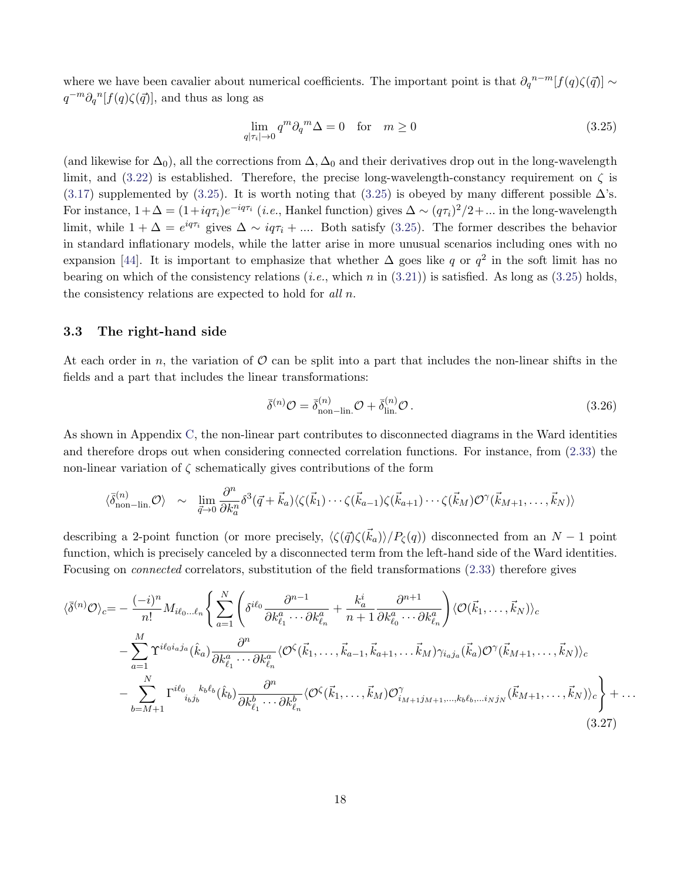where we have been cavalier about numerical coefficients. The important point is that  $\partial_q^{n-m}[f(q)\zeta(\vec{q})] \sim$  $q^{-m}\partial_q{}^n[f(q)\zeta(\vec{q})],$  and thus as long as

<span id="page-18-0"></span>
$$
\lim_{q|\tau_i| \to 0} q^m \partial_q^m \Delta = 0 \quad \text{for} \quad m \ge 0 \tag{3.25}
$$

(and likewise for  $\Delta_0$ ), all the corrections from  $\Delta$ ,  $\Delta_0$  and their derivatives drop out in the long-wavelength limit, and [\(3.22\)](#page-17-6) is established. Therefore, the precise long-wavelength-constancy requirement on  $\zeta$  is [\(3.17\)](#page-16-3) supplemented by [\(3.25\)](#page-18-0). It is worth noting that (3.25) is obeyed by many different possible  $\Delta$ 's. For instance,  $1+\Delta = (1+iq\tau_i)e^{-iq\tau_i}$  (*i.e.*, Hankel function) gives  $\Delta \sim (q\tau_i)^2/2 + ...$  in the long-wavelength limit, while  $1 + \Delta = e^{iq\tau_i}$  gives  $\Delta \sim iq\tau_i + ...$  Both satisfy [\(3.25\)](#page-18-0). The former describes the behavior in standard inflationary models, while the latter arise in more unusual scenarios including ones with no expansion [\[44\]](#page-43-11). It is important to emphasize that whether  $\Delta$  goes like q or  $q^2$  in the soft limit has no bearing on which of the consistency relations (*i.e.*, which n in  $(3.21)$ ) is satisfied. As long as  $(3.25)$  holds, the consistency relations are expected to hold for all n.

#### 3.3 The right-hand side

At each order in n, the variation of  $\mathcal O$  can be split into a part that includes the non-linear shifts in the fields and a part that includes the linear transformations:

$$
\bar{\delta}^{(n)}\mathcal{O} = \bar{\delta}_{\text{non-lin.}}^{(n)}\mathcal{O} + \bar{\delta}_{\text{lin.}}^{(n)}\mathcal{O} \,. \tag{3.26}
$$

As shown in Appendix [C,](#page-32-0) the non-linear part contributes to disconnected diagrams in the Ward identities and therefore drops out when considering connected correlation functions. For instance, from [\(2.33\)](#page-10-2) the non-linear variation of  $\zeta$  schematically gives contributions of the form

$$
\langle \vec{\delta}_{\text{non-lin.}}^{(n)} \mathcal{O} \rangle \sim \lim_{\vec{q} \to 0} \frac{\partial^n}{\partial k_a^n} \delta^3(\vec{q} + \vec{k}_a) \langle \zeta(\vec{k}_1) \cdots \zeta(\vec{k}_{a-1}) \zeta(\vec{k}_{a+1}) \cdots \zeta(\vec{k}_M) \mathcal{O}^{\gamma}(\vec{k}_{M+1}, \dots, \vec{k}_N) \rangle
$$

describing a 2-point function (or more precisely,  $\langle \zeta(\vec{q})\zeta(\vec{k}_a)\rangle/P_\zeta(q)$ ) disconnected from an  $N-1$  point function, which is precisely canceled by a disconnected term from the left-hand side of the Ward identities. Focusing on connected correlators, substitution of the field transformations [\(2.33\)](#page-10-2) therefore gives

$$
\langle \bar{\delta}^{(n)} \mathcal{O} \rangle_c = -\frac{(-i)^n}{n!} M_{i\ell_0 \dots \ell_n} \Bigg\{ \sum_{a=1}^N \left( \delta^{i\ell_0} \frac{\partial^{n-1}}{\partial k_{\ell_1}^a \cdots \partial k_{\ell_n}^a} + \frac{k_a^i}{n+1} \frac{\partial^{n+1}}{\partial k_{\ell_0}^a \cdots \partial k_{\ell_n}^a} \right) \langle \mathcal{O}(\vec{k}_1, \dots, \vec{k}_N) \rangle_c
$$
  
 
$$
- \sum_{a=1}^M \Upsilon^{i\ell_0 i_a j_a}(\hat{k}_a) \frac{\partial^n}{\partial k_{\ell_1}^a \cdots \partial k_{\ell_n}^a} \langle \mathcal{O}^{\zeta}(\vec{k}_1, \dots, \vec{k}_{a-1}, \vec{k}_{a+1}, \dots, \vec{k}_M) \gamma_{i_a j_a}(\vec{k}_a) \mathcal{O}^{\gamma}(\vec{k}_{M+1}, \dots, \vec{k}_N) \rangle_c
$$
  
 
$$
- \sum_{b=M+1}^N \Gamma^{i\ell_0} \kappa^{k_b \ell_b}_{i_b j_b}(\hat{k}_b) \frac{\partial^n}{\partial k_{\ell_1}^b \cdots \partial k_{\ell_n}^b} \langle \mathcal{O}^{\zeta}(\vec{k}_1, \dots, \vec{k}_M) \mathcal{O}^{\gamma}_{i_{M+1} j_{M+1}, \dots, k_b \ell_b, \dots i_N j_N}(\vec{k}_{M+1}, \dots, \vec{k}_N) \rangle_c \Bigg\} + \dots
$$
(3.27)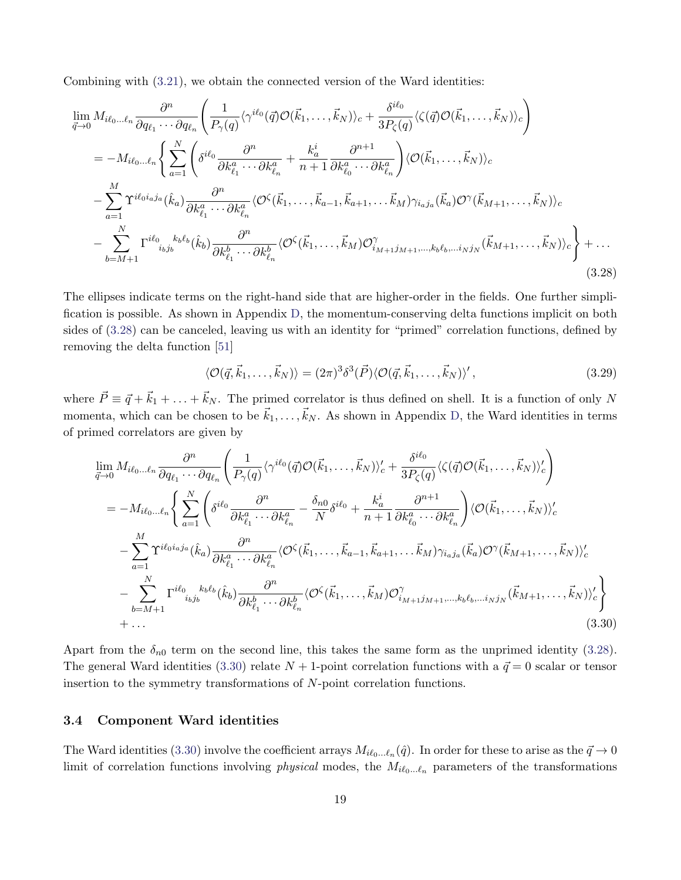Combining with [\(3.21\)](#page-17-5), we obtain the connected version of the Ward identities:

<span id="page-19-0"></span>
$$
\lim_{\vec{q}\to 0} M_{i\ell_0\ldots\ell_n} \frac{\partial^n}{\partial q_{\ell_1}\cdots\partial q_{\ell_n}} \left( \frac{1}{P_{\gamma}(q)} \langle \gamma^{i\ell_0}(\vec{q}) \mathcal{O}(\vec{k}_1,\ldots,\vec{k}_N) \rangle_c + \frac{\delta^{i\ell_0}}{3P_{\zeta}(q)} \langle \zeta(\vec{q}) \mathcal{O}(\vec{k}_1,\ldots,\vec{k}_N) \rangle_c \right) \n= -M_{i\ell_0\ldots\ell_n} \left\{ \sum_{a=1}^N \left( \delta^{i\ell_0} \frac{\partial^n}{\partial k_{\ell_1}^a \cdots \partial k_{\ell_n}^a} + \frac{k_a^i}{n+1} \frac{\partial^{n+1}}{\partial k_{\ell_0}^a \cdots \partial k_{\ell_n}^a} \right) \langle \mathcal{O}(\vec{k}_1,\ldots,\vec{k}_N) \rangle_c \n- \sum_{a=1}^M \Upsilon^{i\ell_0 i_a j_a}(\hat{k}_a) \frac{\partial^n}{\partial k_{\ell_1}^a \cdots \partial k_{\ell_n}^a} \langle \mathcal{O}^{\zeta}(\vec{k}_1,\ldots,\vec{k}_{a-1},\vec{k}_{a+1},\ldots,\vec{k}_M) \gamma_{i_a j_a}(\vec{k}_a) \mathcal{O}^{\gamma}(\vec{k}_{M+1},\ldots,\vec{k}_N) \rangle_c \n- \sum_{b=M+1}^N \Gamma^{i\ell_0} \zeta^{k_b \ell_b}_{i_b j_b}(\hat{k}_b) \frac{\partial^n}{\partial k_{\ell_1}^b \cdots \partial k_{\ell_n}^b} \langle \mathcal{O}^{\zeta}(\vec{k}_1,\ldots,\vec{k}_M) \mathcal{O}^{\gamma}_{i_{M+1} j_{M+1},\ldots,k_b \ell_b,\ldots i_N j_N}(\vec{k}_{M+1},\ldots,\vec{k}_N) \rangle_c \right\} + \ldots
$$
\n(3.28)

The ellipses indicate terms on the right-hand side that are higher-order in the fields. One further simplification is possible. As shown in Appendix [D,](#page-35-0) the momentum-conserving delta functions implicit on both sides of [\(3.28\)](#page-19-0) can be canceled, leaving us with an identity for "primed" correlation functions, defined by removing the delta function [\[51\]](#page-44-11)

<span id="page-19-2"></span>
$$
\langle \mathcal{O}(\vec{q}, \vec{k}_1, \dots, \vec{k}_N) \rangle = (2\pi)^3 \delta^3(\vec{P}) \langle \mathcal{O}(\vec{q}, \vec{k}_1, \dots, \vec{k}_N) \rangle', \tag{3.29}
$$

where  $\vec{P} \equiv \vec{q} + \vec{k}_1 + \ldots + \vec{k}_N$ . The primed correlator is thus defined on shell. It is a function of only N momenta, which can be chosen to be  $\vec{k}_1,\ldots,\vec{k}_N$ . As shown in Appendix [D,](#page-35-0) the Ward identities in terms of primed correlators are given by

<span id="page-19-1"></span>
$$
\lim_{\vec{q}\to 0} M_{i\ell_0...\ell_n} \frac{\partial^n}{\partial q_{\ell_1} \cdots \partial q_{\ell_n}} \left( \frac{1}{P_{\gamma}(q)} \langle \gamma^{i\ell_0}(\vec{q}) \mathcal{O}(\vec{k}_1, \ldots, \vec{k}_N) \rangle_c' + \frac{\delta^{i\ell_0}}{3P_{\zeta}(q)} \langle \zeta(\vec{q}) \mathcal{O}(\vec{k}_1, \ldots, \vec{k}_N) \rangle_c' \right) \n= -M_{i\ell_0...\ell_n} \left\{ \sum_{a=1}^N \left( \delta^{i\ell_0} \frac{\partial^n}{\partial k_{\ell_1}^a \cdots \partial k_{\ell_n}^a} - \frac{\delta_{n0}}{N} \delta^{i\ell_0} + \frac{k_a^i}{n+1} \frac{\partial^{n+1}}{\partial k_{\ell_0}^a \cdots \partial k_{\ell_n}^a} \right) \langle \mathcal{O}(\vec{k}_1, \ldots, \vec{k}_N) \rangle_c' - \sum_{a=1}^M \Upsilon^{i\ell_0 i_a j_a}(\hat{k}_a) \frac{\partial^n}{\partial k_{\ell_1}^a \cdots \partial k_{\ell_n}^a} \langle \mathcal{O}^{\zeta}(\vec{k}_1, \ldots, \vec{k}_{a-1}, \vec{k}_{a+1}, \ldots \vec{k}_M) \gamma_{i_a j_a}(\vec{k}_a) \mathcal{O}^{\gamma}(\vec{k}_{M+1}, \ldots, \vec{k}_N) \rangle_c' - \sum_{b=M+1}^N \Gamma^{i\ell_0} \zeta_{i_b j_b} k_b \ell_b (\hat{k}_b) \frac{\partial^n}{\partial k_{\ell_1}^b \cdots \partial k_{\ell_n}^b} \langle \mathcal{O}^{\zeta}(\vec{k}_1, \ldots, \vec{k}_M) \mathcal{O}_{i_{M+1} j_{M+1}, \ldots, k_b \ell_b, \ldots i_N j_N}(\vec{k}_{M+1}, \ldots, \vec{k}_N) \rangle_c' \right\} \n+ \ldots
$$
\n(3.30)

Apart from the  $\delta_{n0}$  term on the second line, this takes the same form as the unprimed identity [\(3.28\)](#page-19-0). The general Ward identities [\(3.30\)](#page-19-1) relate  $N + 1$ -point correlation functions with a  $\vec{q} = 0$  scalar or tensor insertion to the symmetry transformations of N-point correlation functions.

#### <span id="page-19-3"></span>3.4 Component Ward identities

The Ward identities [\(3.30\)](#page-19-1) involve the coefficient arrays  $M_{i\ell_0...\ell_n}(\hat{q})$ . In order for these to arise as the  $\vec{q} \to 0$ limit of correlation functions involving *physical* modes, the  $M_{i\ell_0...\ell_n}$  parameters of the transformations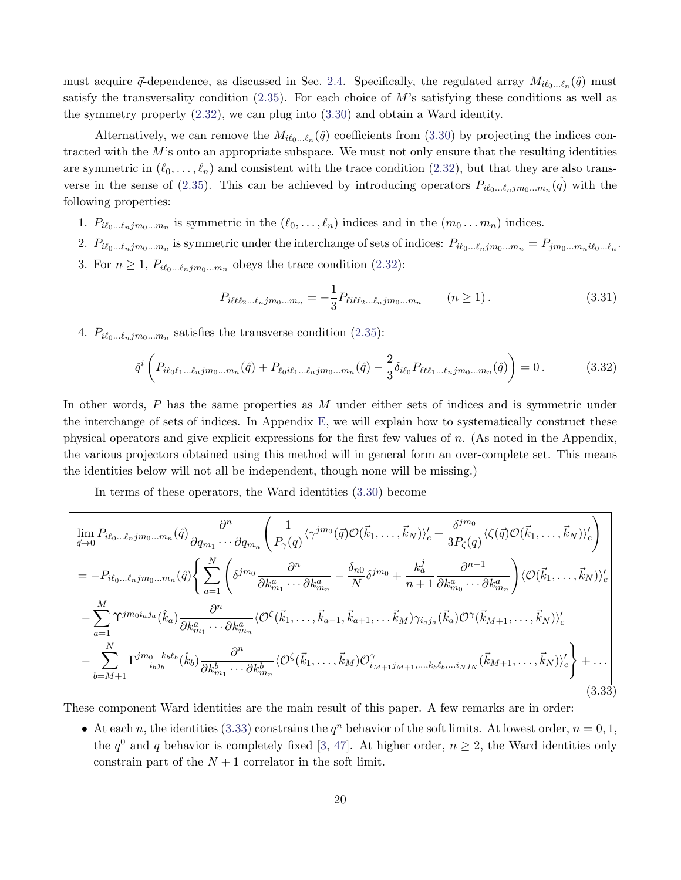must acquire  $\vec{q}$ -dependence, as discussed in Sec. [2.4.](#page-9-3) Specifically, the regulated array  $M_{i\ell_0...\ell_n}(\hat{q})$  must satisfy the transversality condition  $(2.35)$ . For each choice of M's satisfying these conditions as well as the symmetry property [\(2.32\)](#page-9-1), we can plug into [\(3.30\)](#page-19-1) and obtain a Ward identity.

Alternatively, we can remove the  $M_{i\ell_0...\ell_n}(\hat{q})$  coefficients from [\(3.30\)](#page-19-1) by projecting the indices contracted with the  $M$ 's onto an appropriate subspace. We must not only ensure that the resulting identities are symmetric in  $(\ell_0, \ldots, \ell_n)$  and consistent with the trace condition [\(2.32\)](#page-9-1), but that they are also trans-verse in the sense of [\(2.35\)](#page-10-4). This can be achieved by introducing operators  $P_{i\ell_0...\ell_njm_0...m_n}(\hat{q})$  with the following properties:

- 1.  $P_{i\ell_0...\ell_njm_0...m_n}$  is symmetric in the  $(\ell_0, \ldots, \ell_n)$  indices and in the  $(m_0 \ldots m_n)$  indices.
- 2.  $P_{i\ell_0...\ell_njm_0...m_n}$  is symmetric under the interchange of sets of indices:  $P_{i\ell_0...\ell_njm_0...m_n} = P_{jm_0...m_ni\ell_0...\ell_n}$ .
- 3. For  $n \geq 1$ ,  $P_{i\ell_0...\ell_njm_0...m_n}$  obeys the trace condition [\(2.32\)](#page-9-1):

<span id="page-20-2"></span>
$$
P_{i\ell\ell\ell_2\ldots\ell_njm_0\ldots m_n} = -\frac{1}{3} P_{\ell i\ell\ell_2\ldots\ell_njm_0\ldots m_n} \qquad (n \ge 1).
$$
 (3.31)

4.  $P_{i\ell_0...\ell_njm_0...m_n}$  satisfies the transverse condition [\(2.35\)](#page-10-4):

<span id="page-20-1"></span>
$$
\hat{q}^{i}\left(P_{i\ell_{0}\ell_{1}...\ell_{n}jm_{0}...m_{n}}(\hat{q})+P_{\ell_{0}i\ell_{1}...\ell_{n}jm_{0}...m_{n}}(\hat{q})-\frac{2}{3}\delta_{i\ell_{0}}P_{\ell\ell\ell_{1}...\ell_{n}jm_{0}...m_{n}}(\hat{q})\right)=0.
$$
\n(3.32)

In other words,  $P$  has the same properties as  $M$  under either sets of indices and is symmetric under the interchange of sets of indices. In Appendix [E,](#page-39-0) we will explain how to systematically construct these physical operators and give explicit expressions for the first few values of  $n$ . (As noted in the Appendix, the various projectors obtained using this method will in general form an over-complete set. This means the identities below will not all be independent, though none will be missing.)

In terms of these operators, the Ward identities [\(3.30\)](#page-19-1) become

<span id="page-20-0"></span>
$$
\lim_{\vec{q}\to 0} P_{i\ell_0\ldots\ell_njm_0\ldots m_n}(\hat{q}) \frac{\partial^n}{\partial q_{m_1}\ldots\partial q_{m_n}} \left( \frac{1}{P_{\gamma}(q)} \langle \gamma^{jm_0}(\vec{q}) \mathcal{O}(\vec{k}_1,\ldots,\vec{k}_N) \rangle_c' + \frac{\delta^{jm_0}}{3P_{\zeta}(q)} \langle \zeta(\vec{q}) \mathcal{O}(\vec{k}_1,\ldots,\vec{k}_N) \rangle_c' \right) \n= -P_{i\ell_0\ldots\ell_njm_0\ldots m_n}(\hat{q}) \left\{ \sum_{a=1}^N \left( \delta^{jm_0} \frac{\partial^n}{\partial k_{m_1}^a \ldots \partial k_{m_n}^a} - \frac{\delta_{n0}}{N} \delta^{jm_0} + \frac{k_a^j}{n+1} \frac{\partial^{n+1}}{\partial k_{m_0}^a \ldots \partial k_{m_n}^a} \right) \langle \mathcal{O}(\vec{k}_1,\ldots,\vec{k}_N) \rangle_c' \right\} \n- \sum_{a=1}^M \Upsilon^{jm_0i_a j_a}(\hat{k}_a) \frac{\partial^n}{\partial k_{m_1}^a \ldots \partial k_{m_n}^a} \langle \mathcal{O}^{\zeta}(\vec{k}_1,\ldots,\vec{k}_{a-1},\vec{k}_{a+1},\ldots,\vec{k}_M) \gamma_{i_a j_a}(\vec{k}_a) \mathcal{O}^{\gamma}(\vec{k}_{M+1},\ldots,\vec{k}_N) \rangle_c' \n- \sum_{b=M+1}^N \Gamma^{jm_0}{}_{i_b j_b}{}^{k_b \ell_b}(\hat{k}_b) \frac{\partial^n}{\partial k_{m_1}^b \ldots \partial k_{m_n}^b} \langle \mathcal{O}^{\zeta}(\vec{k}_1,\ldots,\vec{k}_M) \mathcal{O}^{\gamma}_{i_{M+1}j_{M+1},\ldots,i_b \ell_b,\ldots i_N j_N}(\vec{k}_{M+1},\ldots,\vec{k}_N) \rangle_c' + \cdots
$$
\n(3.33)

These component Ward identities are the main result of this paper. A few remarks are in order:

• At each n, the identities [\(3.33\)](#page-20-0) constrains the  $q^n$  behavior of the soft limits. At lowest order,  $n = 0, 1$ , the  $q^0$  and q behavior is completely fixed [\[3,](#page-41-2) [47\]](#page-44-1). At higher order,  $n \geq 2$ , the Ward identities only constrain part of the  $N+1$  correlator in the soft limit.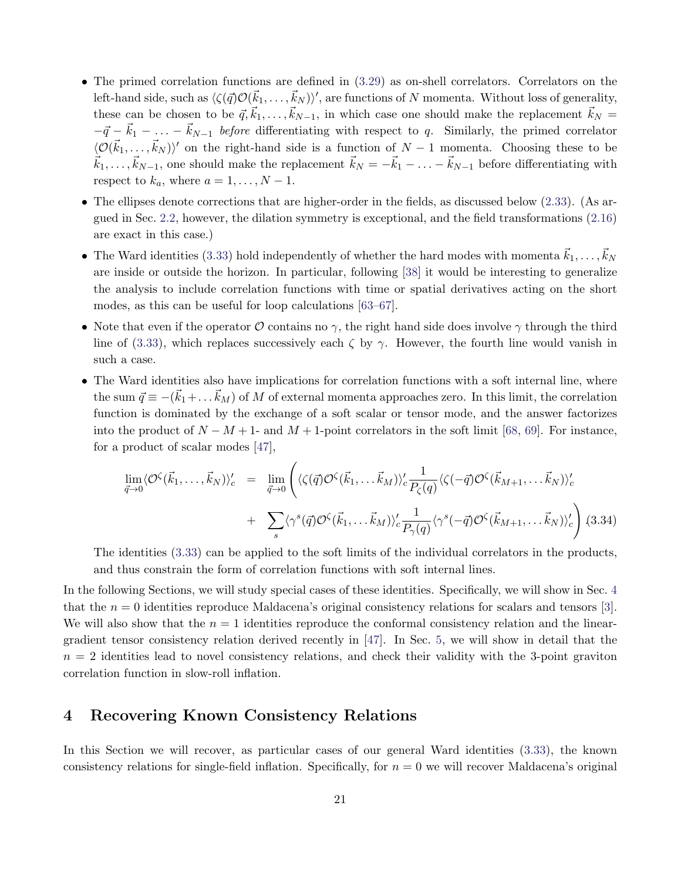- The primed correlation functions are defined in [\(3.29\)](#page-19-2) as on-shell correlators. Correlators on the left-hand side, such as  $\langle \zeta(\vec{q})\mathcal{O}(\vec{k}_1,\ldots,\vec{k}_N)\rangle'$ , are functions of N momenta. Without loss of generality, these can be chosen to be  $\vec{q}, \vec{k}_1, \ldots, \vec{k}_{N-1}$ , in which case one should make the replacement  $\vec{k}_N =$  $-\vec{q} - \vec{k}_1 - \ldots - \vec{k}_{N-1}$  before differentiating with respect to q. Similarly, the primed correlator  $\langle \mathcal{O}(\vec{k}_1,\ldots,\vec{k}_N)\rangle'$  on the right-hand side is a function of  $N-1$  momenta. Choosing these to be  $\vec{k}_1, \ldots, \vec{k}_{N-1}$ , one should make the replacement  $\vec{k}_N = -\vec{k}_1 - \ldots - \vec{k}_{N-1}$  before differentiating with respect to  $k_a$ , where  $a = 1, \ldots, N - 1$ .
- The ellipses denote corrections that are higher-order in the fields, as discussed below [\(2.33\)](#page-10-2). (As argued in Sec. [2.2,](#page-5-0) however, the dilation symmetry is exceptional, and the field transformations [\(2.16\)](#page-7-4) are exact in this case.)
- The Ward identities [\(3.33\)](#page-20-0) hold independently of whether the hard modes with momenta  $\vec{k}_1, \ldots, \vec{k}_N$ are inside or outside the horizon. In particular, following [\[38\]](#page-43-5) it would be interesting to generalize the analysis to include correlation functions with time or spatial derivatives acting on the short modes, as this can be useful for loop calculations [\[63–](#page-44-12)[67\]](#page-45-0).
- Note that even if the operator  $\mathcal O$  contains no  $\gamma$ , the right hand side does involve  $\gamma$  through the third line of [\(3.33\)](#page-20-0), which replaces successively each  $\zeta$  by  $\gamma$ . However, the fourth line would vanish in such a case.
- The Ward identities also have implications for correlation functions with a soft internal line, where the sum  $\vec{q} \equiv -(\vec{k}_1 + \dots \vec{k}_M)$  of M of external momenta approaches zero. In this limit, the correlation function is dominated by the exchange of a soft scalar or tensor mode, and the answer factorizes into the product of  $N - M + 1$ - and  $M + 1$ -point correlators in the soft limit [\[68,](#page-45-1) [69\]](#page-45-2). For instance, for a product of scalar modes [\[47\]](#page-44-1),

$$
\lim_{\vec{q}\to 0} \langle \mathcal{O}^{\zeta}(\vec{k}_1,\ldots,\vec{k}_N) \rangle_c' = \lim_{\vec{q}\to 0} \left( \langle \zeta(\vec{q}) \mathcal{O}^{\zeta}(\vec{k}_1,\ldots\vec{k}_M) \rangle_c' \frac{1}{P_{\zeta}(q)} \langle \zeta(-\vec{q}) \mathcal{O}^{\zeta}(\vec{k}_{M+1},\ldots\vec{k}_N) \rangle_c' + \sum_s \langle \gamma^s(\vec{q}) \mathcal{O}^{\zeta}(\vec{k}_1,\ldots\vec{k}_M) \rangle_c' \frac{1}{P_{\gamma}(q)} \langle \gamma^s(-\vec{q}) \mathcal{O}^{\zeta}(\vec{k}_{M+1},\ldots\vec{k}_N) \rangle_c' \right) (3.34)
$$

The identities [\(3.33\)](#page-20-0) can be applied to the soft limits of the individual correlators in the products, and thus constrain the form of correlation functions with soft internal lines.

In the following Sections, we will study special cases of these identities. Specifically, we will show in Sec. [4](#page-21-0) that the  $n = 0$  identities reproduce Maldacena's original consistency relations for scalars and tensors [\[3\]](#page-41-2). We will also show that the  $n = 1$  identities reproduce the conformal consistency relation and the lineargradient tensor consistency relation derived recently in [\[47\]](#page-44-1). In Sec. [5,](#page-24-0) we will show in detail that the  $n = 2$  identities lead to novel consistency relations, and check their validity with the 3-point graviton correlation function in slow-roll inflation.

### <span id="page-21-0"></span>4 Recovering Known Consistency Relations

In this Section we will recover, as particular cases of our general Ward identities [\(3.33\)](#page-20-0), the known consistency relations for single-field inflation. Specifically, for  $n = 0$  we will recover Maldacena's original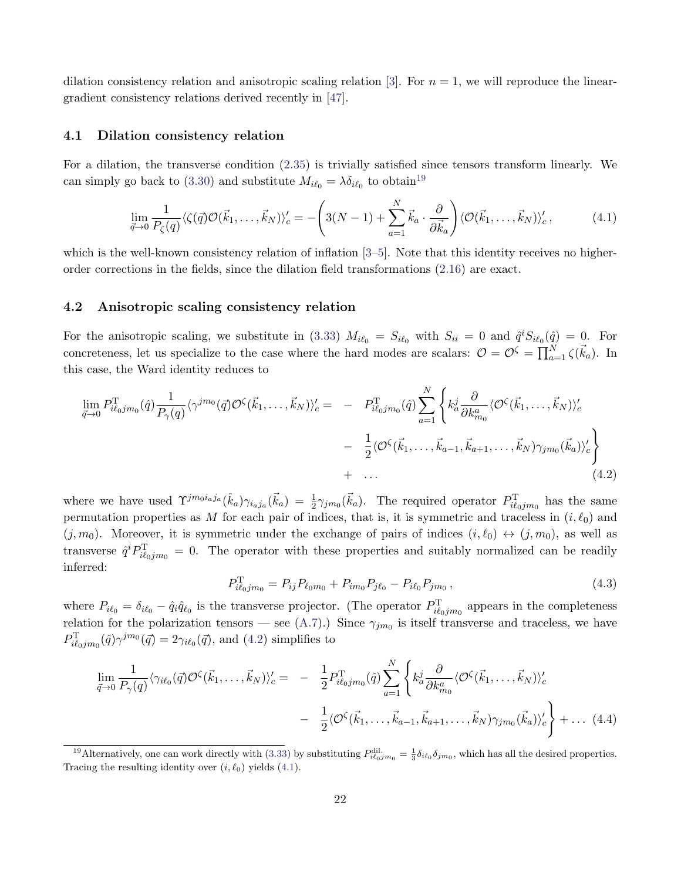dilation consistency relation and anisotropic scaling relation [\[3\]](#page-41-2). For  $n = 1$ , we will reproduce the lineargradient consistency relations derived recently in [\[47\]](#page-44-1).

#### 4.1 Dilation consistency relation

For a dilation, the transverse condition [\(2.35\)](#page-10-4) is trivially satisfied since tensors transform linearly. We can simply go back to [\(3.30\)](#page-19-1) and substitute  $M_{i\ell_0} = \lambda \delta_{i\ell_0}$  to obtain<sup>[19](#page-22-0)</sup>

<span id="page-22-2"></span>
$$
\lim_{\vec{q}\to 0} \frac{1}{P_{\zeta}(q)} \langle \zeta(\vec{q}) \mathcal{O}(\vec{k}_1, \dots, \vec{k}_N) \rangle_c' = -\left(3(N-1) + \sum_{a=1}^N \vec{k}_a \cdot \frac{\partial}{\partial \vec{k}_a} \right) \langle \mathcal{O}(\vec{k}_1, \dots, \vec{k}_N) \rangle_c',\tag{4.1}
$$

which is the well-known consistency relation of inflation  $[3-5]$  $[3-5]$ . Note that this identity receives no higherorder corrections in the fields, since the dilation field transformations [\(2.16\)](#page-7-4) are exact.

#### 4.2 Anisotropic scaling consistency relation

For the anisotropic scaling, we substitute in [\(3.33\)](#page-20-0)  $M_{i\ell_0} = S_{i\ell_0}$  with  $S_{ii} = 0$  and  $\hat{q}^i S_{i\ell_0}(\hat{q}) = 0$ . For concreteness, let us specialize to the case where the hard modes are scalars:  $\mathcal{O} = \mathcal{O}^{\zeta} = \prod_{a=1}^{N} \zeta(\vec{k}_a)$ . In this case, the Ward identity reduces to

<span id="page-22-1"></span>
$$
\lim_{\vec{q}\to 0} P_{i\ell_0jm_0}^{\mathrm{T}}(\hat{q}) \frac{1}{P_{\gamma}(q)} \langle \gamma^{jm_0}(\vec{q}) \mathcal{O}^{\zeta}(\vec{k}_1,\dots,\vec{k}_N) \rangle_c' = - P_{i\ell_0jm_0}^{\mathrm{T}}(\hat{q}) \sum_{a=1}^N \left\{ k_a^j \frac{\partial}{\partial k_{m_0}^a} \langle \mathcal{O}^{\zeta}(\vec{k}_1,\dots,\vec{k}_N) \rangle_c' - \frac{1}{2} \langle \mathcal{O}^{\zeta}(\vec{k}_1,\dots,\vec{k}_{a-1},\vec{k}_{a+1},\dots,\vec{k}_N) \gamma_{jm_0}(\vec{k}_a) \rangle_c' \right\} + \dots
$$
\n(4.2)

where we have used  $\Upsilon^{j m_0 i_a j_a}(\hat{k}_a) \gamma_{i_a j_a}(\vec{k}_a) = \frac{1}{2} \gamma_{j m_0}(\vec{k}_a)$ . The required operator  $P_{i\ell_0 j m_0}^{\rm T}$  has the same permutation properties as M for each pair of indices, that is, it is symmetric and traceless in  $(i, \ell_0)$  and  $(j, m_0)$ . Moreover, it is symmetric under the exchange of pairs of indices  $(i, \ell_0) \leftrightarrow (j, m_0)$ , as well as transverse  $\hat{q}^i P_{i\ell_{0}jm_0}^{\mathrm{T}} = 0$ . The operator with these properties and suitably normalized can be readily inferred:

<span id="page-22-3"></span>
$$
P_{i\ell_0jm_0}^{\rm T} = P_{ij}P_{\ell_0m_0} + P_{im_0}P_{j\ell_0} - P_{i\ell_0}P_{jm_0},\tag{4.3}
$$

where  $P_{i\ell_0} = \delta_{i\ell_0} - \hat{q}_i\hat{q}_{\ell_0}$  is the transverse projector. (The operator  $P_{i\ell_0jm_0}^{\rm T}$  appears in the completeness relation for the polarization tensors – see [\(A.7\)](#page-30-0).) Since  $\gamma_{jm_0}$  is itself transverse and traceless, we have  $P_{i\ell_0jm_0}^{\text{T}}(\hat{q})\gamma^{jm_0}(\vec{q}) = 2\gamma_{i\ell_0}(\vec{q})$ , and [\(4.2\)](#page-22-1) simplifies to

<span id="page-22-4"></span>
$$
\lim_{\vec{q}\to 0} \frac{1}{P_{\gamma}(q)} \langle \gamma_{i\ell_0}(\vec{q}) \mathcal{O}^{\zeta}(\vec{k}_1,\dots,\vec{k}_N) \rangle_c' = -\frac{1}{2} P_{i\ell_0 j m_0}^{\mathrm{T}}(\hat{q}) \sum_{a=1}^N \left\{ k_a^j \frac{\partial}{\partial k_{m_0}^a} \langle \mathcal{O}^{\zeta}(\vec{k}_1,\dots,\vec{k}_N) \rangle_c' - \frac{1}{2} \langle \mathcal{O}^{\zeta}(\vec{k}_1,\dots,\vec{k}_{a-1},\vec{k}_{a+1},\dots,\vec{k}_N) \gamma_{j m_0}(\vec{k}_a) \rangle_c' \right\} + \dots (4.4)
$$

<span id="page-22-0"></span><sup>&</sup>lt;sup>19</sup>Alternatively, one can work directly with [\(3.33\)](#page-20-0) by substituting  $P_{i\ell_0jm_0}^{\text{dil.}} = \frac{1}{3} \delta_{i\ell_0} \delta_{jm_0}$ , which has all the desired properties. Tracing the resulting identity over  $(i, \ell_0)$  yields [\(4.1\)](#page-22-2).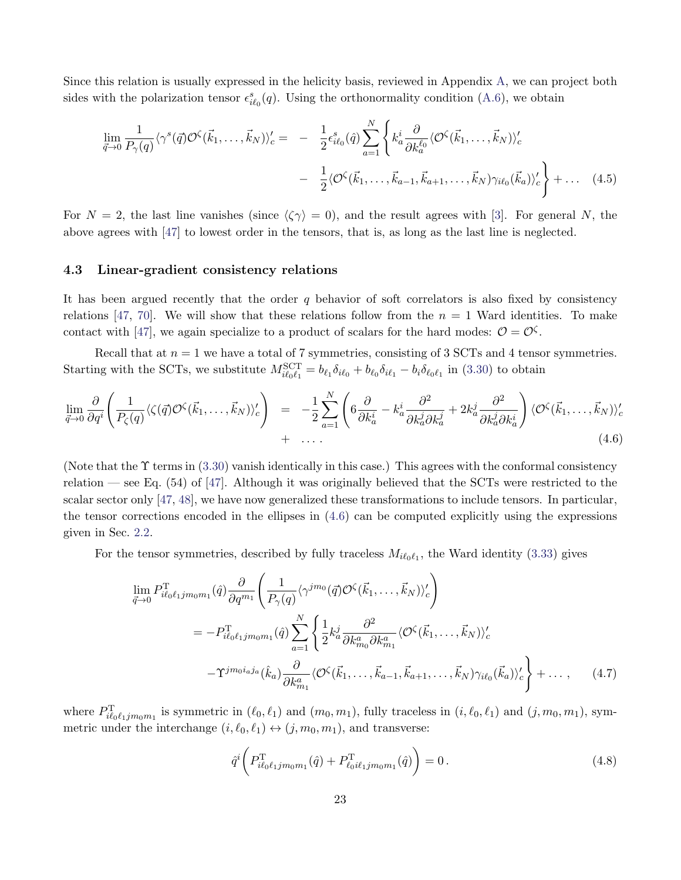Since this relation is usually expressed in the helicity basis, reviewed in Appendix [A,](#page-29-0) we can project both sides with the polarization tensor  $\epsilon_{i\ell_0}^s(q)$ . Using the orthonormality condition [\(A.6\)](#page-30-1), we obtain

$$
\lim_{\vec{q}\to 0} \frac{1}{P_{\gamma}(q)} \langle \gamma^s(\vec{q}) \mathcal{O}^{\zeta}(\vec{k}_1,\dots,\vec{k}_N) \rangle_c' = -\frac{1}{2} \epsilon_{i\ell_0}^s(\hat{q}) \sum_{a=1}^N \left\{ k_a^i \frac{\partial}{\partial k_a^{\ell_0}} \langle \mathcal{O}^{\zeta}(\vec{k}_1,\dots,\vec{k}_N) \rangle_c' - \frac{1}{2} \langle \mathcal{O}^{\zeta}(\vec{k}_1,\dots,\vec{k}_{a-1},\vec{k}_{a+1},\dots,\vec{k}_N) \gamma_{i\ell_0}(\vec{k}_a) \rangle_c' \right\} + \dots (4.5)
$$

For  $N = 2$ , the last line vanishes (since  $\langle \zeta \gamma \rangle = 0$ ), and the result agrees with [\[3\]](#page-41-2). For general N, the above agrees with [\[47\]](#page-44-1) to lowest order in the tensors, that is, as long as the last line is neglected.

#### 4.3 Linear-gradient consistency relations

It has been argued recently that the order  $q$  behavior of soft correlators is also fixed by consistency relations [\[47,](#page-44-1) [70\]](#page-45-3). We will show that these relations follow from the  $n = 1$  Ward identities. To make contact with [\[47\]](#page-44-1), we again specialize to a product of scalars for the hard modes:  $\mathcal{O} = \mathcal{O}^{\zeta}$ .

Recall that at  $n = 1$  we have a total of 7 symmetries, consisting of 3 SCTs and 4 tensor symmetries. Starting with the SCTs, we substitute  $M_{i\ell_0\ell_1}^{\text{SCT}} = b_{\ell_1}\delta_{i\ell_0} + b_{\ell_0}\delta_{i\ell_1} - b_i\delta_{\ell_0\ell_1}$  in [\(3.30\)](#page-19-1) to obtain

<span id="page-23-0"></span>
$$
\lim_{\vec{q}\to 0} \frac{\partial}{\partial q^i} \left( \frac{1}{P_{\zeta}(q)} \langle \zeta(\vec{q}) \mathcal{O}^{\zeta}(\vec{k}_1, \dots, \vec{k}_N) \rangle_c' \right) = -\frac{1}{2} \sum_{a=1}^N \left( 6 \frac{\partial}{\partial k_a^i} - k_a^i \frac{\partial^2}{\partial k_a^j \partial k_a^j} + 2k_a^j \frac{\partial^2}{\partial k_a^j \partial k_a^i} \right) \langle \mathcal{O}^{\zeta}(\vec{k}_1, \dots, \vec{k}_N) \rangle_c' + \dots
$$
\n(4.6)

(Note that the  $\Upsilon$  terms in [\(3.30\)](#page-19-1) vanish identically in this case.) This agrees with the conformal consistency relation — see Eq. (54) of [\[47\]](#page-44-1). Although it was originally believed that the SCTs were restricted to the scalar sector only [\[47,](#page-44-1) [48\]](#page-44-2), we have now generalized these transformations to include tensors. In particular, the tensor corrections encoded in the ellipses in [\(4.6\)](#page-23-0) can be computed explicitly using the expressions given in Sec. [2.2.](#page-5-0)

For the tensor symmetries, described by fully traceless  $M_{i\ell_0\ell_1}$ , the Ward identity [\(3.33\)](#page-20-0) gives

<span id="page-23-1"></span>
$$
\lim_{\vec{q}\to 0} P_{i\ell_0\ell_1jm_0m_1}^{\mathrm{T}}(\hat{q}) \frac{\partial}{\partial q^{m_1}} \left( \frac{1}{P_{\gamma}(q)} \langle \gamma^{jm_0}(\vec{q}) \mathcal{O}^{\zeta}(\vec{k}_1,\dots,\vec{k}_N) \rangle_c' \right)
$$
\n
$$
= -P_{i\ell_0\ell_1jm_0m_1}^{\mathrm{T}}(\hat{q}) \sum_{a=1}^N \left\{ \frac{1}{2} k_a^j \frac{\partial^2}{\partial k_{m_0}^a \partial k_{m_1}^a} \langle \mathcal{O}^{\zeta}(\vec{k}_1,\dots,\vec{k}_N) \rangle_c' - \Upsilon^{jm_0i_a j_a}(\hat{k}_a) \frac{\partial}{\partial k_{m_1}^a} \langle \mathcal{O}^{\zeta}(\vec{k}_1,\dots,\vec{k}_{a-1},\vec{k}_{a+1},\dots,\vec{k}_N) \gamma_{i\ell_0}(\vec{k}_a) \rangle_c' \right\} + \dots, \qquad (4.7)
$$

where  $P_{i\ell_0\ell_1jm_0m_1}^{\text{T}}$  is symmetric in  $(\ell_0, \ell_1)$  and  $(m_0, m_1)$ , fully traceless in  $(i, \ell_0, \ell_1)$  and  $(j, m_0, m_1)$ , symmetric under the interchange  $(i, \ell_0, \ell_1) \leftrightarrow (j, m_0, m_1)$ , and transverse:

$$
\hat{q}^{i}\bigg(P_{i\ell_{0}\ell_{1}jm_{0}m_{1}}^{T}(\hat{q})+P_{\ell_{0}i\ell_{1}jm_{0}m_{1}}^{T}(\hat{q})\bigg)=0.
$$
\n(4.8)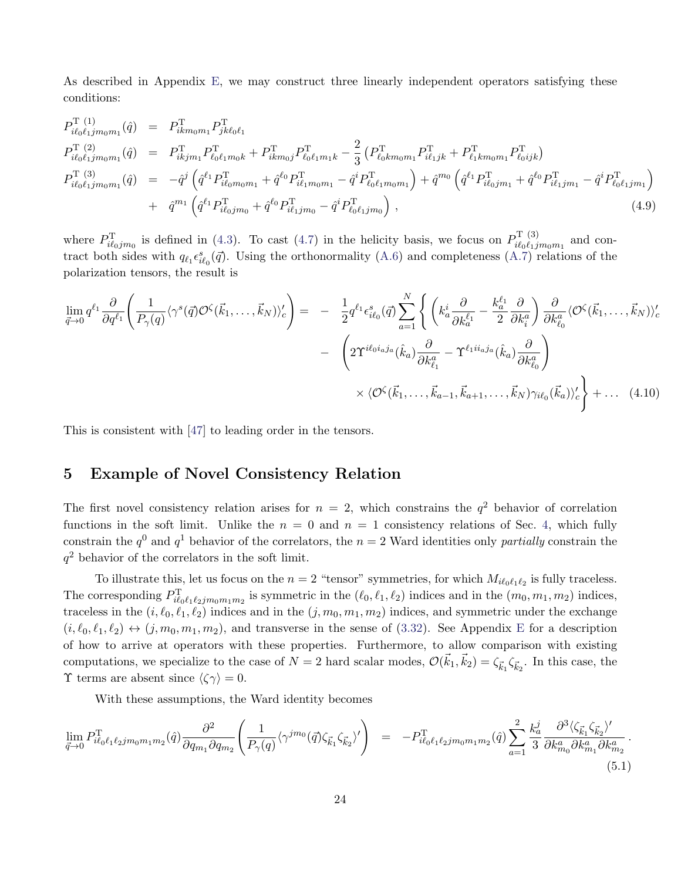As described in Appendix [E,](#page-39-0) we may construct three linearly independent operators satisfying these conditions:

$$
P_{i\ell_{0}\ell_{1}jm_{0}m_{1}}^{T(1)}(\hat{q}) = P_{ikm_{0}m_{1}}^{T} P_{jk\ell_{0}\ell_{1}}^{T} \nP_{i\ell_{0}\ell_{1}jm_{0}m_{1}}^{T(2)}(\hat{q}) = P_{ikjm_{1}}^{T} P_{\ell_{0}\ell_{1}m_{0}k}^{T} + P_{ikm_{0}j}^{T} P_{\ell_{0}\ell_{1}m_{1}k}^{T} - \frac{2}{3} \left( P_{\ell_{0}km_{0}m_{1}}^{T} P_{i\ell_{1}jk}^{T} + P_{\ell_{1}km_{0}m_{1}}^{T} P_{\ell_{0}ijk}^{T} \right) \nP_{i\ell_{0}\ell_{1}jm_{0}m_{1}}^{T(3)}(\hat{q}) = -\hat{q}^{j} \left( \hat{q}^{\ell_{1}} P_{i\ell_{0}m_{0}m_{1}}^{T} + \hat{q}^{\ell_{0}} P_{i\ell_{1}m_{0}m_{1}}^{T} - \hat{q}^{i} P_{\ell_{0}\ell_{1}m_{0}m_{1}}^{T} \right) + \hat{q}^{m_{0}} \left( \hat{q}^{\ell_{1}} P_{i\ell_{0}jm_{1}}^{T} + \hat{q}^{\ell_{0}} P_{i\ell_{1}jm_{1}}^{T} - \hat{q}^{i} P_{\ell_{0}\ell_{1}m_{1}}^{T} \right) + \hat{q}^{m_{1}} \left( \hat{q}^{\ell_{1}} P_{i\ell_{0}jm_{0}}^{T} + \hat{q}^{\ell_{0}} P_{i\ell_{1}jm_{0}}^{T} - \hat{q}^{i} P_{\ell_{0}\ell_{1}jm_{0}}^{T} \right),
$$
\n(4.9)

where  $P_{i\ell_0jm_0}^{\text{T}}$  is defined in [\(4.3\)](#page-22-3). To cast [\(4.7\)](#page-23-1) in the helicity basis, we focus on  $P_{i\ell_0\ell_1j}^{\text{T}}$  $\sum_{i\ell_0\ell_1jm_0m_1}^{(3)}$  and contract both sides with  $q_{\ell_1} \epsilon_{i\ell_0}^s(\vec{q})$ . Using the orthonormality [\(A.6\)](#page-30-1) and completeness [\(A.7\)](#page-30-0) relations of the polarization tensors, the result is

$$
\lim_{\vec{q}\to 0} q^{\ell_1} \frac{\partial}{\partial q^{\ell_1}} \left( \frac{1}{P_{\gamma}(q)} \langle \gamma^s(\vec{q}) \mathcal{O}^{\zeta}(\vec{k}_1, \dots, \vec{k}_N) \rangle_c' \right) = -\frac{1}{2} q^{\ell_1} \epsilon_{i\ell_0}^s(\vec{q}) \sum_{a=1}^N \left\{ \left( k_a^i \frac{\partial}{\partial k_a^{\ell_1}} - \frac{k_a^{\ell_1}}{2} \frac{\partial}{\partial k_a^a} \right) \frac{\partial}{\partial k_{\ell_0}^a} \langle \mathcal{O}^{\zeta}(\vec{k}_1, \dots, \vec{k}_N) \rangle_c' \right\} \n- \left( 2 \Upsilon^{i\ell_0 i_a j_a}(\hat{k}_a) \frac{\partial}{\partial k_{\ell_1}^a} - \Upsilon^{\ell_1 i i_a j_a}(\hat{k}_a) \frac{\partial}{\partial k_{\ell_0}^a} \right) \n\times \langle \mathcal{O}^{\zeta}(\vec{k}_1, \dots, \vec{k}_{a-1}, \vec{k}_{a+1}, \dots, \vec{k}_N) \gamma_{i\ell_0}(\vec{k}_a) \rangle_c' + \dots (4.10)
$$

This is consistent with [\[47\]](#page-44-1) to leading order in the tensors.

## <span id="page-24-0"></span>5 Example of Novel Consistency Relation

The first novel consistency relation arises for  $n = 2$ , which constrains the  $q<sup>2</sup>$  behavior of correlation functions in the soft limit. Unlike the  $n = 0$  and  $n = 1$  consistency relations of Sec. [4,](#page-21-0) which fully constrain the  $q^0$  and  $q^1$  behavior of the correlators, the  $n = 2$  Ward identities only partially constrain the  $q<sup>2</sup>$  behavior of the correlators in the soft limit.

To illustrate this, let us focus on the  $n = 2$  "tensor" symmetries, for which  $M_{i\ell_0\ell_1\ell_2}$  is fully traceless. The corresponding  $P_{i\ell_0\ell_1\ell_2jm_0m_1m_2}^{\text{T}}$  is symmetric in the  $(\ell_0, \ell_1, \ell_2)$  indices and in the  $(m_0, m_1, m_2)$  indices, traceless in the  $(i, \ell_0, \ell_1, \ell_2)$  indices and in the  $(j, m_0, m_1, m_2)$  indices, and symmetric under the exchange  $(i, \ell_0, \ell_1, \ell_2) \leftrightarrow (j, m_0, m_1, m_2)$ , and transverse in the sense of [\(3.32\)](#page-20-1). See Appendix [E](#page-39-0) for a description of how to arrive at operators with these properties. Furthermore, to allow comparison with existing computations, we specialize to the case of  $N=2$  hard scalar modes,  $\mathcal{O}(\vec{k}_1, \vec{k}_2) = \zeta_{\vec{k}_1} \zeta_{\vec{k}_2}$ . In this case, the **T** terms are absent since  $\langle \zeta \gamma \rangle = 0$ .

With these assumptions, the Ward identity becomes

<span id="page-24-1"></span>
$$
\lim_{\vec{q}\to 0} P_{i\ell_0\ell_1\ell_2jm_0m_1m_2}^{\text{T}}(\hat{q}) \frac{\partial^2}{\partial q_{m_1}\partial q_{m_2}} \left( \frac{1}{P_\gamma(q)} \langle \gamma^{jm_0}(\vec{q})\zeta_{\vec{k}_1}\zeta_{\vec{k}_2} \rangle' \right) = -P_{i\ell_0\ell_1\ell_2jm_0m_1m_2}^{\text{T}}(\hat{q}) \sum_{a=1}^2 \frac{k_a^j}{3} \frac{\partial^3 \langle \zeta_{\vec{k}_1}\zeta_{\vec{k}_2} \rangle'}{\partial k_{m_0}^a \partial k_{m_1}^a \partial k_{m_2}^a} \tag{5.1}
$$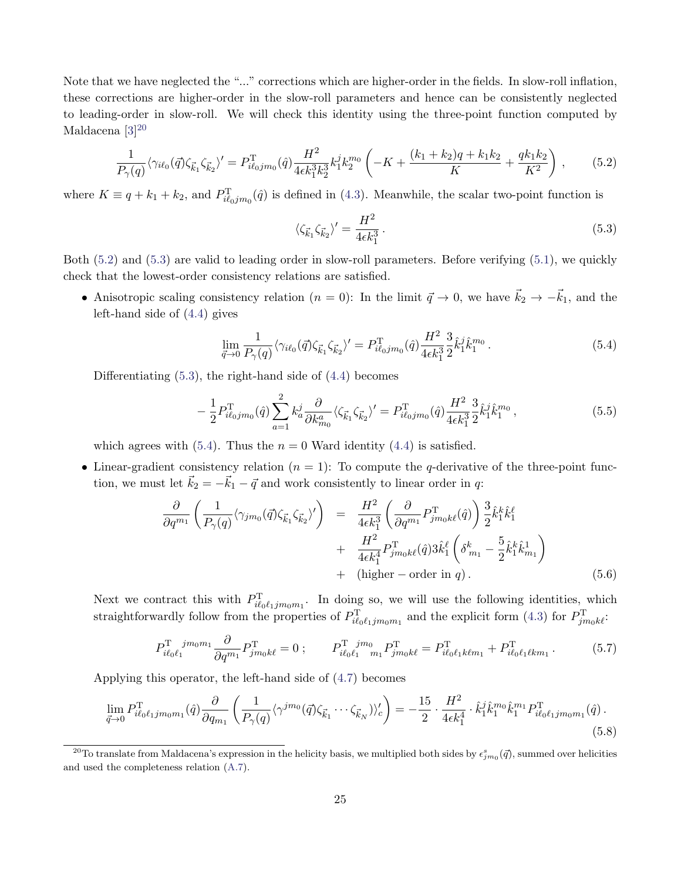Note that we have neglected the "..." corrections which are higher-order in the fields. In slow-roll inflation, these corrections are higher-order in the slow-roll parameters and hence can be consistently neglected to leading-order in slow-roll. We will check this identity using the three-point function computed by Maldacena<sup>[3][20](#page-25-0)</sup>

<span id="page-25-1"></span>
$$
\frac{1}{P_{\gamma}(q)} \langle \gamma_{i\ell_0}(\vec{q}) \zeta_{\vec{k}_1} \zeta_{\vec{k}_2} \rangle' = P_{i\ell_0 j m_0}^{\mathrm{T}}(\hat{q}) \frac{H^2}{4\epsilon k_1^3 k_2^3} k_1^j k_2^{m_0} \left( -K + \frac{(k_1 + k_2)q + k_1 k_2}{K} + \frac{q k_1 k_2}{K^2} \right) ,\qquad (5.2)
$$

where  $K \equiv q + k_1 + k_2$ , and  $P_{i\ell_0jm_0}^{T}(\hat{q})$  is defined in [\(4.3\)](#page-22-3). Meanwhile, the scalar two-point function is

<span id="page-25-2"></span>
$$
\langle \zeta_{\vec{k}_1} \zeta_{\vec{k}_2} \rangle' = \frac{H^2}{4\epsilon k_1^3} \,. \tag{5.3}
$$

Both [\(5.2\)](#page-25-1) and [\(5.3\)](#page-25-2) are valid to leading order in slow-roll parameters. Before verifying [\(5.1\)](#page-24-1), we quickly check that the lowest-order consistency relations are satisfied.

• Anisotropic scaling consistency relation  $(n = 0)$ : In the limit  $\vec{q} \to 0$ , we have  $\vec{k}_2 \to -\vec{k}_1$ , and the left-hand side of [\(4.4\)](#page-22-4) gives

<span id="page-25-3"></span>
$$
\lim_{\vec{q}\to 0} \frac{1}{P_{\gamma}(q)} \langle \gamma_{i\ell_0}(\vec{q}) \zeta_{\vec{k}_1} \zeta_{\vec{k}_2} \rangle' = P_{i\ell_0 j m_0}^{\mathrm{T}}(\hat{q}) \frac{H^2}{4\epsilon k_1^3} \frac{3}{2} \hat{k}_1^j \hat{k}_1^{m_0} \,. \tag{5.4}
$$

Differentiating [\(5.3\)](#page-25-2), the right-hand side of [\(4.4\)](#page-22-4) becomes

$$
-\frac{1}{2}P_{i\ell_0jm_0}^{\mathrm{T}}(\hat{q})\sum_{a=1}^{2}k_a^j\frac{\partial}{\partial k_{m_0}^a}\langle\zeta_{\vec{k}_1}\zeta_{\vec{k}_2}\rangle' = P_{i\ell_0jm_0}^{\mathrm{T}}(\hat{q})\frac{H^2}{4\epsilon k_1^3}\frac{3}{2}\hat{k}_1^j\hat{k}_1^{m_0},\tag{5.5}
$$

which agrees with [\(5.4\)](#page-25-3). Thus the  $n = 0$  Ward identity [\(4.4\)](#page-22-4) is satisfied.

• Linear-gradient consistency relation  $(n = 1)$ : To compute the q-derivative of the three-point function, we must let  $\vec{k}_2 = -\vec{k}_1 - \vec{q}$  and work consistently to linear order in q:

$$
\frac{\partial}{\partial q^{m_1}} \left( \frac{1}{P_{\gamma}(q)} \langle \gamma_{jm_0}(\vec{q}) \zeta_{\vec{k}_1} \zeta_{\vec{k}_2} \rangle' \right) = \frac{H^2}{4\epsilon k_1^3} \left( \frac{\partial}{\partial q^{m_1}} P_{jm_0k\ell}^{\mathrm{T}}(\hat{q}) \right) \frac{3}{2} \hat{k}_1^k \hat{k}_1^{\ell} + \frac{H^2}{4\epsilon k_1^4} P_{jm_0k\ell}^{\mathrm{T}}(\hat{q}) 3 \hat{k}_1^{\ell} \left( \delta_{m_1}^k - \frac{5}{2} \hat{k}_1^k \hat{k}_{m_1}^1 \right) + (\text{higher-order in } q). \tag{5.6}
$$

Next we contract this with  $P_{i\ell_0\ell_1jm_0m_1}^{\mathrm{T}}$ . In doing so, we will use the following identities, which straightforwardly follow from the properties of  $P_{i\ell_0\ell_1jm_0m_1}^{\text{T}}$  and the explicit form [\(4.3\)](#page-22-3) for  $P_{jm_0k\ell}^{\text{T}}$ .

$$
P_{i\ell_0\ell_1}^{\mathrm{T}}{}^{j m_0 m_1} \frac{\partial}{\partial q^{m_1}} P_{j m_0 k\ell}^{\mathrm{T}} = 0 \; ; \qquad P_{i\ell_0\ell_1}^{\mathrm{T}}{}^{j m_0}{}_{m_1} P_{j m_0 k\ell}^{\mathrm{T}} = P_{i\ell_0\ell_1 k\ell m_1}^{\mathrm{T}} + P_{i\ell_0\ell_1 \ell k m_1}^{\mathrm{T}} \; . \tag{5.7}
$$

Applying this operator, the left-hand side of [\(4.7\)](#page-23-1) becomes

<span id="page-25-4"></span>
$$
\lim_{\vec{q}\to 0} P_{i\ell_0\ell_1jm_0m_1}^{\mathrm{T}}(\hat{q}) \frac{\partial}{\partial q_{m_1}} \left( \frac{1}{P_{\gamma}(q)} \langle \gamma^{jm_0}(\vec{q}) \zeta_{\vec{k}_1} \cdots \zeta_{\vec{k}_N} \rangle \rangle_c' \right) = -\frac{15}{2} \cdot \frac{H^2}{4\epsilon k_1^4} \cdot \hat{k}_1^j \hat{k}_1^{m_0} \hat{k}_1^{m_1} P_{i\ell_0\ell_1jm_0m_1}^{\mathrm{T}}(\hat{q}) .
$$
\n(5.8)

<span id="page-25-0"></span><sup>&</sup>lt;sup>20</sup>To translate from Maldacena's expression in the helicity basis, we multiplied both sides by  $\epsilon_{jm_0}^s(\vec{q})$ , summed over helicities and used the completeness relation [\(A.7\)](#page-30-0).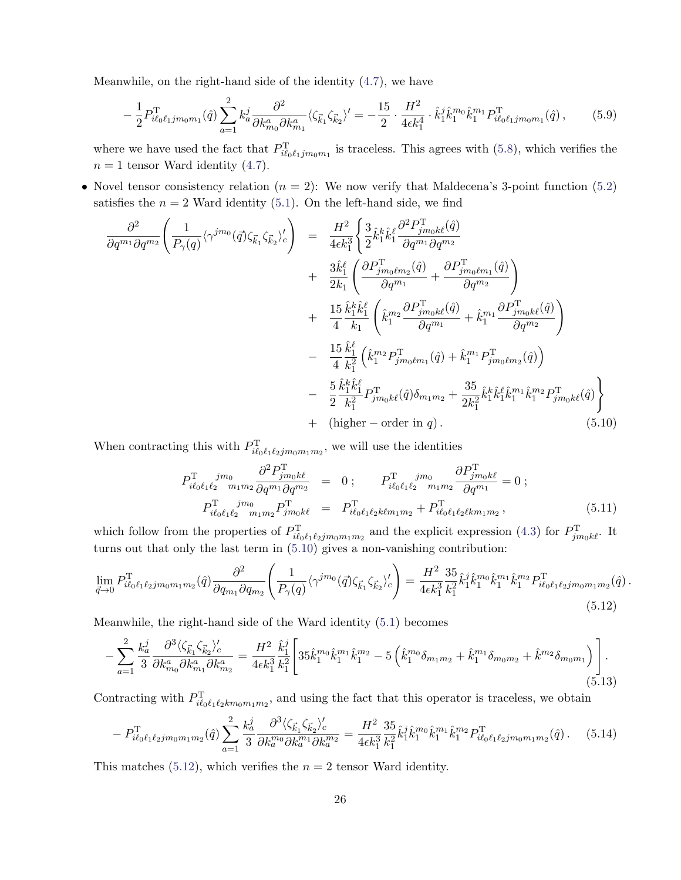Meanwhile, on the right-hand side of the identity [\(4.7\)](#page-23-1), we have

$$
-\frac{1}{2}P_{i\ell_0\ell_1jm_0m_1}^{\mathrm{T}}(\hat{q})\sum_{a=1}^2 k_a^j \frac{\partial^2}{\partial k_{m_0}^a \partial k_{m_1}^a} \langle \zeta_{\vec{k}_1} \zeta_{\vec{k}_2} \rangle' = -\frac{15}{2} \cdot \frac{H^2}{4\epsilon k_1^4} \cdot \hat{k}_1^j \hat{k}_1^{m_0} \hat{k}_1^{m_1} P_{i\ell_0\ell_1jm_0m_1}^{\mathrm{T}}(\hat{q})\,,\tag{5.9}
$$

where we have used the fact that  $P_{i\ell_0\ell_1jm_0m_1}^{\text{T}}$  is traceless. This agrees with [\(5.8\)](#page-25-4), which verifies the  $n = 1$  tensor Ward identity [\(4.7\)](#page-23-1).

• Novel tensor consistency relation  $(n = 2)$ : We now verify that Maldecena's 3-point function [\(5.2\)](#page-25-1) satisfies the  $n = 2$  Ward identity [\(5.1\)](#page-24-1). On the left-hand side, we find

<span id="page-26-0"></span>
$$
\frac{\partial^2}{\partial q^{m_1} \partial q^{m_2}} \left( \frac{1}{P_{\gamma}(q)} \langle \gamma^{j m_0}(\vec{q}) \zeta_{\vec{k}_1} \zeta_{\vec{k}_2} \rangle_c^{\prime} \right) = \frac{H^2}{4\epsilon k_1^3} \left\{ \frac{3}{2} \hat{k}_1^k \hat{k}_1^{\ell} \frac{\partial^2 F_{j m_0 k \ell}^{\text{T}}(\hat{q})}{\partial q^{m_1} \partial q^{m_2}} \right.\n+ \frac{3 \hat{k}_1^{\ell}}{2k_1} \left( \frac{\partial P_{j m_0 \ell m_2}^{\text{T}}(\hat{q})}{\partial q^{m_1}} + \frac{\partial P_{j m_0 \ell m_1}^{\text{T}}(\hat{q})}{\partial q^{m_2}} \right)\n+ \frac{15}{4} \frac{\hat{k}_1^k \hat{k}_1^{\ell}}{k_1} \left( \hat{k}_1^{m_2} \frac{\partial P_{j m_0 k \ell}^{\text{T}}(\hat{q})}{\partial q^{m_1}} + \hat{k}_1^{m_1} \frac{\partial P_{j m_0 k \ell}^{\text{T}}(\hat{q})}{\partial q^{m_2}} \right)\n- \frac{15}{4} \frac{\hat{k}_1^{\ell}}{k_1^2} \left( \hat{k}_1^{m_2} P_{j m_0 \ell m_1}^{\text{T}}(\hat{q}) + \hat{k}_1^{m_1} P_{j m_0 \ell m_2}^{\text{T}}(\hat{q}) \right)\n- \frac{5}{2} \frac{\hat{k}_1^k \hat{k}_1^{\ell}}{k_1^2} P_{j m_0 k \ell}^{\text{T}}(\hat{q}) \delta_{m_1 m_2} + \frac{35}{2k_1^2} \hat{k}_1^k \hat{k}_1^{\ell} \hat{k}_1^{m_1} \hat{k}_1^{m_2} P_{j m_0 k \ell}^{\text{T}}(\hat{q}) \n+ \text{(higher-order in } q). \tag{5.10}
$$

When contracting this with  $P_{i\ell_0\ell_1\ell_2jm_0m_1m_2}^{\mathrm{T}}$ , we will use the identities

$$
P_{i\ell_0\ell_1\ell_2}^{\text{T}} \t jm_0 \t \frac{\partial^2 P_{j m_0 k\ell}^{\text{T}}}{\partial q^{m_1} \partial q^{m_2}} = 0; \t P_{i\ell_0\ell_1\ell_2}^{\text{T}} \t jm_0 \t \frac{\partial P_{j m_0 k\ell}^{\text{T}}}{\partial q^{m_1}} = 0; P_{i\ell_0\ell_1\ell_2}^{\text{T}} \t jm_0 \t m_1 m_2 P_{j m_0 k\ell}^{\text{T}} = P_{i\ell_0\ell_1\ell_2 k\ell m_1 m_2}^{\text{T}} + P_{i\ell_0\ell_1\ell_2\ell k m_1 m_2}^{\text{T}},
$$
\n(5.11)

which follow from the properties of  $P_{i\ell_0\ell_1\ell_2jm_0m_1m_2}^{\rm T}$  and the explicit expression [\(4.3\)](#page-22-3) for  $P_{jm_0k\ell}^{\rm T}$ . It turns out that only the last term in [\(5.10\)](#page-26-0) gives a non-vanishing contribution:

<span id="page-26-1"></span>
$$
\lim_{\vec{q}\to 0} P_{i\ell_0\ell_1\ell_2jm_0m_1m_2}^{\text{T}}(\hat{q}) \frac{\partial^2}{\partial q_{m_1}\partial q_{m_2}} \left( \frac{1}{P_\gamma(q)} \langle \gamma^{jm_0}(\vec{q}) \zeta_{\vec{k}_1} \zeta_{\vec{k}_2} \rangle_c' \right) = \frac{H^2}{4\epsilon k_1^3} \frac{35}{k_1^2} \hat{k}_1^j \hat{k}_1^{m_0} \hat{k}_1^{m_1} \hat{k}_1^{m_2} P_{i\ell_0\ell_1\ell_2jm_0m_1m_2}^{\text{T}}(\hat{q}) \,. \tag{5.12}
$$

Meanwhile, the right-hand side of the Ward identity [\(5.1\)](#page-24-1) becomes

$$
-\sum_{a=1}^{2} \frac{k_a^j}{3} \frac{\partial^3 \langle \zeta_{\vec{k}_1} \zeta_{\vec{k}_2} \rangle_c'}{\partial k_{m_0}^a \partial k_{m_1}^a \partial k_{m_2}^a} = \frac{H^2}{4\epsilon k_1^3} \frac{\hat{k}_1^j}{k_1^2} \Bigg[ 35 \hat{k}_1^{m_0} \hat{k}_1^{m_1} \hat{k}_1^{m_2} - 5 \left( \hat{k}_1^{m_0} \delta_{m_1 m_2} + \hat{k}_1^{m_1} \delta_{m_0 m_2} + \hat{k}^{m_2} \delta_{m_0 m_1} \right) \Bigg]. \tag{5.13}
$$

Contracting with  $P_{i\ell_0\ell_1\ell_2km_0m_1m_2}^{\rm T}$ , and using the fact that this operator is traceless, we obtain

$$
- P_{i\ell_0\ell_1\ell_2jm_0m_1m_2}^{T}(\hat{q}) \sum_{a=1}^2 \frac{k_a^j}{3} \frac{\partial^3 \langle \zeta_{\vec{k}_1} \zeta_{\vec{k}_2} \rangle_c'}{\partial k_a^{m_0} \partial k_a^{m_1} \partial k_a^{m_2}} = \frac{H^2}{4\epsilon k_1^3} \frac{35}{k_1^2} \hat{k}_1^j \hat{k}_1^{m_0} \hat{k}_1^{m_1} \hat{k}_1^{m_2} P_{i\ell_0\ell_1\ell_2jm_0m_1m_2}^{T}(\hat{q}) . \tag{5.14}
$$

This matches [\(5.12\)](#page-26-1), which verifies the  $n = 2$  tensor Ward identity.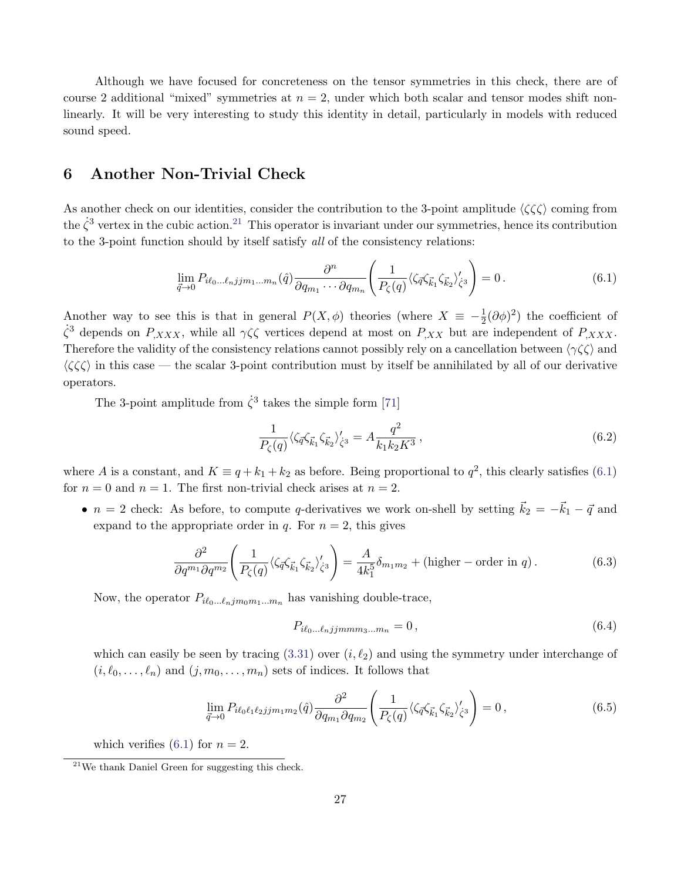Although we have focused for concreteness on the tensor symmetries in this check, there are of course 2 additional "mixed" symmetries at  $n = 2$ , under which both scalar and tensor modes shift nonlinearly. It will be very interesting to study this identity in detail, particularly in models with reduced sound speed.

## <span id="page-27-0"></span>6 Another Non-Trivial Check

As another check on our identities, consider the contribution to the 3-point amplitude  $\langle \zeta \zeta \zeta \rangle$  coming from the  $\dot{\zeta}^3$  vertex in the cubic action.<sup>[21](#page-27-1)</sup> This operator is invariant under our symmetries, hence its contribution to the 3-point function should by itself satisfy all of the consistency relations:

<span id="page-27-2"></span>
$$
\lim_{\vec{q}\to 0} P_{i\ell_0\ldots\ell_n j j m_1\ldots m_n}(\hat{q}) \frac{\partial^n}{\partial q_{m_1}\cdots\partial q_{m_n}} \left( \frac{1}{P_\zeta(q)} \langle \zeta_{\vec{q}} \zeta_{\vec{k}_1} \zeta_{\vec{k}_2} \rangle'_{\zeta^3} \right) = 0. \tag{6.1}
$$

Another way to see this is that in general  $P(X, \phi)$  theories (where  $X \equiv -\frac{1}{2}(\partial \phi)^2$ ) the coefficient of  $\zeta^3$  depends on  $P_{,XXX}$ , while all  $\gamma\zeta\zeta$  vertices depend at most on  $P_{,XX}$  but are independent of  $P_{,XXX}$ . Therefore the validity of the consistency relations cannot possibly rely on a cancellation between  $\langle \gamma \zeta \zeta \rangle$  and  $\langle\zeta\zeta\zeta\rangle$  in this case — the scalar 3-point contribution must by itself be annihilated by all of our derivative operators.

The 3-point amplitude from  $\dot{\zeta}^3$  takes the simple form [\[71\]](#page-45-4)

$$
\frac{1}{P_{\zeta}(q)} \langle \zeta_{\vec{q}} \zeta_{\vec{k}_1} \zeta_{\vec{k}_2} \rangle'_{\zeta^3} = A \frac{q^2}{k_1 k_2 K^3} \,, \tag{6.2}
$$

where A is a constant, and  $K \equiv q + k_1 + k_2$  as before. Being proportional to  $q^2$ , this clearly satisfies [\(6.1\)](#page-27-2) for  $n = 0$  and  $n = 1$ . The first non-trivial check arises at  $n = 2$ .

•  $n = 2$  check: As before, to compute q-derivatives we work on-shell by setting  $\vec{k}_2 = -\vec{k}_1 - \vec{q}$  and expand to the appropriate order in  $q$ . For  $n = 2$ , this gives

$$
\frac{\partial^2}{\partial q^{m_1} \partial q^{m_2}} \left( \frac{1}{P_\zeta(q)} \langle \zeta_{\vec{q}} \zeta_{\vec{k}_1} \zeta_{\vec{k}_2} \rangle_{\zeta^3}^{\prime} \right) = \frac{A}{4k_1^5} \delta_{m_1 m_2} + (\text{higher-order in } q) \,. \tag{6.3}
$$

Now, the operator  $P_{i\ell_0...\ell_njm_0m_1...m_n}$  has vanishing double-trace,

<span id="page-27-3"></span>
$$
P_{i\ell_0\ldots\ell_n\,j\,j\,m\,m\,n\,n} = 0\,,\tag{6.4}
$$

which can easily be seen by tracing  $(3.31)$  over  $(i, \ell_2)$  and using the symmetry under interchange of  $(i, \ell_0, \ldots, \ell_n)$  and  $(j, m_0, \ldots, m_n)$  sets of indices. It follows that

$$
\lim_{\vec{q}\to 0} P_{i\ell_0\ell_1\ell_2 j j m_1 m_2}(\hat{q}) \frac{\partial^2}{\partial q_{m_1} \partial q_{m_2}} \left( \frac{1}{P_\zeta(q)} \langle \zeta_{\vec{q}} \zeta_{\vec{k}_1} \zeta_{\vec{k}_2} \rangle_{\zeta^3}^{\prime} \right) = 0, \qquad (6.5)
$$

which verifies [\(6.1\)](#page-27-2) for  $n = 2$ .

<span id="page-27-1"></span> $21$ We thank Daniel Green for suggesting this check.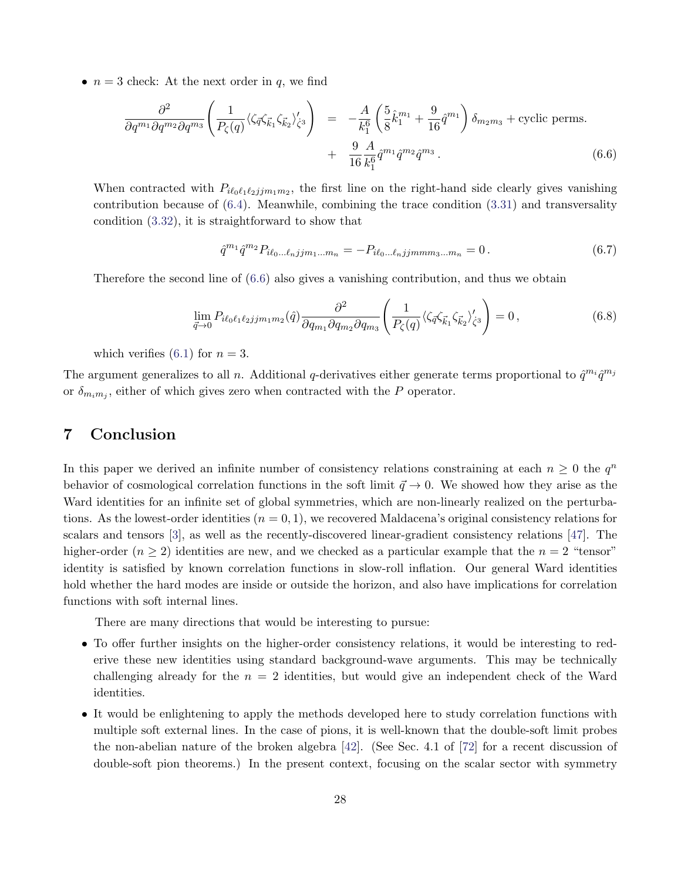•  $n = 3$  check: At the next order in q, we find

<span id="page-28-1"></span>
$$
\frac{\partial^2}{\partial q^{m_1} \partial q^{m_2} \partial q^{m_3}} \left( \frac{1}{P_{\zeta}(q)} \langle \zeta_{\vec{q}} \zeta_{\vec{k}_1} \zeta_{\vec{k}_2} \rangle_{\zeta^3}^{\prime} \right) = -\frac{A}{k_1^6} \left( \frac{5}{8} \hat{k}_1^{m_1} + \frac{9}{16} \hat{q}^{m_1} \right) \delta_{m_2 m_3} + \text{cyclic perms.} + \frac{9}{16} \frac{A}{k_1^6} \hat{q}^{m_1} \hat{q}^{m_2} \hat{q}^{m_3} . \tag{6.6}
$$

When contracted with  $P_{i\ell_0\ell_1\ell_2jjm_1m_2}$ , the first line on the right-hand side clearly gives vanishing contribution because of  $(6.4)$ . Meanwhile, combining the trace condition  $(3.31)$  and transversality condition [\(3.32\)](#page-20-1), it is straightforward to show that

$$
\hat{q}^{m_1}\hat{q}^{m_2}P_{i\ell_0\ldots\ell_n\,j\,m_1\ldots m_n} = -P_{i\ell_0\ldots\ell_n\,j\,j\,m\,m_3\ldots m_n} = 0\,. \tag{6.7}
$$

Therefore the second line of [\(6.6\)](#page-28-1) also gives a vanishing contribution, and thus we obtain

$$
\lim_{\vec{q}\to 0} P_{i\ell_0\ell_1\ell_2 j j m_1 m_2}(\hat{q}) \frac{\partial^2}{\partial q_{m_1} \partial q_{m_2} \partial q_{m_3}} \left( \frac{1}{P_\zeta(q)} \langle \zeta_{\vec{q}} \zeta_{\vec{k}_1} \zeta_{\vec{k}_2} \rangle'_{\zeta^3} \right) = 0, \qquad (6.8)
$$

which verifies [\(6.1\)](#page-27-2) for  $n = 3$ .

The argument generalizes to all n. Additional q-derivatives either generate terms proportional to  $\hat{q}^{m_i}\hat{q}^{m_j}$ or  $\delta_{m_im_j}$ , either of which gives zero when contracted with the P operator.

## <span id="page-28-0"></span>7 Conclusion

In this paper we derived an infinite number of consistency relations constraining at each  $n \geq 0$  the  $q^n$ behavior of cosmological correlation functions in the soft limit  $\vec{q} \to 0$ . We showed how they arise as the Ward identities for an infinite set of global symmetries, which are non-linearly realized on the perturbations. As the lowest-order identities  $(n = 0, 1)$ , we recovered Maldacena's original consistency relations for scalars and tensors [\[3\]](#page-41-2), as well as the recently-discovered linear-gradient consistency relations [\[47\]](#page-44-1). The higher-order  $(n \geq 2)$  identities are new, and we checked as a particular example that the  $n = 2$  "tensor" identity is satisfied by known correlation functions in slow-roll inflation. Our general Ward identities hold whether the hard modes are inside or outside the horizon, and also have implications for correlation functions with soft internal lines.

There are many directions that would be interesting to pursue:

- To offer further insights on the higher-order consistency relations, it would be interesting to rederive these new identities using standard background-wave arguments. This may be technically challenging already for the  $n = 2$  identities, but would give an independent check of the Ward identities.
- It would be enlightening to apply the methods developed here to study correlation functions with multiple soft external lines. In the case of pions, it is well-known that the double-soft limit probes the non-abelian nature of the broken algebra  $[42]$ . (See Sec. 4.1 of  $[72]$  for a recent discussion of double-soft pion theorems.) In the present context, focusing on the scalar sector with symmetry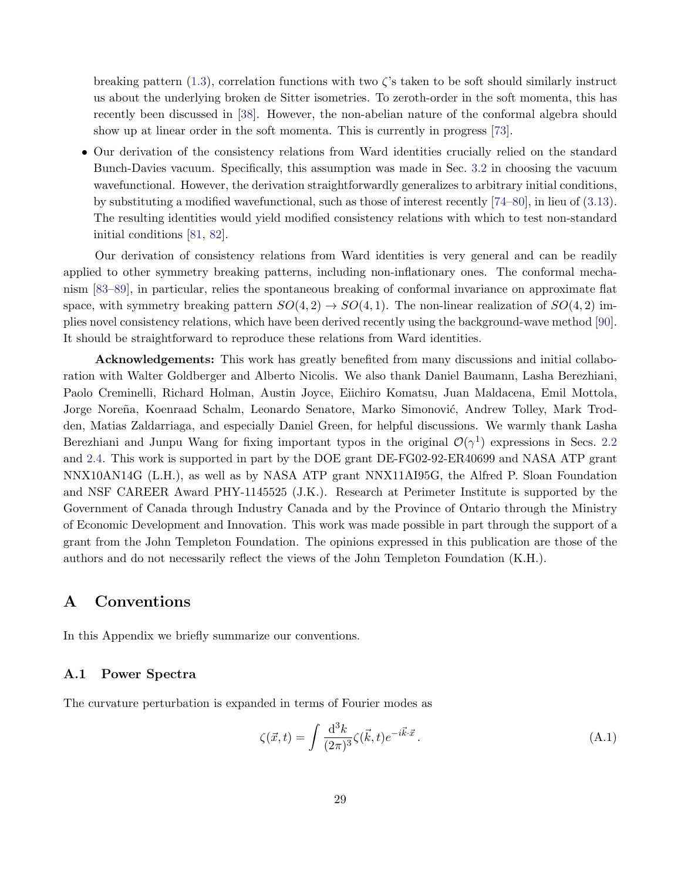breaking pattern  $(1.3)$ , correlation functions with two  $\zeta$ 's taken to be soft should similarly instruct us about the underlying broken de Sitter isometries. To zeroth-order in the soft momenta, this has recently been discussed in [\[38\]](#page-43-5). However, the non-abelian nature of the conformal algebra should show up at linear order in the soft momenta. This is currently in progress [\[73\]](#page-45-6).

• Our derivation of the consistency relations from Ward identities crucially relied on the standard Bunch-Davies vacuum. Specifically, this assumption was made in Sec. [3.2](#page-15-4) in choosing the vacuum wavefunctional. However, the derivation straightforwardly generalizes to arbitrary initial conditions, by substituting a modified wavefunctional, such as those of interest recently [\[74–](#page-45-7)[80\]](#page-45-8), in lieu of [\(3.13\)](#page-16-5). The resulting identities would yield modified consistency relations with which to test non-standard initial conditions [\[81,](#page-46-0) [82\]](#page-46-1).

Our derivation of consistency relations from Ward identities is very general and can be readily applied to other symmetry breaking patterns, including non-inflationary ones. The conformal mechanism [\[83–](#page-46-2)[89\]](#page-46-3), in particular, relies the spontaneous breaking of conformal invariance on approximate flat space, with symmetry breaking pattern  $SO(4,2) \rightarrow SO(4,1)$ . The non-linear realization of  $SO(4,2)$  implies novel consistency relations, which have been derived recently using the background-wave method [\[90\]](#page-46-4). It should be straightforward to reproduce these relations from Ward identities.

Acknowledgements: This work has greatly benefited from many discussions and initial collaboration with Walter Goldberger and Alberto Nicolis. We also thank Daniel Baumann, Lasha Berezhiani, Paolo Creminelli, Richard Holman, Austin Joyce, Eiichiro Komatsu, Juan Maldacena, Emil Mottola, Jorge Noreña, Koenraad Schalm, Leonardo Senatore, Marko Simonović, Andrew Tolley, Mark Trodden, Matias Zaldarriaga, and especially Daniel Green, for helpful discussions. We warmly thank Lasha Berezhiani and Junpu Wang for fixing important typos in the original  $\mathcal{O}(\gamma^1)$  expressions in Secs. [2.2](#page-5-0) and [2.4.](#page-9-3) This work is supported in part by the DOE grant DE-FG02-92-ER40699 and NASA ATP grant NNX10AN14G (L.H.), as well as by NASA ATP grant NNX11AI95G, the Alfred P. Sloan Foundation and NSF CAREER Award PHY-1145525 (J.K.). Research at Perimeter Institute is supported by the Government of Canada through Industry Canada and by the Province of Ontario through the Ministry of Economic Development and Innovation. This work was made possible in part through the support of a grant from the John Templeton Foundation. The opinions expressed in this publication are those of the authors and do not necessarily reflect the views of the John Templeton Foundation (K.H.).

# <span id="page-29-0"></span>A Conventions

In this Appendix we briefly summarize our conventions.

### A.1 Power Spectra

The curvature perturbation is expanded in terms of Fourier modes as

$$
\zeta(\vec{x},t) = \int \frac{\mathrm{d}^3 k}{(2\pi)^3} \zeta(\vec{k},t) e^{-i\vec{k}\cdot\vec{x}}.
$$
\n(A.1)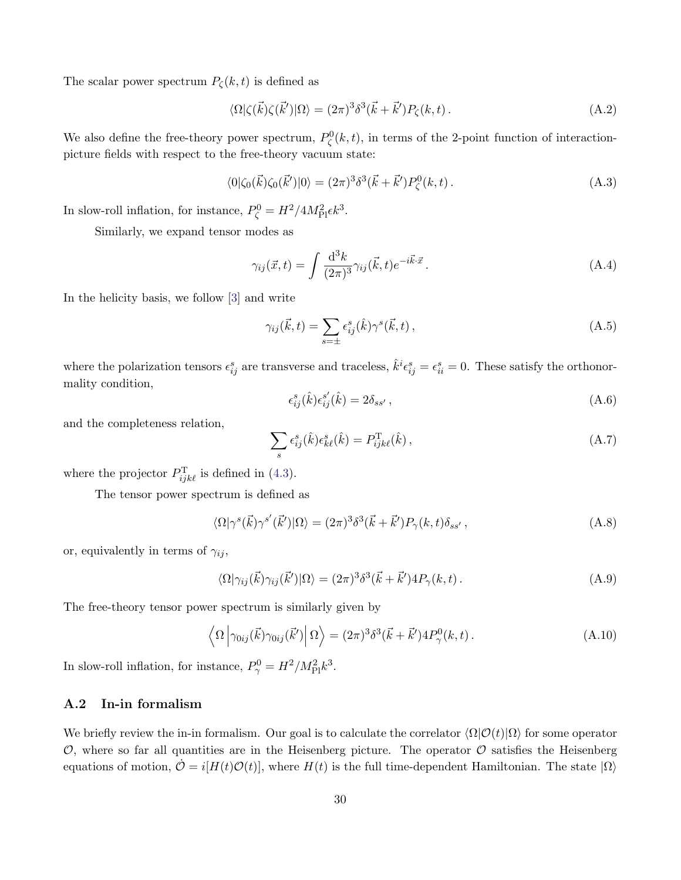The scalar power spectrum  $P_{\zeta}(k,t)$  is defined as

$$
\langle \Omega | \zeta(\vec{k}) \zeta(\vec{k'}) | \Omega \rangle = (2\pi)^3 \delta^3(\vec{k} + \vec{k'}) P_{\zeta}(k, t). \tag{A.2}
$$

We also define the free-theory power spectrum,  $P_{\zeta}^{0}(k,t)$ , in terms of the 2-point function of interactionpicture fields with respect to the free-theory vacuum state:

$$
\langle 0|\zeta_0(\vec{k})\zeta_0(\vec{k}')|0\rangle = (2\pi)^3 \delta^3(\vec{k} + \vec{k}') P^0_{\zeta}(k, t). \tag{A.3}
$$

In slow-roll inflation, for instance,  $P_{\zeta}^0 = H^2/4M_{\text{Pl}}^2 \epsilon k^3$ .

Similarly, we expand tensor modes as

$$
\gamma_{ij}(\vec{x},t) = \int \frac{\mathrm{d}^3 k}{(2\pi)^3} \gamma_{ij}(\vec{k},t) e^{-i\vec{k}\cdot\vec{x}}.
$$
\n(A.4)

In the helicity basis, we follow [\[3\]](#page-41-2) and write

$$
\gamma_{ij}(\vec{k},t) = \sum_{s=\pm} \epsilon_{ij}^s(\hat{k}) \gamma^s(\vec{k},t) , \qquad (A.5)
$$

where the polarization tensors  $\epsilon_{ij}^s$  are transverse and traceless,  $\hat{k}^i \epsilon_{ij}^s = \epsilon_{ii}^s = 0$ . These satisfy the orthonormality condition,

<span id="page-30-1"></span>
$$
\epsilon_{ij}^s(\hat{k})\epsilon_{ij}^{s'}(\hat{k}) = 2\delta_{ss'},\tag{A.6}
$$

and the completeness relation,

<span id="page-30-0"></span>
$$
\sum_{s} \epsilon_{ij}^{s}(\hat{k}) \epsilon_{k\ell}^{s}(\hat{k}) = P_{ijk\ell}^{T}(\hat{k}) , \qquad (A.7)
$$

where the projector  $P_{ijk\ell}^{\mathrm{T}}$  is defined in [\(4.3\)](#page-22-3).

The tensor power spectrum is defined as

$$
\langle \Omega | \gamma^s(\vec{k}) \gamma^{s'}(\vec{k'}) | \Omega \rangle = (2\pi)^3 \delta^3(\vec{k} + \vec{k'}) P_\gamma(k, t) \delta_{ss'}, \qquad (A.8)
$$

or, equivalently in terms of  $\gamma_{ij}$ ,

$$
\langle \Omega | \gamma_{ij}(\vec{k}) \gamma_{ij}(\vec{k}') | \Omega \rangle = (2\pi)^3 \delta^3(\vec{k} + \vec{k}') 4P_\gamma(k, t) \,. \tag{A.9}
$$

The free-theory tensor power spectrum is similarly given by

$$
\left\langle \Omega \left| \gamma_{0ij}(\vec{k}) \gamma_{0ij}(\vec{k}') \right| \Omega \right\rangle = (2\pi)^3 \delta^3(\vec{k} + \vec{k}') 4P_\gamma^0(k, t). \tag{A.10}
$$

In slow-roll inflation, for instance,  $P_{\gamma}^0 = H^2/M_{\rm Pl}^2 k^3$ .

### A.2 In-in formalism

We briefly review the in-in formalism. Our goal is to calculate the correlator  $\langle \Omega | \mathcal{O}(t) | \Omega \rangle$  for some operator  $\mathcal{O}$ , where so far all quantities are in the Heisenberg picture. The operator  $\mathcal{O}$  satisfies the Heisenberg equations of motion,  $\mathcal{O} = i[H(t)\mathcal{O}(t)]$ , where  $H(t)$  is the full time-dependent Hamiltonian. The state  $|\Omega\rangle$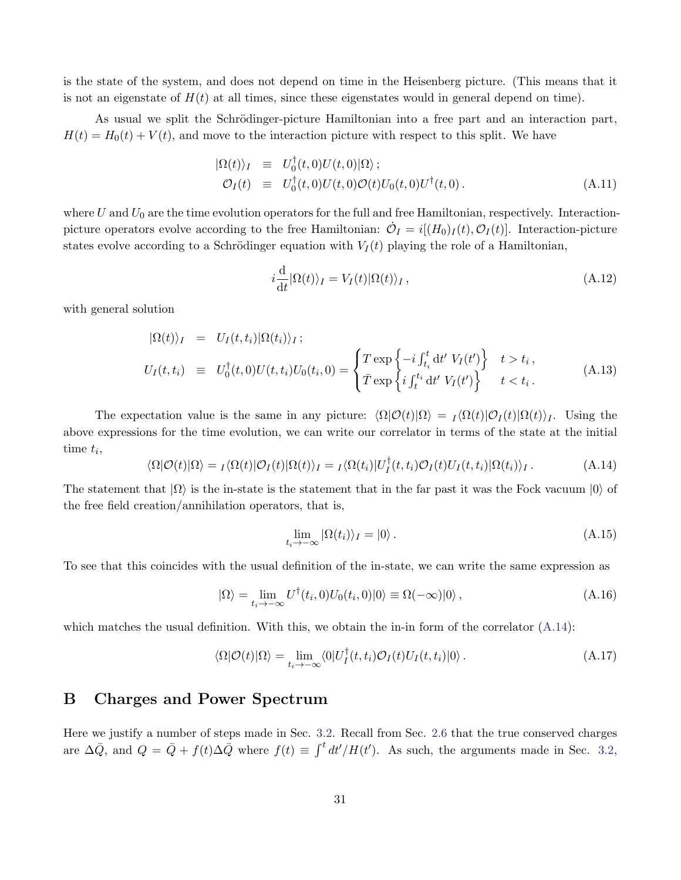is the state of the system, and does not depend on time in the Heisenberg picture. (This means that it is not an eigenstate of  $H(t)$  at all times, since these eigenstates would in general depend on time).

As usual we split the Schrödinger-picture Hamiltonian into a free part and an interaction part,  $H(t) = H_0(t) + V(t)$ , and move to the interaction picture with respect to this split. We have

$$
\begin{array}{rcl}\n\langle \Omega(t) \rangle_I & \equiv & U_0^\dagger(t,0)U(t,0)|\Omega\rangle \, ; \\
\mathcal{O}_I(t) & \equiv & U_0^\dagger(t,0)U(t,0)\mathcal{O}(t)U_0(t,0)U^\dagger(t,0) \, .\n\end{array} \tag{A.11}
$$

where  $U$  and  $U_0$  are the time evolution operators for the full and free Hamiltonian, respectively. Interactionpicture operators evolve according to the free Hamiltonian:  $\dot{\mathcal{O}}_I = i[(H_0)_I(t), \mathcal{O}_I(t)]$ . Interaction-picture states evolve according to a Schrödinger equation with  $V_I(t)$  playing the role of a Hamiltonian,

$$
i\frac{\mathrm{d}}{\mathrm{d}t}|\Omega(t)\rangle_I = V_I(t)|\Omega(t)\rangle_I, \qquad (A.12)
$$

with general solution

$$
|\Omega(t)\rangle_I = U_I(t, t_i)|\Omega(t_i)\rangle_I;
$$
  
\n
$$
U_I(t, t_i) \equiv U_0^\dagger(t, 0)U(t, t_i)U_0(t_i, 0) = \begin{cases} T \exp\left\{-i \int_{t_i}^t dt' V_I(t')\right\} & t > t_i, \\ \bar{T} \exp\left\{i \int_{t'}^{t_i} dt' V_I(t')\right\} & t < t_i. \end{cases}
$$
(A.13)

The expectation value is the same in any picture:  $\langle \Omega | \mathcal{O}(t) | \Omega \rangle = I \langle \Omega(t) | \mathcal{O}_I(t) | \Omega(t) \rangle_I$ . Using the above expressions for the time evolution, we can write our correlator in terms of the state at the initial time  $t_i$ ,

<span id="page-31-1"></span>
$$
\langle \Omega | \mathcal{O}(t) | \Omega \rangle = \mathcal{I} \langle \Omega(t) | \mathcal{O}_I(t) | \Omega(t) \rangle_I = \mathcal{I} \langle \Omega(t_i) | U_I^\dagger(t, t_i) \mathcal{O}_I(t) U_I(t, t_i) | \Omega(t_i) \rangle_I. \tag{A.14}
$$

The statement that  $|\Omega\rangle$  is the in-state is the statement that in the far past it was the Fock vacuum  $|0\rangle$  of the free field creation/annihilation operators, that is,

$$
\lim_{t_i \to -\infty} |\Omega(t_i)\rangle_I = |0\rangle. \tag{A.15}
$$

To see that this coincides with the usual definition of the in-state, we can write the same expression as

$$
|\Omega\rangle = \lim_{t_i \to -\infty} U^{\dagger}(t_i, 0) U_0(t_i, 0) |0\rangle \equiv \Omega(-\infty)|0\rangle , \qquad (A.16)
$$

which matches the usual definition. With this, we obtain the in-in form of the correlator  $(A.14)$ :

$$
\langle \Omega | \mathcal{O}(t) | \Omega \rangle = \lim_{t_i \to -\infty} \langle 0 | U_I^{\dagger}(t, t_i) \mathcal{O}_I(t) U_I(t, t_i) | 0 \rangle. \tag{A.17}
$$

## <span id="page-31-0"></span>B Charges and Power Spectrum

Here we justify a number of steps made in Sec. [3.2.](#page-15-4) Recall from Sec. [2.6](#page-13-3) that the true conserved charges are  $\Delta \bar{Q}$ , and  $Q = \bar{Q} + f(t) \Delta \bar{Q}$  where  $f(t) \equiv \int^t dt'/H(t')$ . As such, the arguments made in Sec. [3.2,](#page-15-4)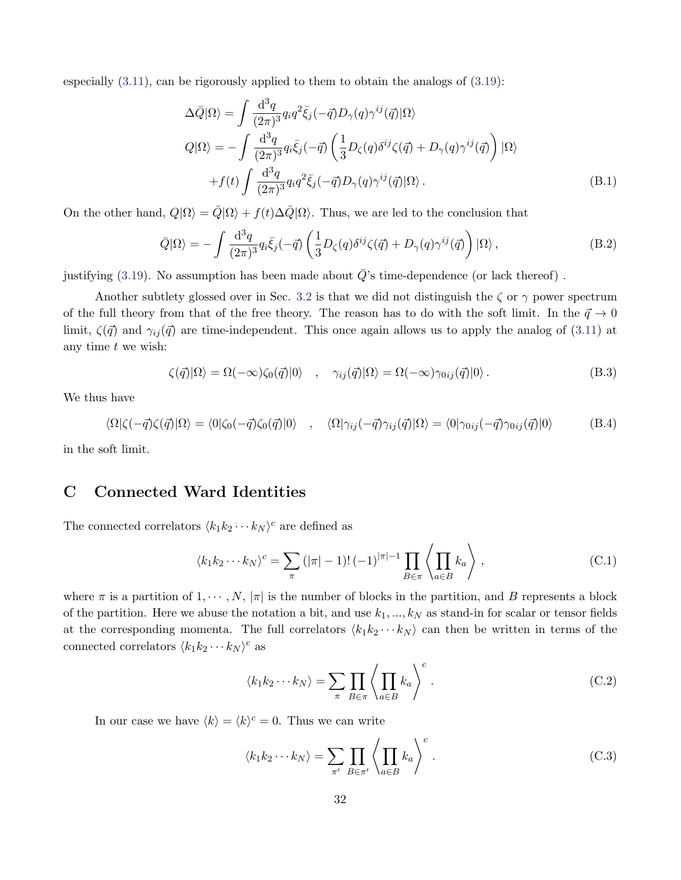especially  $(3.11)$ , can be rigorously applied to them to obtain the analogs of  $(3.19)$ :

$$
\Delta \bar{Q}|\Omega\rangle = \int \frac{\mathrm{d}^3 q}{(2\pi)^3} q_i q^2 \bar{\xi}_j (-\vec{q}) D_\gamma(q) \gamma^{ij}(\vec{q})|\Omega\rangle
$$
  
\n
$$
Q|\Omega\rangle = -\int \frac{\mathrm{d}^3 q}{(2\pi)^3} q_i \bar{\xi}_j (-\vec{q}) \left(\frac{1}{3} D_\zeta(q) \delta^{ij} \zeta(\vec{q}) + D_\gamma(q) \gamma^{ij}(\vec{q})\right) |\Omega\rangle
$$
  
\n
$$
+ f(t) \int \frac{\mathrm{d}^3 q}{(2\pi)^3} q_i q^2 \bar{\xi}_j (-\vec{q}) D_\gamma(q) \gamma^{ij}(\vec{q}) |\Omega\rangle.
$$
 (B.1)

On the other hand,  $Q|\Omega\rangle = \overline{Q}|\Omega\rangle + f(t)\Delta \overline{Q}|\Omega\rangle$ . Thus, we are led to the conclusion that

$$
\bar{Q}|\Omega\rangle = -\int \frac{\mathrm{d}^3 q}{(2\pi)^3} q_i \bar{\xi}_j(-\vec{q}) \left( \frac{1}{3} D_\zeta(q) \delta^{ij} \zeta(\vec{q}) + D_\gamma(q) \gamma^{ij}(\vec{q}) \right) |\Omega\rangle , \tag{B.2}
$$

justifying [\(3.19\)](#page-17-4). No assumption has been made about  $\overline{Q}$ 's time-dependence (or lack thereof).

Another subtlety glossed over in Sec. [3.2](#page-15-4) is that we did not distinguish the  $\zeta$  or  $\gamma$  power spectrum of the full theory from that of the free theory. The reason has to do with the soft limit. In the  $\vec{q} \to 0$ limit,  $\zeta(\vec{q})$  and  $\gamma_{ij}(\vec{q})$  are time-independent. This once again allows us to apply the analog of [\(3.11\)](#page-15-2) at any time  $t$  we wish:

$$
\zeta(\vec{q})|\Omega\rangle = \Omega(-\infty)\zeta_0(\vec{q})|0\rangle \quad , \quad \gamma_{ij}(\vec{q})|\Omega\rangle = \Omega(-\infty)\gamma_{0ij}(\vec{q})|0\rangle \, . \tag{B.3}
$$

We thus have

$$
\langle \Omega | \zeta(-\vec{q}) \zeta(\vec{q}) | \Omega \rangle = \langle 0 | \zeta_0(-\vec{q}) \zeta_0(\vec{q}) | 0 \rangle \quad , \quad \langle \Omega | \gamma_{ij}(-\vec{q}) \gamma_{ij}(\vec{q}) | \Omega \rangle = \langle 0 | \gamma_{0ij}(-\vec{q}) \gamma_{0ij}(\vec{q}) | 0 \rangle \tag{B.4}
$$

in the soft limit.

## <span id="page-32-0"></span>C Connected Ward Identities

The connected correlators  $\langle k_1 k_2 \cdots k_N \rangle^c$  are defined as

$$
\langle k_1 k_2 \cdots k_N \rangle^c = \sum_{\pi} \left( |\pi| - 1 \right)! \left( -1 \right)^{|\pi| - 1} \prod_{B \in \pi} \left\langle \prod_{a \in B} k_a \right\rangle , \tag{C.1}
$$

where  $\pi$  is a partition of  $1, \dots, N$ ,  $|\pi|$  is the number of blocks in the partition, and B represents a block of the partition. Here we abuse the notation a bit, and use  $k_1, ..., k_N$  as stand-in for scalar or tensor fields at the corresponding momenta. The full correlators  $\langle k_1 k_2 \cdots k_N \rangle$  can then be written in terms of the connected correlators  $\langle k_1 k_2 \cdots k_N \rangle^c$  as

$$
\langle k_1 k_2 \cdots k_N \rangle = \sum_{\pi} \prod_{B \in \pi} \left\langle \prod_{a \in B} k_a \right\rangle^c.
$$
 (C.2)

In our case we have  $\langle k \rangle = \langle k \rangle^c = 0$ . Thus we can write

$$
\langle k_1 k_2 \cdots k_N \rangle = \sum_{\pi'} \prod_{B \in \pi'} \left\langle \prod_{a \in B} k_a \right\rangle^c.
$$
 (C.3)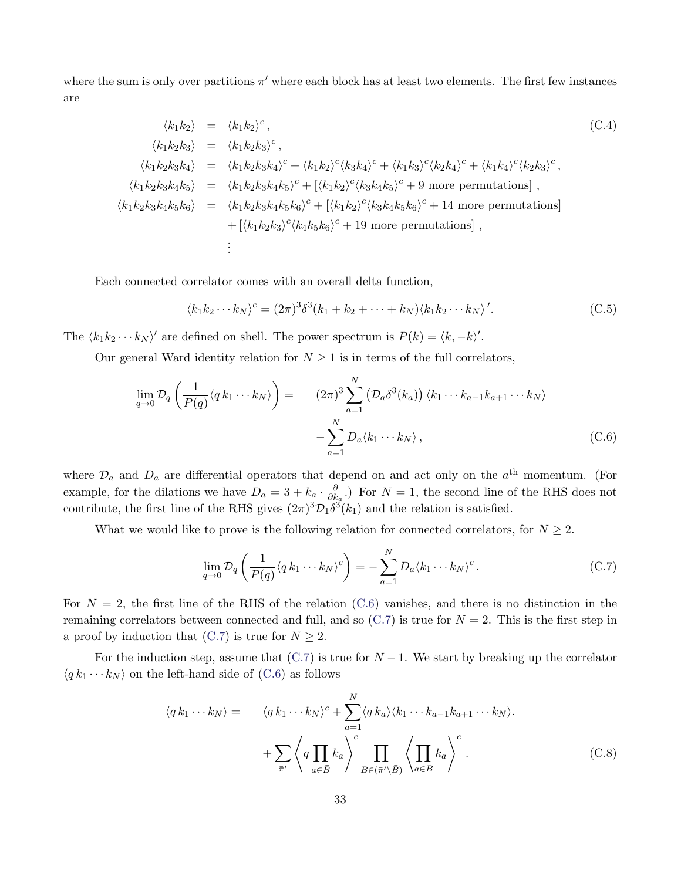where the sum is only over partitions  $\pi'$  where each block has at least two elements. The first few instances are

$$
\langle k_1 k_2 \rangle = \langle k_1 k_2 \rangle^c, \tag{C.4}
$$
\n
$$
\langle k_1 k_2 k_3 \rangle = \langle k_1 k_2 k_3 \rangle^c, \tag{C.4}
$$
\n
$$
\langle k_1 k_2 k_3 \rangle = \langle k_1 k_2 k_3 \rangle^c, \tag{C.4}
$$
\n
$$
\langle k_1 k_2 k_3 k_4 \rangle = \langle k_1 k_2 k_3 k_4 \rangle^c + \langle k_1 k_2 \rangle^c \langle k_3 k_4 \rangle^c + \langle k_1 k_3 \rangle^c \langle k_2 k_4 \rangle^c + \langle k_1 k_4 \rangle^c \langle k_2 k_3 \rangle^c, \tag{K_1K_2K_3K_4K_5} = \langle k_1 k_2 k_3 k_4 k_5 \rangle^c + [\langle k_1 k_2 \rangle^c \langle k_3 k_4 k_5 \rangle^c + 9 \text{ more permutations}], \tag{K_1K_2K_3K_4K_5K_6} = \langle k_1 k_2 k_3 k_4 k_5 k_6 \rangle^c + [ \langle k_1 k_2 \rangle^c \langle k_3 k_4 k_5 k_6 \rangle^c + 19 \text{ more permutations}], \tag{1}
$$
\n
$$
\vdots
$$

Each connected correlator comes with an overall delta function,

$$
\langle k_1 k_2 \cdots k_N \rangle^c = (2\pi)^3 \delta^3 (k_1 + k_2 + \cdots + k_N) \langle k_1 k_2 \cdots k_N \rangle'.
$$
 (C.5)

The  $\langle k_1 k_2 \cdots k_N \rangle'$  are defined on shell. The power spectrum is  $P(k) = \langle k, -k \rangle'$ .

Our general Ward identity relation for  $N \geq 1$  is in terms of the full correlators,

<span id="page-33-0"></span>
$$
\lim_{q \to 0} \mathcal{D}_q \left( \frac{1}{P(q)} \langle q k_1 \cdots k_N \rangle \right) = \qquad (2\pi)^3 \sum_{a=1}^N \left( \mathcal{D}_a \delta^3(k_a) \right) \langle k_1 \cdots k_{a-1} k_{a+1} \cdots k_N \rangle
$$
\n
$$
- \sum_{a=1}^N D_a \langle k_1 \cdots k_N \rangle , \qquad (C.6)
$$

where  $\mathcal{D}_a$  and  $D_a$  are differential operators that depend on and act only on the  $a^{\text{th}}$  momentum. (For example, for the dilations we have  $D_a = 3 + k_a \cdot \frac{\partial}{\partial k_a}$  $\frac{\partial}{\partial k_a}$ .) For  $N = 1$ , the second line of the RHS does not contribute, the first line of the RHS gives  $(2\pi)^3 \mathcal{D}_1 \delta^3(k_1)$  and the relation is satisfied.

What we would like to prove is the following relation for connected correlators, for  $N \geq 2$ .

<span id="page-33-1"></span>
$$
\lim_{q \to 0} \mathcal{D}_q \left( \frac{1}{P(q)} \langle q k_1 \cdots k_N \rangle^c \right) = - \sum_{a=1}^N D_a \langle k_1 \cdots k_N \rangle^c. \tag{C.7}
$$

For  $N = 2$ , the first line of the RHS of the relation [\(C.6\)](#page-33-0) vanishes, and there is no distinction in the remaining correlators between connected and full, and so  $(C.7)$  is true for  $N = 2$ . This is the first step in a proof by induction that  $(C.7)$  is true for  $N \geq 2$ .

For the induction step, assume that  $(C.7)$  is true for  $N-1$ . We start by breaking up the correlator  $\langle q k_1 \cdots k_N \rangle$  on the left-hand side of [\(C.6\)](#page-33-0) as follows

<span id="page-33-2"></span>
$$
\langle q k_1 \cdots k_N \rangle = \langle q k_1 \cdots k_N \rangle^c + \sum_{a=1}^N \langle q k_a \rangle \langle k_1 \cdots k_{a-1} k_{a+1} \cdots k_N \rangle.
$$

$$
+ \sum_{\bar{\pi}'} \left\langle q \prod_{a \in \bar{B}} k_a \right\rangle^c \prod_{B \in (\bar{\pi}' \setminus \bar{B})} \left\langle \prod_{a \in B} k_a \right\rangle^c.
$$
(C.8)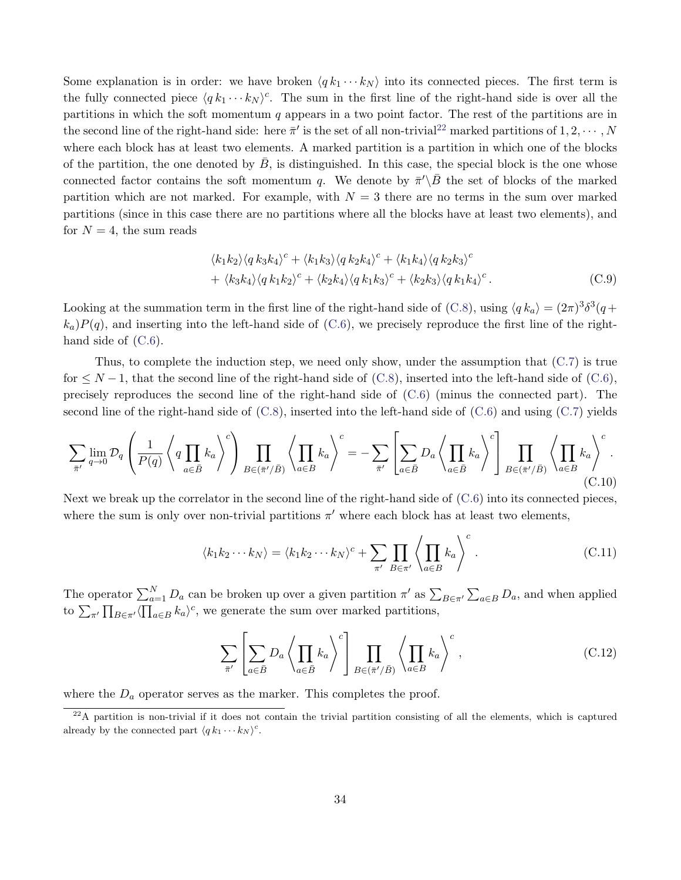Some explanation is in order: we have broken  $\langle q k_1 \cdots k_N \rangle$  into its connected pieces. The first term is the fully connected piece  $\langle q k_1 \cdots k_N \rangle^c$ . The sum in the first line of the right-hand side is over all the partitions in which the soft momentum  $q$  appears in a two point factor. The rest of the partitions are in the second line of the right-hand side: here  $\bar{\pi}'$  is the set of all non-trivial<sup>[22](#page-34-0)</sup> marked partitions of  $1, 2, \cdots, N$ where each block has at least two elements. A marked partition is a partition in which one of the blocks of the partition, the one denoted by  $\bar{B}$ , is distinguished. In this case, the special block is the one whose connected factor contains the soft momentum q. We denote by  $\bar{\pi}'\backslash\bar{B}$  the set of blocks of the marked partition which are not marked. For example, with  $N = 3$  there are no terms in the sum over marked partitions (since in this case there are no partitions where all the blocks have at least two elements), and for  $N = 4$ , the sum reads

$$
\langle k_1 k_2 \rangle \langle q k_3 k_4 \rangle^c + \langle k_1 k_3 \rangle \langle q k_2 k_4 \rangle^c + \langle k_1 k_4 \rangle \langle q k_2 k_3 \rangle^c + \langle k_3 k_4 \rangle \langle q k_1 k_2 \rangle^c + \langle k_2 k_4 \rangle \langle q k_1 k_3 \rangle^c + \langle k_2 k_3 \rangle \langle q k_1 k_4 \rangle^c.
$$
 (C.9)

Looking at the summation term in the first line of the right-hand side of [\(C.8\)](#page-33-2), using  $\langle q k_a \rangle = (2\pi)^3 \delta^3 (q +$  $k_a$ ) $P(q)$ , and inserting into the left-hand side of [\(C.6\)](#page-33-0), we precisely reproduce the first line of the righthand side of  $(C.6)$ .

Thus, to complete the induction step, we need only show, under the assumption that  $(C.7)$  is true for  $\leq N-1$ , that the second line of the right-hand side of [\(C.8\)](#page-33-2), inserted into the left-hand side of [\(C.6\)](#page-33-0), precisely reproduces the second line of the right-hand side of [\(C.6\)](#page-33-0) (minus the connected part). The second line of the right-hand side of  $(C.8)$ , inserted into the left-hand side of  $(C.6)$  and using  $(C.7)$  yields

$$
\sum_{\bar{\pi}'} \lim_{q \to 0} \mathcal{D}_q \left( \frac{1}{P(q)} \left\langle q \prod_{a \in \bar{B}} k_a \right\rangle^c \right) \prod_{B \in (\bar{\pi}'/\bar{B})} \left\langle \prod_{a \in B} k_a \right\rangle^c = - \sum_{\bar{\pi}'} \left[ \sum_{a \in \bar{B}} D_a \left\langle \prod_{a \in \bar{B}} k_a \right\rangle^c \right] \prod_{B \in (\bar{\pi}'/\bar{B})} \left\langle \prod_{a \in B} k_a \right\rangle^c.
$$
\n(C.10)

Next we break up the correlator in the second line of the right-hand side of [\(C.6\)](#page-33-0) into its connected pieces, where the sum is only over non-trivial partitions  $\pi'$  where each block has at least two elements,

$$
\langle k_1 k_2 \cdots k_N \rangle = \langle k_1 k_2 \cdots k_N \rangle^c + \sum_{\pi'} \prod_{B \in \pi'} \left\langle \prod_{a \in B} k_a \right\rangle^c.
$$
 (C.11)

The operator  $\sum_{a=1}^{N} D_a$  can be broken up over a given partition  $\pi'$  as  $\sum_{B \in \pi'} \sum_{a \in B} D_a$ , and when applied to  $\sum_{\pi'} \prod_{B \in \pi'} \langle \prod_{a \in B} k_a \rangle^c$ , we generate the sum over marked partitions,

$$
\sum_{\bar{\pi}'} \left[ \sum_{a \in \bar{B}} D_a \left\langle \prod_{a \in \bar{B}} k_a \right\rangle^c \right] \prod_{B \in (\bar{\pi}'/\bar{B})} \left\langle \prod_{a \in B} k_a \right\rangle^c, \tag{C.12}
$$

where the  $D_a$  operator serves as the marker. This completes the proof.

<span id="page-34-0"></span> $22A$  partition is non-trivial if it does not contain the trivial partition consisting of all the elements, which is captured already by the connected part  $\langle q k_1 \cdots k_N \rangle^c$ .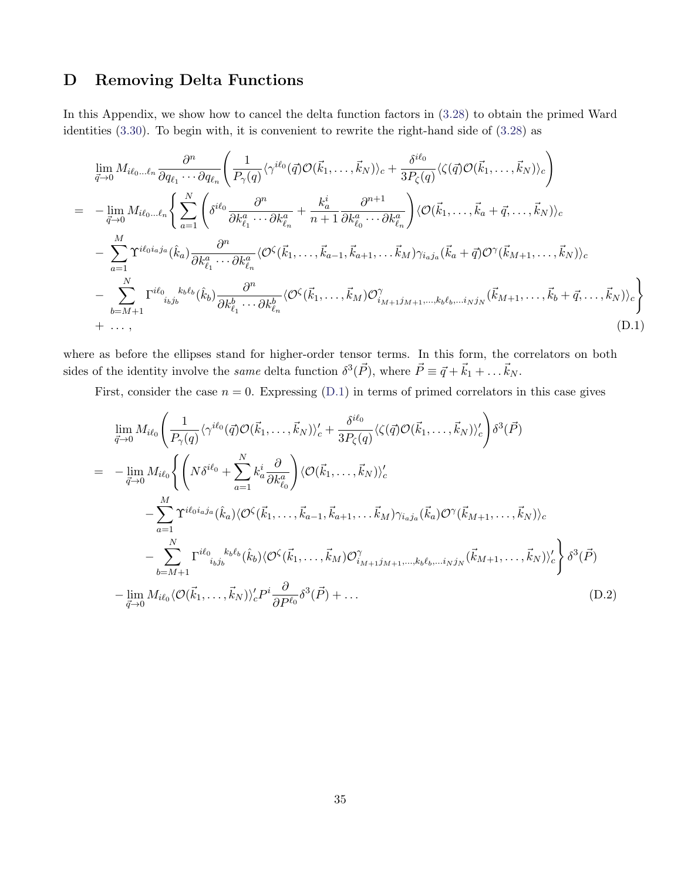# <span id="page-35-0"></span>D Removing Delta Functions

In this Appendix, we show how to cancel the delta function factors in [\(3.28\)](#page-19-0) to obtain the primed Ward identities [\(3.30\)](#page-19-1). To begin with, it is convenient to rewrite the right-hand side of [\(3.28\)](#page-19-0) as

<span id="page-35-1"></span>
$$
\lim_{\vec{q}\to 0} M_{i\ell_0\ldots\ell_n} \frac{\partial^n}{\partial q_{\ell_1}\cdots\partial q_{\ell_n}} \left( \frac{1}{P_{\gamma}(q)} \langle \gamma^{i\ell_0}(\vec{q}) \mathcal{O}(\vec{k}_1,\ldots,\vec{k}_N) \rangle_c + \frac{\delta^{i\ell_0}}{3P_{\zeta}(q)} \langle \zeta(\vec{q}) \mathcal{O}(\vec{k}_1,\ldots,\vec{k}_N) \rangle_c \right) \n= -\lim_{\vec{q}\to 0} M_{i\ell_0\ldots\ell_n} \left\{ \sum_{a=1}^N \left( \delta^{i\ell_0} \frac{\partial^n}{\partial k_{\ell_1}^a \cdots \partial k_{\ell_n}^a} + \frac{k_a^i}{n+1} \frac{\partial^{n+1}}{\partial k_{\ell_0}^a \cdots \partial k_{\ell_n}^a} \right) \langle \mathcal{O}(\vec{k}_1,\ldots,\vec{k}_a+\vec{q},\ldots,\vec{k}_N) \rangle_c \n- \sum_{a=1}^M \Upsilon^{i\ell_0 i_a j_a}(\hat{k}_a) \frac{\partial^n}{\partial k_{\ell_1}^a \cdots \partial k_{\ell_n}^a} \langle \mathcal{O}^{\zeta}(\vec{k}_1,\ldots,\vec{k}_{a-1},\vec{k}_{a+1},\ldots,\vec{k}_M) \gamma_{i_a j_a}(\vec{k}_a+\vec{q}) \mathcal{O}^{\gamma}(\vec{k}_{M+1},\ldots,\vec{k}_N) \rangle_c \n- \sum_{b=M+1}^N \Gamma^{i\ell_0} \int_{i_b j_b} k_b \ell_b (\hat{k}_b) \frac{\partial^n}{\partial k_{\ell_1}^b \cdots \partial k_{\ell_n}^b} \langle \mathcal{O}^{\zeta}(\vec{k}_1,\ldots,\vec{k}_M) \mathcal{O}^{\gamma}_{i_{M+1} j_{M+1},\ldots,i_b \ell_b,\ldots i_N j_N}(\vec{k}_{M+1},\ldots,\vec{k}_b+\vec{q},\ldots,\vec{k}_N) \rangle_c \right\} \n+ \ldots, (D.1)
$$

where as before the ellipses stand for higher-order tensor terms. In this form, the correlators on both sides of the identity involve the *same* delta function  $\delta^3(\vec{P})$ , where  $\vec{P} \equiv \vec{q} + \vec{k}_1 + \dots \vec{k}_N$ .

First, consider the case  $n = 0$ . Expressing [\(D.1\)](#page-35-1) in terms of primed correlators in this case gives

$$
\lim_{\vec{q}\to 0} M_{i\ell_0} \left( \frac{1}{P_{\gamma}(q)} \langle \gamma^{i\ell_0}(\vec{q}) \mathcal{O}(\vec{k}_1, \dots, \vec{k}_N) \rangle_c' + \frac{\delta^{i\ell_0}}{3P_{\zeta}(q)} \langle \zeta(\vec{q}) \mathcal{O}(\vec{k}_1, \dots, \vec{k}_N) \rangle_c' \right) \delta^3(\vec{P})
$$
\n
$$
= -\lim_{\vec{q}\to 0} M_{i\ell_0} \left\{ \left( N \delta^{i\ell_0} + \sum_{a=1}^N k_a^i \frac{\partial}{\partial k_{\ell_0}^a} \right) \langle \mathcal{O}(\vec{k}_1, \dots, \vec{k}_N) \rangle_c' - \sum_{a=1}^M \Upsilon^{i\ell_0 i_a j_a} (\hat{k}_a) \langle \mathcal{O}^{\zeta}(\vec{k}_1, \dots, \vec{k}_{a-1}, \vec{k}_{a+1}, \dots, \vec{k}_M) \gamma_{i_a j_a}(\vec{k}_a) \mathcal{O}^{\gamma}(\vec{k}_{M+1}, \dots, \vec{k}_N) \rangle_c - \sum_{b=M+1}^N \Gamma^{i\ell_0} \sum_{i_b j_b} k_b \langle \hat{k}_b \rangle \langle \mathcal{O}^{\zeta}(\vec{k}_1, \dots, \vec{k}_M) \mathcal{O}^{\gamma}_{i_{M+1} j_{M+1}, \dots, k_b \ell_b, \dots i_N j_N}(\vec{k}_{M+1}, \dots, \vec{k}_N) \rangle_c' \right\} \delta^3(\vec{P})
$$
\n
$$
- \lim_{\vec{q}\to 0} M_{i\ell_0} \langle \mathcal{O}(\vec{k}_1, \dots, \vec{k}_N) \rangle_c' P^i \frac{\partial}{\partial P^{\ell_0}} \delta^3(\vec{P}) + \dots \tag{D.2}
$$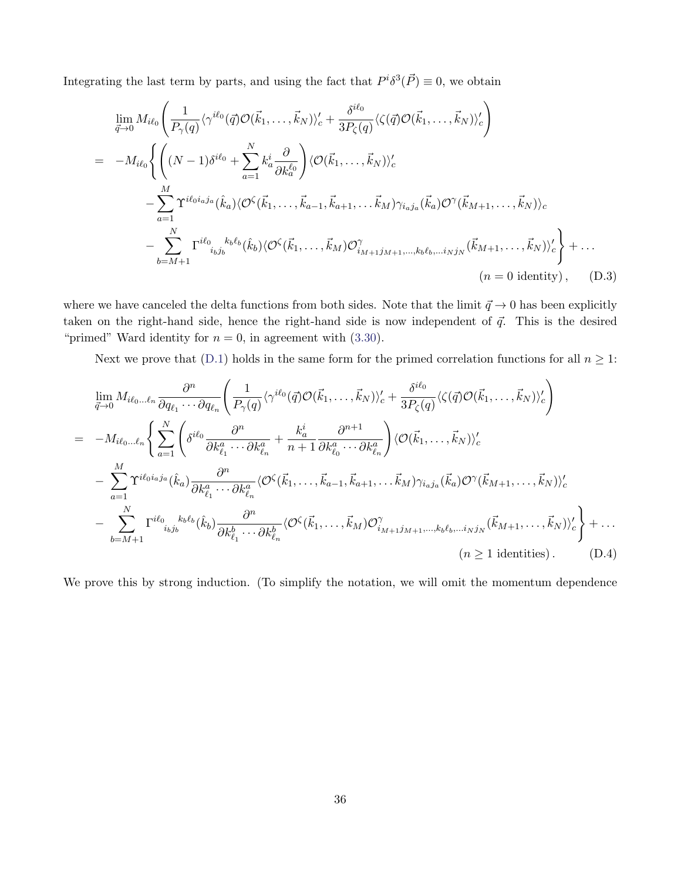Integrating the last term by parts, and using the fact that  $P^{i}\delta^{3}(\vec{P})\equiv 0$ , we obtain

<span id="page-36-0"></span>
$$
\lim_{\vec{q}\to 0} M_{i\ell_0} \left( \frac{1}{P_{\gamma}(q)} \langle \gamma^{i\ell_0}(\vec{q}) \mathcal{O}(\vec{k}_1, \dots, \vec{k}_N) \rangle_c' + \frac{\delta^{i\ell_0}}{3P_{\zeta}(q)} \langle \zeta(\vec{q}) \mathcal{O}(\vec{k}_1, \dots, \vec{k}_N) \rangle_c' \right)
$$
\n
$$
= -M_{i\ell_0} \left\{ \left( (N-1)\delta^{i\ell_0} + \sum_{a=1}^N k_a^i \frac{\partial}{\partial k_a^{\ell_0}} \right) \langle \mathcal{O}(\vec{k}_1, \dots, \vec{k}_N) \rangle_c' - \sum_{a=1}^M \Upsilon^{i\ell_0 i_a j_a} (\hat{k}_a) \langle \mathcal{O}^{\zeta}(\vec{k}_1, \dots, \vec{k}_{a-1}, \vec{k}_{a+1}, \dots, \vec{k}_M) \gamma_{i_a j_a}(\vec{k}_a) \mathcal{O}^{\gamma}(\vec{k}_{M+1}, \dots, \vec{k}_N) \rangle_c - \sum_{b=M+1}^N \Gamma^{i\ell_0} \sum_{i_b j_b} k_b \langle \hat{k}_b \rangle \langle \mathcal{O}^{\zeta}(\vec{k}_1, \dots, \vec{k}_M) \mathcal{O}^{\gamma}_{i_{M+1} j_{M+1}, \dots, k_b \ell_b, \dots i_N j_N}(\vec{k}_{M+1}, \dots, \vec{k}_N) \rangle_c' \right\} + \dots
$$
\n(*n* = 0 identity), (D.3)

where we have canceled the delta functions from both sides. Note that the limit  $\vec{q} \to 0$  has been explicitly taken on the right-hand side, hence the right-hand side is now independent of  $\vec{q}$ . This is the desired "primed" Ward identity for  $n = 0$ , in agreement with  $(3.30)$ .

Next we prove that [\(D.1\)](#page-35-1) holds in the same form for the primed correlation functions for all  $n \geq 1$ :

<span id="page-36-1"></span>
$$
\lim_{\vec{q}\to 0} M_{i\ell_0\ldots\ell_n} \frac{\partial^n}{\partial q_{\ell_1}\ldots\partial q_{\ell_n}} \left( \frac{1}{P_{\gamma}(q)} \langle \gamma^{i\ell_0}(\vec{q}) \mathcal{O}(\vec{k}_1,\ldots,\vec{k}_N) \rangle'_c + \frac{\delta^{i\ell_0}}{3P_{\zeta}(q)} \langle \zeta(\vec{q}) \mathcal{O}(\vec{k}_1,\ldots,\vec{k}_N) \rangle'_c \right)
$$
\n
$$
= -M_{i\ell_0\ldots\ell_n} \left\{ \sum_{a=1}^N \left( \delta^{i\ell_0} \frac{\partial^n}{\partial k_{\ell_1}^a \ldots \partial k_{\ell_n}^a} + \frac{k_a^i}{n+1} \frac{\partial^{n+1}}{\partial k_{\ell_0}^a \ldots \partial k_{\ell_n}^a} \right) \langle \mathcal{O}(\vec{k}_1,\ldots,\vec{k}_N) \rangle'_c - \sum_{a=1}^M \Upsilon^{i\ell_0 i_a j_a} (\hat{k}_a) \frac{\partial^n}{\partial k_{\ell_1}^a \ldots \partial k_{\ell_n}^a} \langle \mathcal{O}^{\zeta}(\vec{k}_1,\ldots,\vec{k}_{a-1},\vec{k}_{a+1},\ldots\vec{k}_M) \gamma_{i_a j_a}(\vec{k}_a) \mathcal{O}^{\gamma}(\vec{k}_{M+1},\ldots,\vec{k}_N) \rangle'_c - \sum_{b=M+1}^N \Gamma^{i\ell_0} \zeta^{k_b \ell_b} (\hat{k}_b) \frac{\partial^n}{\partial k_{\ell_1}^b \ldots \partial k_{\ell_n}^b} \langle \mathcal{O}^{\zeta}(\vec{k}_1,\ldots,\vec{k}_M) \mathcal{O}^{\gamma}_{i_{M+1}j_{M+1},\ldots,k_b \ell_b,\ldots i_N j_N} (\vec{k}_{M+1},\ldots,\vec{k}_N) \rangle'_c \right\} + \ldots (n \ge 1 \text{ identities}). \tag{D.4}
$$

We prove this by strong induction. (To simplify the notation, we will omit the momentum dependence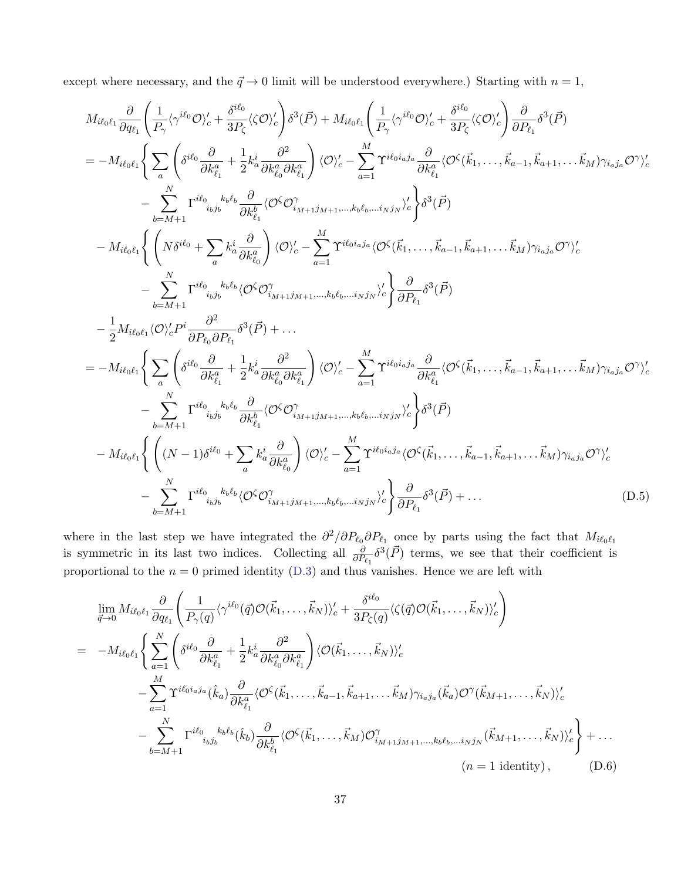except where necessary, and the  $\vec{q} \rightarrow 0$  limit will be understood everywhere.) Starting with  $n = 1$ ,

$$
M_{i\ell_{0}\ell_{1}} \frac{\partial}{\partial q_{\ell_{1}}} \left( \frac{1}{P_{\gamma}} \langle \gamma^{i\ell_{0}} \mathcal{O} \rangle_{c}^{\prime} + \frac{\delta^{i\ell_{0}}}{3P_{\zeta}} \langle \zeta \mathcal{O} \rangle_{c}^{\prime} \right) \delta^{3}(\vec{P}) + M_{i\ell_{0}\ell_{1}} \left( \frac{1}{P_{\gamma}} \langle \gamma^{i\ell_{0}} \mathcal{O} \rangle_{c}^{\prime} + \frac{\delta^{i\ell_{0}}}{3P_{\zeta}} \langle \zeta \mathcal{O} \rangle_{c}^{\prime} \right) \frac{\partial}{\partial P_{\ell_{1}}} \delta^{3}(\vec{P})
$$
\n
$$
= -M_{i\ell_{0}\ell_{1}} \left\{ \sum_{a} \left( \delta^{i\ell_{0}} \frac{\partial}{\partial k_{\ell_{1}}} + \frac{1}{2} k_{a}^{i} \frac{\partial^{2}}{\partial k_{a}^{a} \partial k_{\ell_{0}}^{a}} \right) \langle \mathcal{O} \rangle_{c}^{\prime} - \sum_{a=1}^{M} \Upsilon^{i\ell_{0}i_{a}j_{a}} \frac{\partial}{\partial k_{\ell_{1}}^{a}} \langle \mathcal{O}^{\zeta}(\vec{k}_{1}, \ldots, \vec{k}_{a-1}, \vec{k}_{a+1}, \ldots, \vec{k}_{M}) \gamma_{i_{a}j_{a}} \mathcal{O}^{\gamma} \rangle_{c}^{\prime} - \sum_{b=M+1}^{M} \Gamma^{i\ell_{0}}{}_{i_{b}j_{b}} k_{b}^{b} \frac{\partial}{\partial k_{\ell_{0}}^{a}} \langle \mathcal{O}^{\zeta} \mathcal{O} \rangle_{i_{M+1}j_{M+1}, \ldots, k_{b} \ell_{b}, \ldots, i_{N}j_{N}} \rangle_{c}^{\prime} \right\} \delta^{3}(\vec{P})
$$
\n
$$
- M_{i\ell_{0}\ell_{1}} \left\{ \left( N \delta^{i\ell_{0}} + \sum_{b=M+1} k_{a}^{i} \frac{\partial}{\partial k_{\ell_{0}}^{a}} \right) \langle \mathcal{O} \rangle_{c}^{\prime} - \sum_{a=1}^{M} \Upsilon^{i\ell_{0}i_{a}j_{a}} \langle \mathcal{O}^{\zeta}(\vec{k
$$

where in the last step we have integrated the  $\partial^2/\partial P_{\ell_0}\partial P_{\ell_1}$  once by parts using the fact that  $M_{i\ell_0\ell_1}$ is symmetric in its last two indices. Collecting all  $\frac{\partial}{\partial P_{\ell_1}} \delta^3(\vec{P})$  terms, we see that their coefficient is proportional to the  $n = 0$  primed identity [\(D.3\)](#page-36-0) and thus vanishes. Hence we are left with

$$
\lim_{\vec{q}\to 0} M_{i\ell_0\ell_1} \frac{\partial}{\partial q_{\ell_1}} \left( \frac{1}{P_{\gamma}(q)} \langle \gamma^{i\ell_0}(\vec{q}) \mathcal{O}(\vec{k}_1, \dots, \vec{k}_N) \rangle_c' + \frac{\delta^{i\ell_0}}{3P_{\zeta}(q)} \langle \zeta(\vec{q}) \mathcal{O}(\vec{k}_1, \dots, \vec{k}_N) \rangle_c' \right)
$$
\n
$$
= -M_{i\ell_0\ell_1} \left\{ \sum_{a=1}^N \left( \delta^{i\ell_0} \frac{\partial}{\partial k_{\ell_1}^a} + \frac{1}{2} k_a^i \frac{\partial^2}{\partial k_{\ell_0}^a \partial k_{\ell_1}^a} \right) \langle \mathcal{O}(\vec{k}_1, \dots, \vec{k}_N) \rangle_c' - \sum_{a=1}^M \Upsilon^{i\ell_0 i_a j_a} (\hat{k}_a) \frac{\partial}{\partial k_{\ell_1}^a} \langle \mathcal{O}^{\zeta}(\vec{k}_1, \dots, \vec{k}_{a-1}, \vec{k}_{a+1}, \dots, \vec{k}_M) \gamma_{i_a j_a}(\vec{k}_a) \mathcal{O}^{\gamma}(\vec{k}_{M+1}, \dots, \vec{k}_N) \rangle_c' - \sum_{b=M+1}^N \Gamma^{i\ell_0} \sum_{i_b j_b} k_b \ell_b (\hat{k}_b) \frac{\partial}{\partial k_{\ell_1}^b} \langle \mathcal{O}^{\zeta}(\vec{k}_1, \dots, \vec{k}_M) \mathcal{O}^{\gamma}_{i_{M+1} j_{M+1}, \dots, k_b \ell_b, \dots i_N j_N}(\vec{k}_{M+1}, \dots, \vec{k}_N) \rangle_c' \right\} + \dots
$$
\n(*n* = 1 identity), (D.6)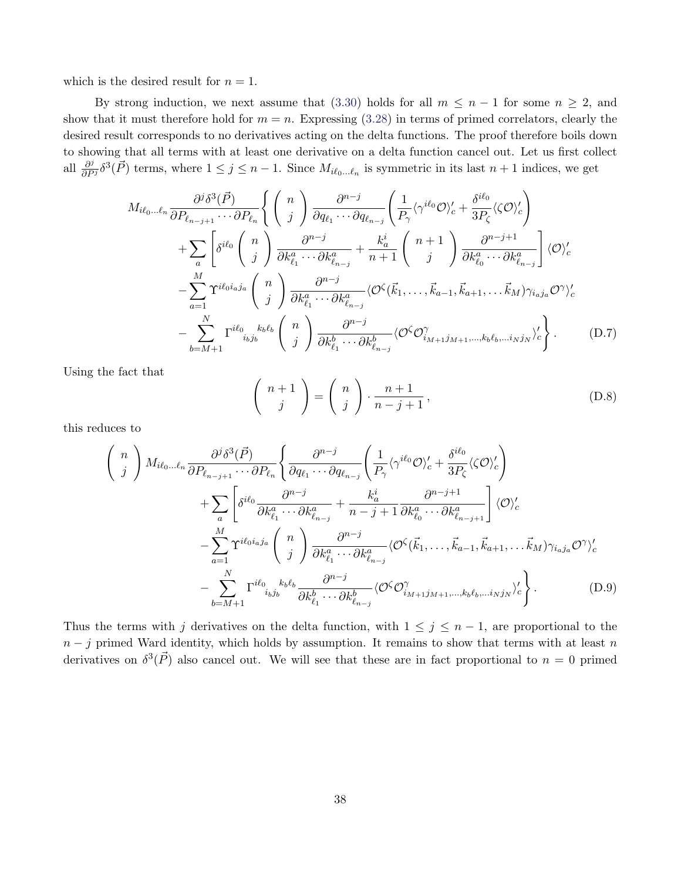which is the desired result for  $n = 1$ .

By strong induction, we next assume that [\(3.30\)](#page-19-1) holds for all  $m \leq n-1$  for some  $n \geq 2$ , and show that it must therefore hold for  $m = n$ . Expressing [\(3.28\)](#page-19-0) in terms of primed correlators, clearly the desired result corresponds to no derivatives acting on the delta functions. The proof therefore boils down to showing that all terms with at least one derivative on a delta function cancel out. Let us first collect all  $\frac{\partial^j}{\partial P^j} \delta^3(\vec{P})$  terms, where  $1 \leq j \leq n-1$ . Since  $M_{i\ell_0...\ell_n}$  is symmetric in its last  $n+1$  indices, we get

$$
M_{i\ell_{0}...\ell_{n}} \frac{\partial^{j} \delta^{3}(\vec{P})}{\partial P_{\ell_{n-j+1}} \cdots \partial P_{\ell_{n}}}\left\{ \begin{pmatrix} n \\ j \end{pmatrix} \frac{\partial^{n-j}}{\partial q_{\ell_{1}} \cdots \partial q_{\ell_{n-j}}}\left(\frac{1}{P_{\gamma}}\langle \gamma^{i\ell_{0}}\mathcal{O}\rangle_{c}^{\prime} + \frac{\delta^{i\ell_{0}}}{3P_{\zeta}}\langle\zeta\mathcal{O}\rangle_{c}^{\prime}\right) \right.+ \sum_{a} \left[\delta^{i\ell_{0}} \begin{pmatrix} n \\ j \end{pmatrix} \frac{\partial^{n-j}}{\partial k_{\ell_{1}}^{a} \cdots \partial k_{\ell_{n-j}}^{a}} + \frac{k_{a}^{i}}{n+1} \begin{pmatrix} n+1 \\ j \end{pmatrix} \frac{\partial^{n-j+1}}{\partial k_{\ell_{0}}^{a} \cdots \partial k_{\ell_{n-j}}^{a}}\right]\langle \mathcal{O}\rangle_{c}^{\prime}- \sum_{a=1}^{M} \Upsilon^{i\ell_{0}i_{a}j_{a}} \begin{pmatrix} n \\ j \end{pmatrix} \frac{\partial^{n-j}}{\partial k_{\ell_{1}}^{a} \cdots \partial k_{\ell_{n-j}}^{a}} \langle \mathcal{O}^{\zeta}(\vec{k}_{1},\ldots,\vec{k}_{a-1},\vec{k}_{a+1},\ldots,\vec{k}_{M}) \gamma_{i_{a}j_{a}} \mathcal{O}^{\gamma}\rangle_{c}^{\prime}- \sum_{b=M+1}^{N} \Gamma^{i\ell_{0}}{}_{i_{b}j_{b}} k_{b} \begin{pmatrix} n \\ j \end{pmatrix} \frac{\partial^{n-j}}{\partial k_{\ell_{1}}^{b} \cdots \partial k_{\ell_{n-j}}^{b}} \langle \mathcal{O}^{\zeta}\mathcal{O}_{i_{M+1}j_{M+1},\ldots,k_{b}\ell_{b},\ldots i_{N}j_{N}} \rangle_{c}^{\prime}.
$$
 (D.7)

Using the fact that

$$
\left(\begin{array}{c}n+1\\j\end{array}\right) = \left(\begin{array}{c}n\\j\end{array}\right) \cdot \frac{n+1}{n-j+1},\tag{D.8}
$$

this reduces to

$$
\begin{split}\n\left(\begin{array}{c}\nn\\j\end{array}\right) M_{i\ell_{0} \dots \ell_{n}} \frac{\partial^{j} \delta^{3}(\vec{P})}{\partial P_{\ell_{n-j+1}} \cdots \partial P_{\ell_{n}}}\n\left\{\n\frac{\partial^{n-j}}{\partial q_{\ell_{1}} \cdots \partial q_{\ell_{n-j}}}\n\left(\n\frac{1}{P_{\gamma}}\langle \gamma^{i\ell_{0}} \mathcal{O} \rangle_{c}^{\prime} + \frac{\delta^{i\ell_{0}}}{3P_{\zeta}}\langle \zeta \mathcal{O} \rangle_{c}^{\prime}\n\right) \\
+ \sum_{a} \left[\n\delta^{i\ell_{0}} \frac{\partial^{n-j}}{\partial k_{\ell_{1}}^{a} \cdots \partial k_{\ell_{n-j}}^{a}} + \frac{k_{a}^{i}}{n-j+1} \frac{\partial^{n-j+1}}{\partial k_{\ell_{0}}^{a} \cdots \partial k_{\ell_{n-j+1}}^{a}}\n\right] \langle \mathcal{O} \rangle_{c}^{\prime} \\
- \sum_{a=1}^{M} \Upsilon^{i\ell_{0}i_{a}j_{a}} \left(\n\begin{array}{c}\nn\\j\n\end{array}\n\right) \frac{\partial^{n-j}}{\partial k_{\ell_{1}}^{a} \cdots \partial k_{\ell_{n-j}}^{a}} \langle \mathcal{O}^{\zeta}(\vec{k}_{1}, \dots, \vec{k}_{a-1}, \vec{k}_{a+1}, \dots, \vec{k}_{M}) \gamma_{i_{a}j_{a}} \mathcal{O}^{\gamma} \rangle_{c}^{\prime} \\
- \sum_{b=M+1}^{N} \Gamma^{i\ell_{0}} \left(\n\begin{array}{c}\n\frac{k_{b}\ell_{b}}{j} & \frac{\partial^{n-j}}{\partial k_{\ell_{1}}^{b} \cdots \partial k_{\ell_{n-j}}^{b}}\n\langle \mathcal{O}^{\zeta} \mathcal{O}^{\gamma}_{i_{M+1}j_{M+1}, \dots, k_{b}\ell_{b}, \dots i_{N}j_{N}}\n\end{array}\n\right\rangle_{c}.\n\end{split} \tag{D.9}
$$

Thus the terms with j derivatives on the delta function, with  $1 \leq j \leq n-1$ , are proportional to the  $n - j$  primed Ward identity, which holds by assumption. It remains to show that terms with at least n derivatives on  $\delta^3(\vec{P})$  also cancel out. We will see that these are in fact proportional to  $n=0$  primed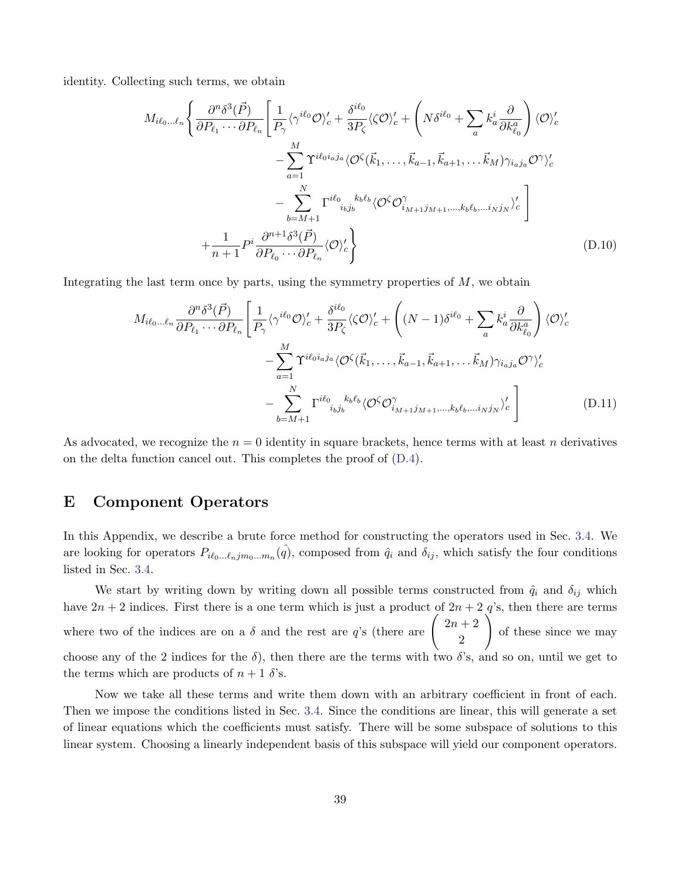identity. Collecting such terms, we obtain

$$
M_{i\ell_{0}...\ell_{n}} \left\{ \frac{\partial^{n}\delta^{3}(\vec{P})}{\partial P_{\ell_{1}}\cdots\partial P_{\ell_{n}}} \left[ \frac{1}{P_{\gamma}} \langle \gamma^{i\ell_{0}}\mathcal{O} \rangle_{c}^{\prime} + \frac{\delta^{i\ell_{0}}}{3P_{\zeta}} \langle \mathcal{O} \rangle_{c}^{\prime} + \left( N \delta^{i\ell_{0}} + \sum_{a} k_{a}^{i} \frac{\partial}{\partial k_{\ell_{0}}^{a}} \right) \langle \mathcal{O} \rangle_{c}^{\prime} - \sum_{a=1}^{M} \Upsilon^{i\ell_{0}i_{a}j_{a}} \langle \mathcal{O}^{\zeta}(\vec{k}_{1}, \ldots, \vec{k}_{a-1}, \vec{k}_{a+1}, \ldots \vec{k}_{M}) \gamma_{i_{a}j_{a}} \mathcal{O}^{\gamma} \rangle_{c}^{\prime} - \sum_{b=M+1}^{N} \Gamma^{i\ell_{0}}_{i_{b}j_{b}} k_{b} \langle \mathcal{O}^{\zeta} \mathcal{O}^{\gamma}_{i_{M+1}j_{M+1}, \ldots, k_{b} \ell_{b}, \ldots i_{N}j_{N}} \rangle_{c}^{\prime} - \frac{1}{n+1} P^{i} \frac{\partial^{n+1} \delta^{3}(\vec{P})}{\partial P_{\ell_{0}}\cdots\partial P_{\ell_{n}}} \langle \mathcal{O} \rangle_{c}^{\prime} \right\}
$$
\n(D.10)

Integrating the last term once by parts, using the symmetry properties of  $M$ , we obtain

$$
M_{i\ell_0\ldots\ell_n} \frac{\partial^n \delta^3(\vec{P})}{\partial P_{\ell_1}\cdots\partial P_{\ell_n}} \left[ \frac{1}{P_{\gamma}} \langle \gamma^{i\ell_0} \mathcal{O} \rangle_c' + \frac{\delta^{i\ell_0}}{3P_{\zeta}} \langle \zeta \mathcal{O} \rangle_c' + \left( (N-1)\delta^{i\ell_0} + \sum_a k_a^i \frac{\partial}{\partial k_{\ell_0}^a} \right) \langle \mathcal{O} \rangle_c' - \sum_{a=1}^M \Upsilon^{i\ell_0 i_a j_a} \langle \mathcal{O}^{\zeta}(\vec{k}_1,\ldots,\vec{k}_{a-1},\vec{k}_{a+1},\ldots\vec{k}_M) \gamma_{i_a j_a} \mathcal{O}^{\gamma} \rangle_c' - \sum_{b=M+1}^N \Gamma^{i\ell_0} k_b \langle \mathcal{O}^{\zeta} \mathcal{O}^{\gamma}_{i_{M+1} j_{M+1},\ldots,i_b \ell_b,\ldots i_N j_N} \rangle_c' \right]
$$
(D.11)

As advocated, we recognize the  $n = 0$  identity in square brackets, hence terms with at least n derivatives on the delta function cancel out. This completes the proof of [\(D.4\)](#page-36-1).

## <span id="page-39-0"></span>E Component Operators

In this Appendix, we describe a brute force method for constructing the operators used in Sec. [3.4.](#page-19-3) We are looking for operators  $P_{i\ell_0...\ell_njm_0...m_n}(\hat{q})$ , composed from  $\hat{q}_i$  and  $\delta_{ij}$ , which satisfy the four conditions listed in Sec. [3.4.](#page-19-3)

We start by writing down by writing down all possible terms constructed from  $\hat{q}_i$  and  $\delta_{ij}$  which have  $2n + 2$  indices. First there is a one term which is just a product of  $2n + 2$  q's, then there are terms where two of the indices are on a  $\delta$  and the rest are q's (there are  $\begin{pmatrix} 2n+2 \\ 2n \end{pmatrix}$ 2  $\setminus$ of these since we may choose any of the 2 indices for the  $\delta$ ), then there are the terms with two  $\delta$ 's, and so on, until we get to the terms which are products of  $n + 1$   $\delta$ 's.

Now we take all these terms and write them down with an arbitrary coefficient in front of each. Then we impose the conditions listed in Sec. [3.4.](#page-19-3) Since the conditions are linear, this will generate a set of linear equations which the coefficients must satisfy. There will be some subspace of solutions to this linear system. Choosing a linearly independent basis of this subspace will yield our component operators.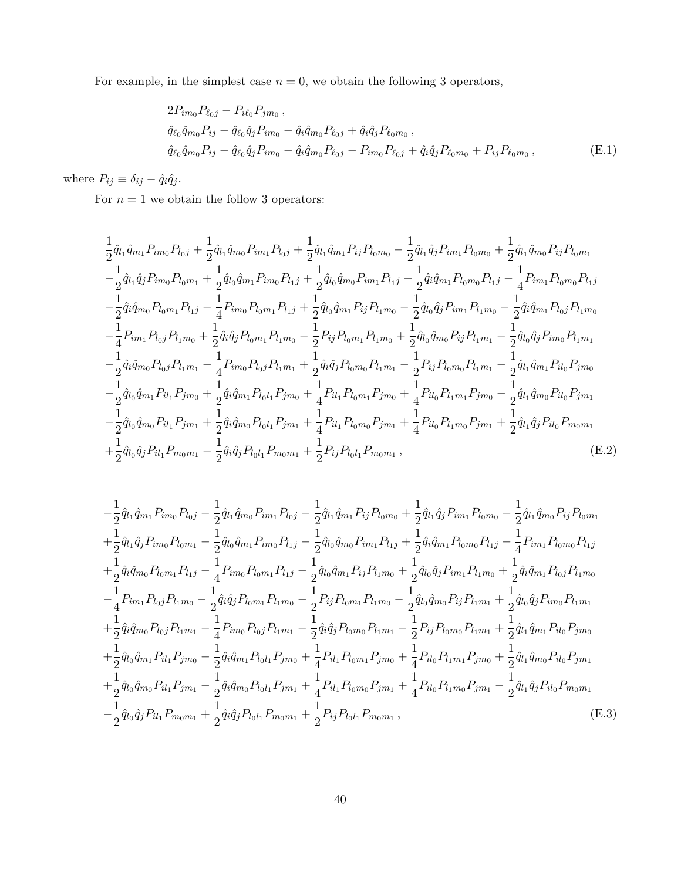For example, in the simplest case  $n = 0$ , we obtain the following 3 operators,

$$
2P_{im_0}P_{\ell_{0}j} - P_{i\ell_0}P_{jm_0},
$$
  
\n
$$
\hat{q}_{\ell_0}\hat{q}_{m_0}P_{ij} - \hat{q}_{\ell_0}\hat{q}_jP_{im_0} - \hat{q}_i\hat{q}_{m_0}P_{\ell_{0}j} + \hat{q}_i\hat{q}_jP_{\ell_0m_0},
$$
  
\n
$$
\hat{q}_{\ell_0}\hat{q}_{m_0}P_{ij} - \hat{q}_{\ell_0}\hat{q}_jP_{im_0} - \hat{q}_i\hat{q}_{m_0}P_{\ell_{0}j} - P_{im_0}P_{\ell_{0}j} + \hat{q}_i\hat{q}_jP_{\ell_0m_0} + P_{ij}P_{\ell_0m_0},
$$
\n(E.1)

where  $P_{ij} \equiv \delta_{ij} - \hat{q}_i \hat{q}_j$ .

For  $n = 1$  we obtain the follow 3 operators:

$$
\frac{1}{2}\hat{q}_{l_1}\hat{q}_{m_1}P_{im_0}P_{l_0j} + \frac{1}{2}\hat{q}_{l_1}\hat{q}_{m_0}P_{im_1}P_{l_0j} + \frac{1}{2}\hat{q}_{l_1}\hat{q}_{m_1}P_{ij}P_{l_0m_0} - \frac{1}{2}\hat{q}_{l_1}\hat{q}_{j}P_{im_1}P_{l_0m_0} + \frac{1}{2}\hat{q}_{l_1}\hat{q}_{m_0}P_{ij}P_{l_0m_1} \n- \frac{1}{2}\hat{q}_{l_1}\hat{q}_{j}P_{im_0}P_{l_0m_1} + \frac{1}{2}\hat{q}_{l_0}\hat{q}_{m_1}P_{im_0}P_{l_1j} + \frac{1}{2}\hat{q}_{l_0}\hat{q}_{m_0}P_{im_1}P_{l_1j} - \frac{1}{2}\hat{q}_{i}\hat{q}_{m_1}P_{l_0m_0}P_{l_1j} - \frac{1}{4}P_{im_1}P_{l_0m_0}P_{l_1j} \n- \frac{1}{2}\hat{q}_{i}\hat{q}_{m_0}P_{l_0m_1}P_{l_1j} - \frac{1}{4}P_{im_0}P_{l_0m_1}P_{l_1j} + \frac{1}{2}\hat{q}_{l_0}\hat{q}_{m_1}P_{ij}P_{l_1m_0} - \frac{1}{2}\hat{q}_{l_0}\hat{q}_{j}P_{im_1}P_{l_1m_0} - \frac{1}{2}\hat{q}_{i}\hat{q}_{m_1}P_{l_0j}P_{l_1m_0} \n- \frac{1}{4}P_{im_1}P_{l_0j}P_{l_1m_0} + \frac{1}{2}\hat{q}_{i}\hat{q}_{j}P_{l_0m_1}P_{l_1m_0} - \frac{1}{2}P_{ij}P_{l_0m_1}P_{l_1m_0} + \frac{1}{2}\hat{q}_{l_0}\hat{q}_{j}P_{im_1}P_{l_1m_1} - \frac{1}{2}\hat{q}_{i}\hat{q}_{j}P_{im_0}P_{l_1m_1} \n- \frac{1}{2}\hat{q}_{i}\hat{q}_{m_0}P_{l_0j}P_{
$$

$$
-\frac{1}{2}\hat{q}_{l_1}\hat{q}_{m_1}P_{im_0}P_{l_0j} - \frac{1}{2}\hat{q}_{l_1}\hat{q}_{m_0}P_{im_1}P_{l_0j} - \frac{1}{2}\hat{q}_{l_1}\hat{q}_{m_1}P_{ij}P_{l_0m_0} + \frac{1}{2}\hat{q}_{l_1}\hat{q}_{j}P_{im_1}P_{l_0m_0} - \frac{1}{2}\hat{q}_{l_1}\hat{q}_{m_0}P_{ij}P_{l_0m_1} \n+ \frac{1}{2}\hat{q}_{l_1}\hat{q}_{j}P_{im_0}P_{l_0m_1} - \frac{1}{2}\hat{q}_{l_0}\hat{q}_{m_1}P_{im_0}P_{l_1j} - \frac{1}{2}\hat{q}_{l_0}\hat{q}_{m_0}P_{im_1}P_{l_1j} + \frac{1}{2}\hat{q}_{i}\hat{q}_{m_1}P_{l_0m_0}P_{l_1j} - \frac{1}{4}P_{im_1}P_{l_0m_0}P_{l_1j} \n+ \frac{1}{2}\hat{q}_{i}\hat{q}_{m_0}P_{l_0m_1}P_{l_1j} - \frac{1}{4}P_{im_0}P_{l_0m_1}P_{l_1j} - \frac{1}{2}\hat{q}_{l_0}\hat{q}_{m_1}P_{ij}P_{l_1m_0} + \frac{1}{2}\hat{q}_{l_0}\hat{q}_{j}P_{im_1}P_{l_1m_0} + \frac{1}{2}\hat{q}_{i}\hat{q}_{m_1}P_{l_0j}P_{l_1m_0} \n- \frac{1}{4}P_{im_1}P_{l_0j}P_{l_1m_0} - \frac{1}{2}\hat{q}_{i}\hat{q}_{j}P_{l_0m_1}P_{l_1m_0} - \frac{1}{2}P_{ij}P_{l_0m_1}P_{l_1m_0} - \frac{1}{2}\hat{q}_{l_0}\hat{q}_{m_0}P_{ij}P_{l_1m_1} + \frac{1}{2}\hat{q}_{l_0}\hat{q}_{j}P_{im_0}P_{l_1m_1} \n+ \frac{1}{2}\hat{q}_{i}\hat{q}_{m_0}P_{l_0j
$$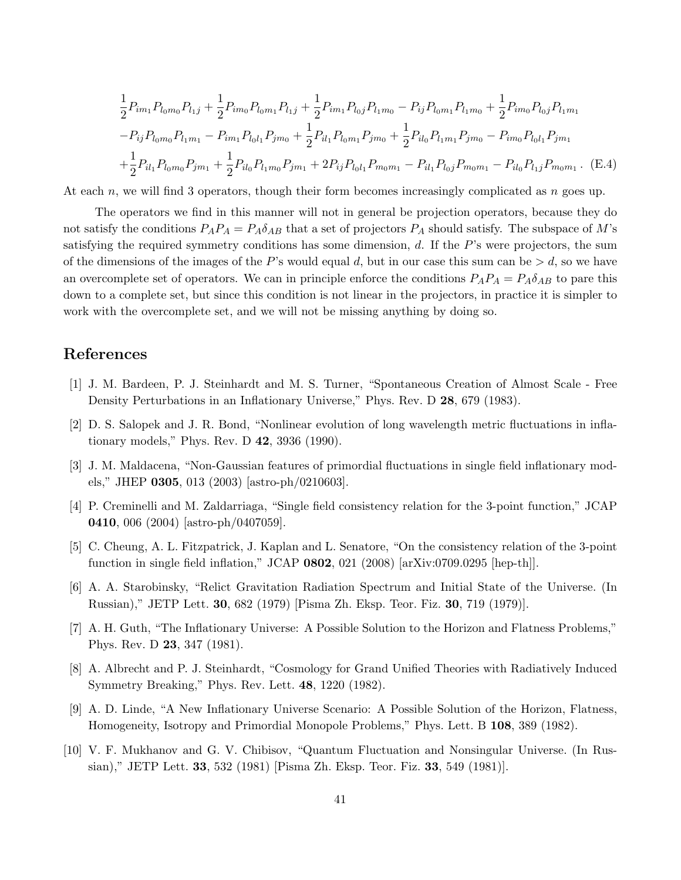$$
\frac{1}{2}P_{im_1}P_{l_0m_0}P_{l_1j} + \frac{1}{2}P_{im_0}P_{l_0m_1}P_{l_1j} + \frac{1}{2}P_{im_1}P_{l_0j}P_{l_1m_0} - P_{ij}P_{l_0m_1}P_{l_1m_0} + \frac{1}{2}P_{im_0}P_{l_0j}P_{l_1m_1} - P_{ij}P_{l_0m_0}P_{l_1m_1} - P_{im_1}P_{l_0l_1}P_{jm_0} + \frac{1}{2}P_{il_1}P_{l_0m_1}P_{jm_0} + \frac{1}{2}P_{il_0}P_{l_1m_1}P_{jm_0} - P_{im_0}P_{l_0l_1}P_{jm_1} + \frac{1}{2}P_{il_1}P_{l_0m_0}P_{jm_1} + \frac{1}{2}P_{il_0}P_{l_1m_0}P_{jm_1} + 2P_{ij}P_{l_0l_1}P_{m_0m_1} - P_{il_1}P_{l_0j}P_{m_0m_1} - P_{il_0}P_{l_1j}P_{m_0m_1}.
$$
 (E.4)

At each n, we will find 3 operators, though their form becomes increasingly complicated as  $n$  goes up.

The operators we find in this manner will not in general be projection operators, because they do not satisfy the conditions  $P_A P_A = P_A \delta_{AB}$  that a set of projectors  $P_A$  should satisfy. The subspace of M's satisfying the required symmetry conditions has some dimension, d. If the P's were projectors, the sum of the dimensions of the images of the P's would equal d, but in our case this sum can be  $> d$ , so we have an overcomplete set of operators. We can in principle enforce the conditions  $P_A P_A = P_A \delta_{AB}$  to pare this down to a complete set, but since this condition is not linear in the projectors, in practice it is simpler to work with the overcomplete set, and we will not be missing anything by doing so.

# References

- <span id="page-41-0"></span>[1] J. M. Bardeen, P. J. Steinhardt and M. S. Turner, "Spontaneous Creation of Almost Scale - Free Density Perturbations in an Inflationary Universe," Phys. Rev. D 28, 679 (1983).
- <span id="page-41-1"></span>[2] D. S. Salopek and J. R. Bond, "Nonlinear evolution of long wavelength metric fluctuations in inflationary models," Phys. Rev. D 42, 3936 (1990).
- <span id="page-41-2"></span>[3] J. M. Maldacena, "Non-Gaussian features of primordial fluctuations in single field inflationary models," JHEP 0305, 013 (2003) [astro-ph/0210603].
- <span id="page-41-6"></span>[4] P. Creminelli and M. Zaldarriaga, "Single field consistency relation for the 3-point function," JCAP 0410, 006 (2004) [astro-ph/0407059].
- <span id="page-41-3"></span>[5] C. Cheung, A. L. Fitzpatrick, J. Kaplan and L. Senatore, "On the consistency relation of the 3-point function in single field inflation," JCAP 0802, 021 (2008) [arXiv:0709.0295 [hep-th]].
- <span id="page-41-4"></span>[6] A. A. Starobinsky, "Relict Gravitation Radiation Spectrum and Initial State of the Universe. (In Russian)," JETP Lett. 30, 682 (1979) [Pisma Zh. Eksp. Teor. Fiz. 30, 719 (1979)].
- [7] A. H. Guth, "The Inflationary Universe: A Possible Solution to the Horizon and Flatness Problems," Phys. Rev. D 23, 347 (1981).
- [8] A. Albrecht and P. J. Steinhardt, "Cosmology for Grand Unified Theories with Radiatively Induced Symmetry Breaking," Phys. Rev. Lett. 48, 1220 (1982).
- [9] A. D. Linde, "A New Inflationary Universe Scenario: A Possible Solution of the Horizon, Flatness, Homogeneity, Isotropy and Primordial Monopole Problems," Phys. Lett. B 108, 389 (1982).
- <span id="page-41-5"></span>[10] V. F. Mukhanov and G. V. Chibisov, "Quantum Fluctuation and Nonsingular Universe. (In Russian)," JETP Lett. 33, 532 (1981) [Pisma Zh. Eksp. Teor. Fiz. 33, 549 (1981)].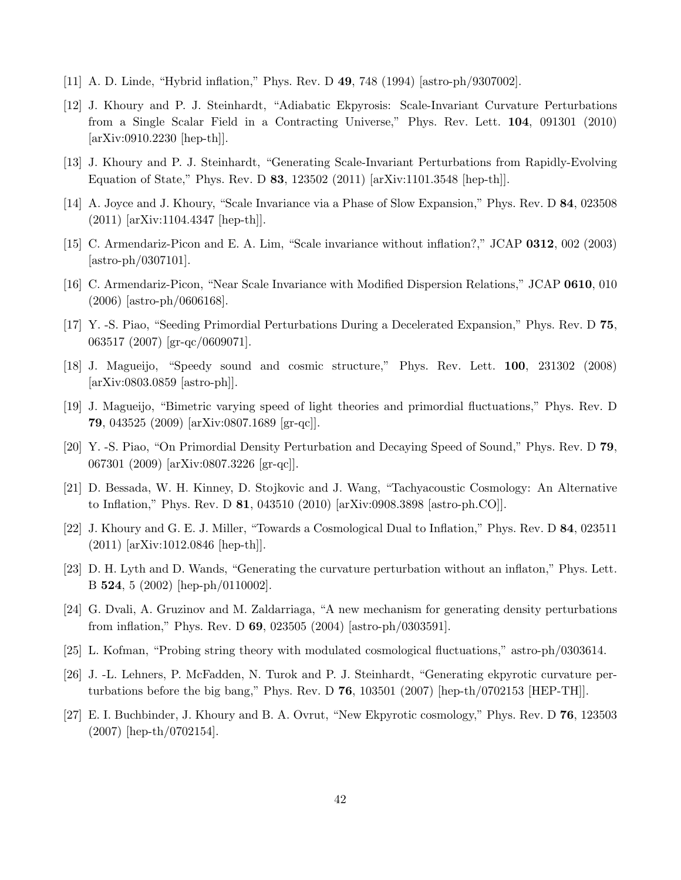- <span id="page-42-0"></span>[11] A. D. Linde, "Hybrid inflation," Phys. Rev. D 49, 748 (1994) [astro-ph/9307002].
- <span id="page-42-1"></span>[12] J. Khoury and P. J. Steinhardt, "Adiabatic Ekpyrosis: Scale-Invariant Curvature Perturbations from a Single Scalar Field in a Contracting Universe," Phys. Rev. Lett. 104, 091301 (2010) [arXiv:0910.2230 [hep-th]].
- [13] J. Khoury and P. J. Steinhardt, "Generating Scale-Invariant Perturbations from Rapidly-Evolving Equation of State," Phys. Rev. D 83, 123502 (2011) [arXiv:1101.3548 [hep-th]].
- [14] A. Joyce and J. Khoury, "Scale Invariance via a Phase of Slow Expansion," Phys. Rev. D 84, 023508 (2011) [arXiv:1104.4347 [hep-th]].
- [15] C. Armendariz-Picon and E. A. Lim, "Scale invariance without inflation?," JCAP 0312, 002 (2003)  $[astro-ph/0307101]$ .
- [16] C. Armendariz-Picon, "Near Scale Invariance with Modified Dispersion Relations," JCAP 0610, 010 (2006) [astro-ph/0606168].
- [17] Y. -S. Piao, "Seeding Primordial Perturbations During a Decelerated Expansion," Phys. Rev. D 75, 063517 (2007) [gr-qc/0609071].
- [18] J. Magueijo, "Speedy sound and cosmic structure," Phys. Rev. Lett. 100, 231302 (2008) [arXiv:0803.0859 [astro-ph]].
- [19] J. Magueijo, "Bimetric varying speed of light theories and primordial fluctuations," Phys. Rev. D 79, 043525 (2009) [arXiv:0807.1689 [gr-qc]].
- [20] Y. -S. Piao, "On Primordial Density Perturbation and Decaying Speed of Sound," Phys. Rev. D 79, 067301 (2009) [arXiv:0807.3226 [gr-qc]].
- [21] D. Bessada, W. H. Kinney, D. Stojkovic and J. Wang, "Tachyacoustic Cosmology: An Alternative to Inflation," Phys. Rev. D 81, 043510 (2010) [arXiv:0908.3898 [astro-ph.CO]].
- <span id="page-42-2"></span>[22] J. Khoury and G. E. J. Miller, "Towards a Cosmological Dual to Inflation," Phys. Rev. D 84, 023511 (2011) [arXiv:1012.0846 [hep-th]].
- <span id="page-42-3"></span>[23] D. H. Lyth and D. Wands, "Generating the curvature perturbation without an inflaton," Phys. Lett. B 524, 5 (2002) [hep-ph/0110002].
- [24] G. Dvali, A. Gruzinov and M. Zaldarriaga, "A new mechanism for generating density perturbations from inflation," Phys. Rev. D 69, 023505 (2004) [astro-ph/0303591].
- [25] L. Kofman, "Probing string theory with modulated cosmological fluctuations," astro-ph/0303614.
- [26] J. -L. Lehners, P. McFadden, N. Turok and P. J. Steinhardt, "Generating ekpyrotic curvature perturbations before the big bang," Phys. Rev. D  $76$ , 103501 (2007) [hep-th/0702153 [HEP-TH]].
- [27] E. I. Buchbinder, J. Khoury and B. A. Ovrut, "New Ekpyrotic cosmology," Phys. Rev. D 76, 123503 (2007) [hep-th/0702154].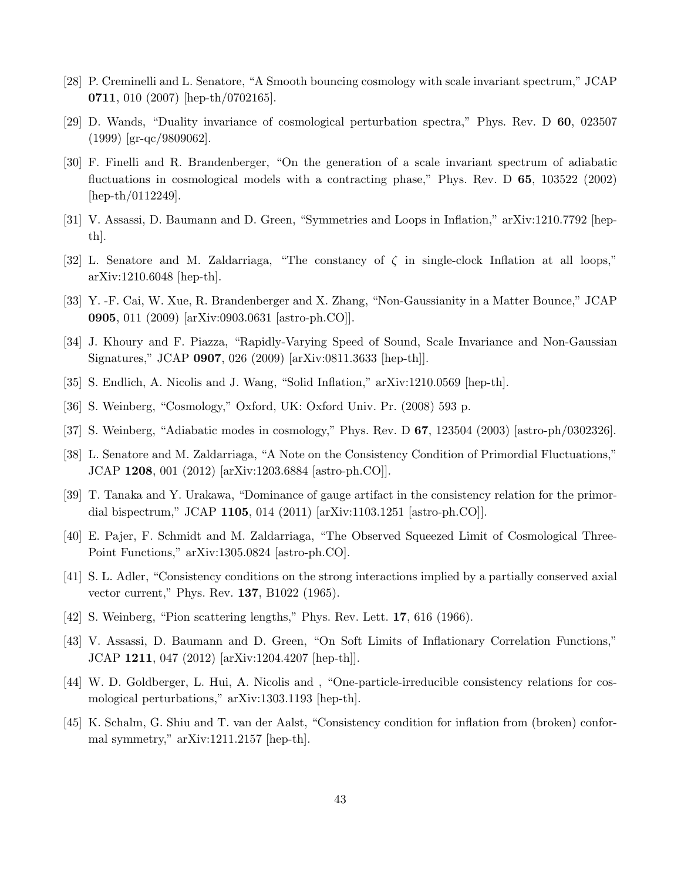- <span id="page-43-0"></span>[28] P. Creminelli and L. Senatore, "A Smooth bouncing cosmology with scale invariant spectrum," JCAP 0711, 010 (2007) [hep-th/0702165].
- <span id="page-43-1"></span>[29] D. Wands, "Duality invariance of cosmological perturbation spectra," Phys. Rev. D 60, 023507 (1999) [gr-qc/9809062].
- <span id="page-43-2"></span>[30] F. Finelli and R. Brandenberger, "On the generation of a scale invariant spectrum of adiabatic fluctuations in cosmological models with a contracting phase," Phys. Rev. D 65, 103522 (2002) [hep-th/0112249].
- <span id="page-43-16"></span>[31] V. Assassi, D. Baumann and D. Green, "Symmetries and Loops in Inflation," arXiv:1210.7792 [hepth].
- <span id="page-43-17"></span>[32] L. Senatore and M. Zaldarriaga, "The constancy of  $\zeta$  in single-clock Inflation at all loops," arXiv:1210.6048 [hep-th].
- <span id="page-43-3"></span>[33] Y. -F. Cai, W. Xue, R. Brandenberger and X. Zhang, "Non-Gaussianity in a Matter Bounce," JCAP 0905, 011 (2009) [arXiv:0903.0631 [astro-ph.CO]].
- <span id="page-43-4"></span>[34] J. Khoury and F. Piazza, "Rapidly-Varying Speed of Sound, Scale Invariance and Non-Gaussian Signatures," JCAP 0907, 026 (2009) [arXiv:0811.3633 [hep-th]].
- <span id="page-43-13"></span>[35] S. Endlich, A. Nicolis and J. Wang, "Solid Inflation," arXiv:1210.0569 [hep-th].
- <span id="page-43-14"></span>[36] S. Weinberg, "Cosmology," Oxford, UK: Oxford Univ. Pr. (2008) 593 p.
- <span id="page-43-15"></span>[37] S. Weinberg, "Adiabatic modes in cosmology," Phys. Rev. D 67, 123504 (2003) [astro-ph/0302326].
- <span id="page-43-5"></span>[38] L. Senatore and M. Zaldarriaga, "A Note on the Consistency Condition of Primordial Fluctuations," JCAP 1208, 001 (2012) [arXiv:1203.6884 [astro-ph.CO]].
- <span id="page-43-6"></span>[39] T. Tanaka and Y. Urakawa, "Dominance of gauge artifact in the consistency relation for the primordial bispectrum," JCAP 1105, 014 (2011) [arXiv:1103.1251 [astro-ph.CO]].
- <span id="page-43-7"></span>[40] E. Pajer, F. Schmidt and M. Zaldarriaga, "The Observed Squeezed Limit of Cosmological Three-Point Functions," arXiv:1305.0824 [astro-ph.CO].
- <span id="page-43-8"></span>[41] S. L. Adler, "Consistency conditions on the strong interactions implied by a partially conserved axial vector current," Phys. Rev. 137, B1022 (1965).
- <span id="page-43-9"></span>[42] S. Weinberg, "Pion scattering lengths," Phys. Rev. Lett. **17**, 616 (1966).
- <span id="page-43-10"></span>[43] V. Assassi, D. Baumann and D. Green, "On Soft Limits of Inflationary Correlation Functions," JCAP 1211, 047 (2012) [arXiv:1204.4207 [hep-th]].
- <span id="page-43-11"></span>[44] W. D. Goldberger, L. Hui, A. Nicolis and , "One-particle-irreducible consistency relations for cosmological perturbations," arXiv:1303.1193 [hep-th].
- <span id="page-43-12"></span>[45] K. Schalm, G. Shiu and T. van der Aalst, "Consistency condition for inflation from (broken) conformal symmetry," arXiv:1211.2157 [hep-th].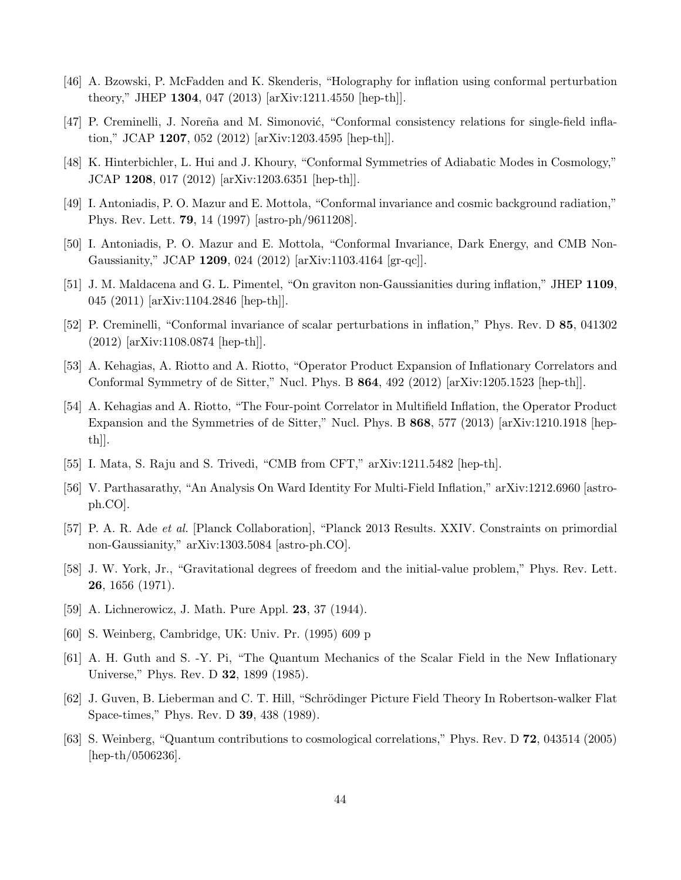- <span id="page-44-0"></span>[46] A. Bzowski, P. McFadden and K. Skenderis, "Holography for inflation using conformal perturbation theory," JHEP 1304, 047 (2013) [arXiv:1211.4550 [hep-th]].
- <span id="page-44-1"></span>[47] P. Creminelli, J. Noreña and M. Simonović, "Conformal consistency relations for single-field inflation," JCAP 1207, 052 (2012) [arXiv:1203.4595 [hep-th]].
- <span id="page-44-2"></span>[48] K. Hinterbichler, L. Hui and J. Khoury, "Conformal Symmetries of Adiabatic Modes in Cosmology," JCAP 1208, 017 (2012) [arXiv:1203.6351 [hep-th]].
- <span id="page-44-3"></span>[49] I. Antoniadis, P. O. Mazur and E. Mottola, "Conformal invariance and cosmic background radiation," Phys. Rev. Lett. 79, 14 (1997) [astro-ph/9611208].
- [50] I. Antoniadis, P. O. Mazur and E. Mottola, "Conformal Invariance, Dark Energy, and CMB Non-Gaussianity," JCAP 1209, 024 (2012) [arXiv:1103.4164 [gr-qc]].
- <span id="page-44-11"></span>[51] J. M. Maldacena and G. L. Pimentel, "On graviton non-Gaussianities during inflation," JHEP 1109, 045 (2011) [arXiv:1104.2846 [hep-th]].
- [52] P. Creminelli, "Conformal invariance of scalar perturbations in inflation," Phys. Rev. D 85, 041302 (2012) [arXiv:1108.0874 [hep-th]].
- [53] A. Kehagias, A. Riotto and A. Riotto, "Operator Product Expansion of Inflationary Correlators and Conformal Symmetry of de Sitter," Nucl. Phys. B 864, 492 (2012) [arXiv:1205.1523 [hep-th]].
- [54] A. Kehagias and A. Riotto, "The Four-point Correlator in Multifield Inflation, the Operator Product Expansion and the Symmetries of de Sitter," Nucl. Phys. B 868, 577 (2013) [arXiv:1210.1918 [hepth]].
- [55] I. Mata, S. Raju and S. Trivedi, "CMB from CFT," arXiv:1211.5482 [hep-th].
- <span id="page-44-4"></span>[56] V. Parthasarathy, "An Analysis On Ward Identity For Multi-Field Inflation," arXiv:1212.6960 [astroph.CO].
- <span id="page-44-5"></span>[57] P. A. R. Ade et al. [Planck Collaboration], "Planck 2013 Results. XXIV. Constraints on primordial non-Gaussianity," arXiv:1303.5084 [astro-ph.CO].
- <span id="page-44-6"></span>[58] J. W. York, Jr., "Gravitational degrees of freedom and the initial-value problem," Phys. Rev. Lett. 26, 1656 (1971).
- <span id="page-44-7"></span>[59] A. Lichnerowicz, J. Math. Pure Appl. 23, 37 (1944).
- <span id="page-44-8"></span>[60] S. Weinberg, Cambridge, UK: Univ. Pr. (1995) 609 p
- <span id="page-44-9"></span>[61] A. H. Guth and S. -Y. Pi, "The Quantum Mechanics of the Scalar Field in the New Inflationary Universe," Phys. Rev. D 32, 1899 (1985).
- <span id="page-44-10"></span>[62] J. Guven, B. Lieberman and C. T. Hill, "Schrödinger Picture Field Theory In Robertson-walker Flat Space-times," Phys. Rev. D 39, 438 (1989).
- <span id="page-44-12"></span>[63] S. Weinberg, "Quantum contributions to cosmological correlations," Phys. Rev. D 72, 043514 (2005) [hep-th/0506236].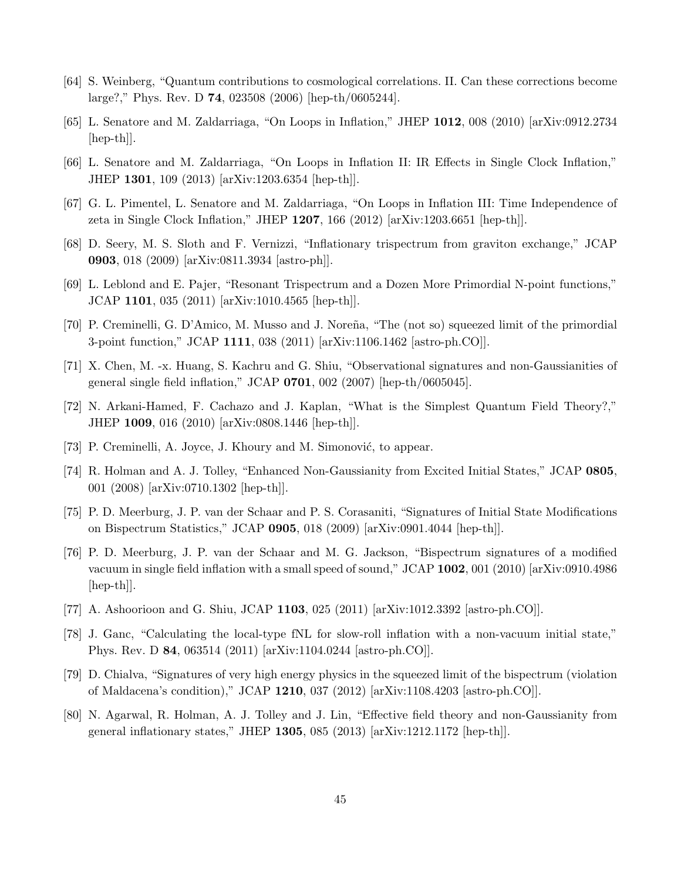- [64] S. Weinberg, "Quantum contributions to cosmological correlations. II. Can these corrections become large?," Phys. Rev. D 74, 023508 (2006) [hep-th/0605244].
- [65] L. Senatore and M. Zaldarriaga, "On Loops in Inflation," JHEP 1012, 008 (2010) [arXiv:0912.2734 [hep-th]].
- [66] L. Senatore and M. Zaldarriaga, "On Loops in Inflation II: IR Effects in Single Clock Inflation," JHEP 1301, 109 (2013) [arXiv:1203.6354 [hep-th]].
- <span id="page-45-0"></span>[67] G. L. Pimentel, L. Senatore and M. Zaldarriaga, "On Loops in Inflation III: Time Independence of zeta in Single Clock Inflation," JHEP 1207, 166 (2012) [arXiv:1203.6651 [hep-th]].
- <span id="page-45-1"></span>[68] D. Seery, M. S. Sloth and F. Vernizzi, "Inflationary trispectrum from graviton exchange," JCAP 0903, 018 (2009) [arXiv:0811.3934 [astro-ph]].
- <span id="page-45-2"></span>[69] L. Leblond and E. Pajer, "Resonant Trispectrum and a Dozen More Primordial N-point functions," JCAP 1101, 035 (2011) [arXiv:1010.4565 [hep-th]].
- <span id="page-45-3"></span>[70] P. Creminelli, G. D'Amico, M. Musso and J. Noreña, "The (not so) squeezed limit of the primordial 3-point function," JCAP 1111, 038 (2011) [arXiv:1106.1462 [astro-ph.CO]].
- <span id="page-45-4"></span>[71] X. Chen, M. -x. Huang, S. Kachru and G. Shiu, "Observational signatures and non-Gaussianities of general single field inflation," JCAP  $0701$ , 002 (2007) [hep-th/0605045].
- <span id="page-45-5"></span>[72] N. Arkani-Hamed, F. Cachazo and J. Kaplan, "What is the Simplest Quantum Field Theory?," JHEP 1009, 016 (2010) [arXiv:0808.1446 [hep-th]].
- <span id="page-45-6"></span>[73] P. Creminelli, A. Joyce, J. Khoury and M. Simonović, to appear.
- <span id="page-45-7"></span>[74] R. Holman and A. J. Tolley, "Enhanced Non-Gaussianity from Excited Initial States," JCAP 0805, 001 (2008) [arXiv:0710.1302 [hep-th]].
- [75] P. D. Meerburg, J. P. van der Schaar and P. S. Corasaniti, "Signatures of Initial State Modifications on Bispectrum Statistics," JCAP 0905, 018 (2009) [arXiv:0901.4044 [hep-th]].
- [76] P. D. Meerburg, J. P. van der Schaar and M. G. Jackson, "Bispectrum signatures of a modified vacuum in single field inflation with a small speed of sound," JCAP 1002, 001 (2010) [arXiv:0910.4986 [hep-th]].
- [77] A. Ashoorioon and G. Shiu, JCAP 1103, 025 (2011) [arXiv:1012.3392 [astro-ph.CO]].
- [78] J. Ganc, "Calculating the local-type fNL for slow-roll inflation with a non-vacuum initial state," Phys. Rev. D 84, 063514 (2011) [arXiv:1104.0244 [astro-ph.CO]].
- [79] D. Chialva, "Signatures of very high energy physics in the squeezed limit of the bispectrum (violation of Maldacena's condition)," JCAP 1210, 037 (2012) [arXiv:1108.4203 [astro-ph.CO]].
- <span id="page-45-8"></span>[80] N. Agarwal, R. Holman, A. J. Tolley and J. Lin, "Effective field theory and non-Gaussianity from general inflationary states," JHEP 1305, 085 (2013) [arXiv:1212.1172 [hep-th]].